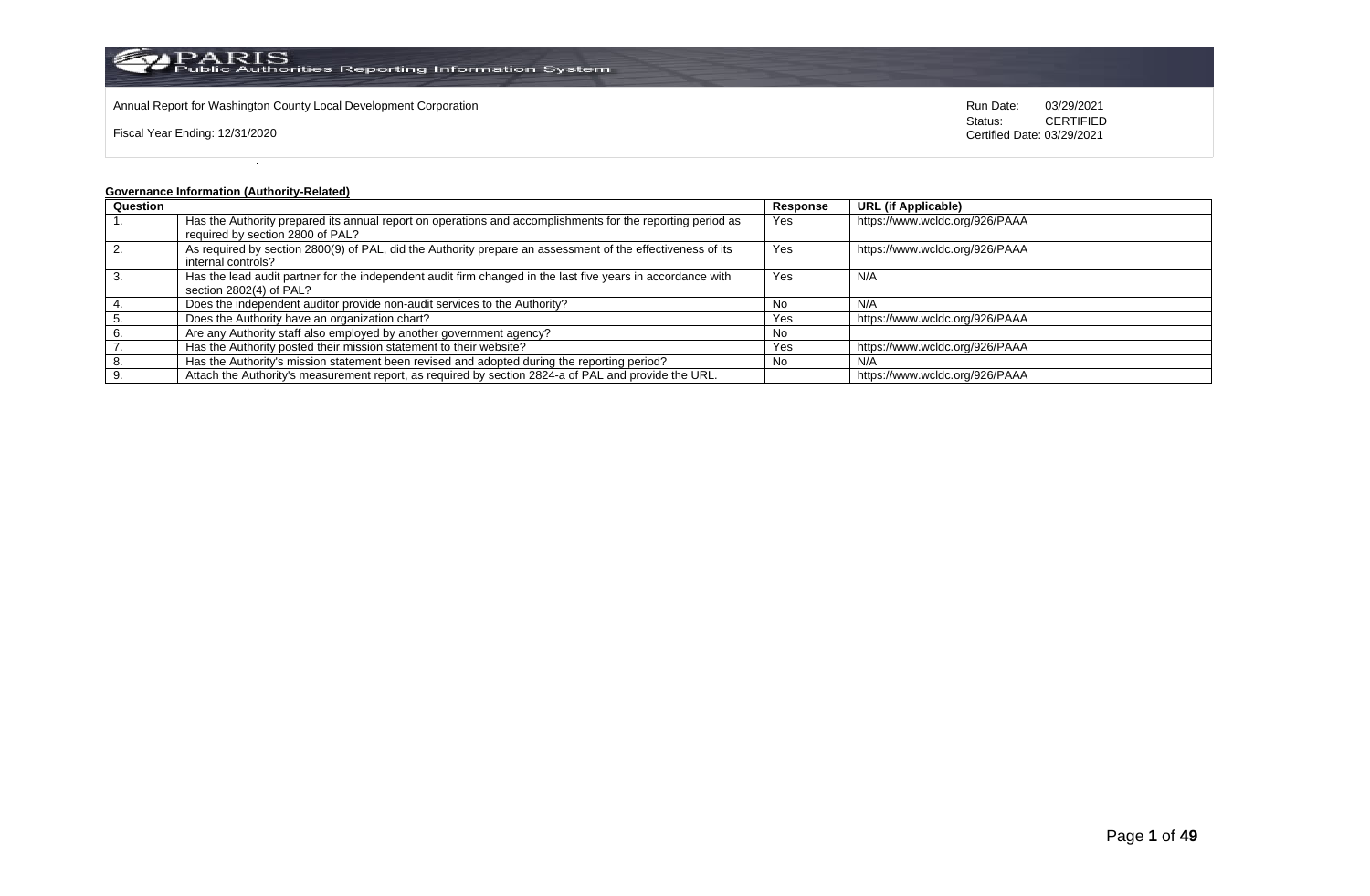

Annual Report for Washington County Local Development Corporation Run Date: 03/29/2021

Fiscal Year Ending: 12/31/2020

Status: **CERTIFIED** Certified Date: 03/29/2021

# **Governance Information (Authority-Related)**

| Question |                                                                                                                                                | Response | <b>URL</b> (if Applicable)     |
|----------|------------------------------------------------------------------------------------------------------------------------------------------------|----------|--------------------------------|
|          | Has the Authority prepared its annual report on operations and accomplishments for the reporting period as<br>required by section 2800 of PAL? | Yes      | https://www.wcldc.org/926/PAAA |
|          |                                                                                                                                                |          |                                |
|          | As required by section 2800(9) of PAL, did the Authority prepare an assessment of the effectiveness of its                                     | Yes      | https://www.wcldc.org/926/PAAA |
|          | internal controls?                                                                                                                             |          |                                |
|          | Has the lead audit partner for the independent audit firm changed in the last five years in accordance with                                    | Yes      | N/A                            |
|          | section 2802(4) of PAL?                                                                                                                        |          |                                |
|          | Does the independent auditor provide non-audit services to the Authority?                                                                      | No.      | N/A                            |
|          | Does the Authority have an organization chart?                                                                                                 | Yes      | https://www.wcldc.org/926/PAAA |
|          | Are any Authority staff also employed by another government agency?                                                                            | No       |                                |
|          | Has the Authority posted their mission statement to their website?                                                                             | Yes      | https://www.wcldc.org/926/PAAA |
|          | Has the Authority's mission statement been revised and adopted during the reporting period?                                                    | No       | N/A                            |
|          | Attach the Authority's measurement report, as required by section 2824-a of PAL and provide the URL.                                           |          | https://www.wcldc.org/926/PAAA |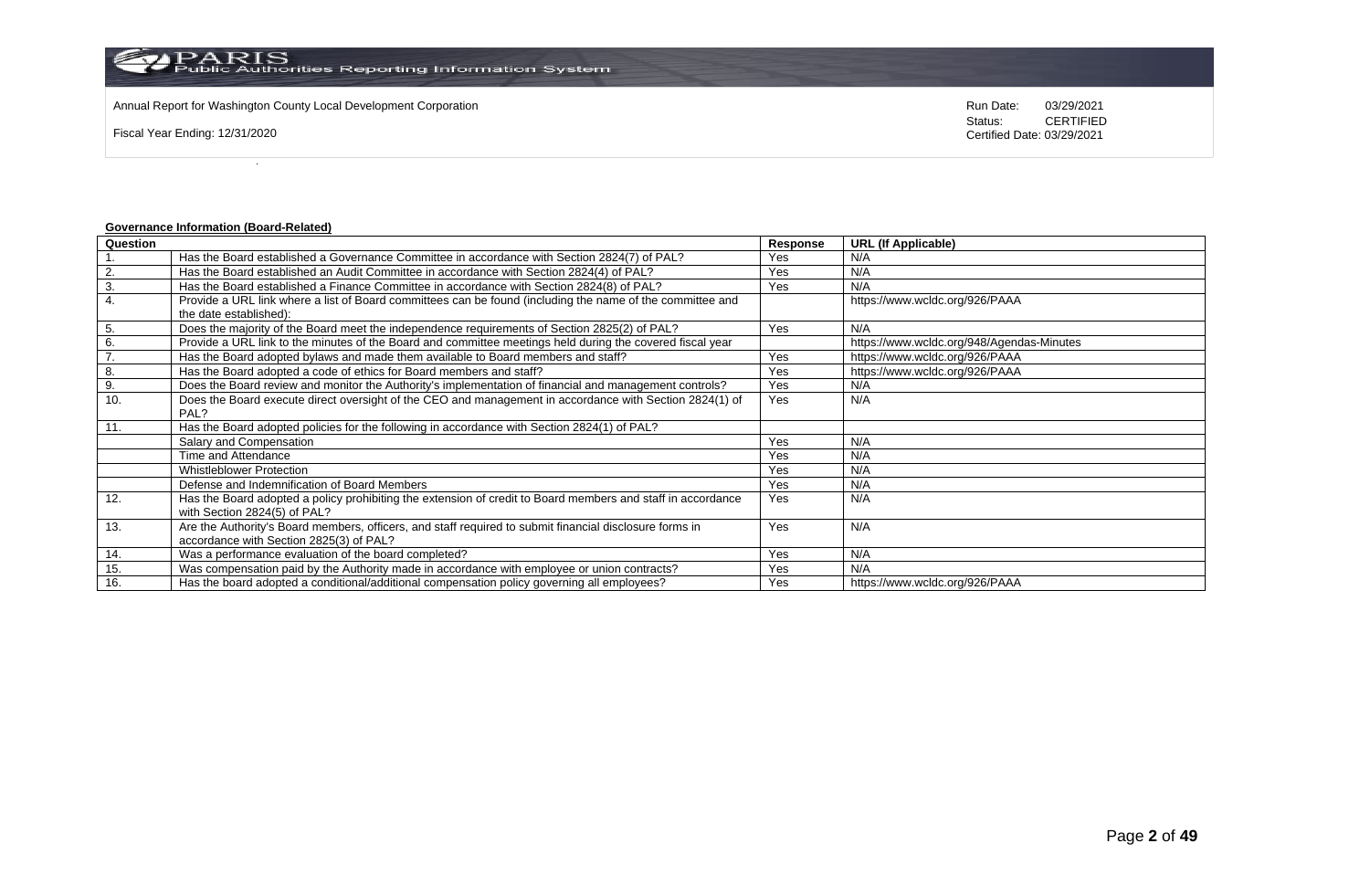Annual Report for Washington County Local Development Corporation Run Date: 03/29/2021

Fiscal Year Ending: 12/31/2020

Status: **CERTIFIED** Certified Date: 03/29/2021

# **Governance Information (Board-Related)**

| Question |                                                                                                             | Response | <b>URL (If Applicable)</b>                |
|----------|-------------------------------------------------------------------------------------------------------------|----------|-------------------------------------------|
|          | Has the Board established a Governance Committee in accordance with Section 2824(7) of PAL?                 | Yes      | N/A                                       |
| 2.       | Has the Board established an Audit Committee in accordance with Section 2824(4) of PAL?                     | Yes      | N/A                                       |
| 3.       | Has the Board established a Finance Committee in accordance with Section 2824(8) of PAL?                    | Yes      | N/A                                       |
| 4.       | Provide a URL link where a list of Board committees can be found (including the name of the committee and   |          | https://www.wcldc.org/926/PAAA            |
|          | the date established):                                                                                      |          |                                           |
| 5.       | Does the majority of the Board meet the independence requirements of Section 2825(2) of PAL?                | Yes      | N/A                                       |
| 6.       | Provide a URL link to the minutes of the Board and committee meetings held during the covered fiscal year   |          | https://www.wcldc.org/948/Agendas-Minutes |
| 7.       | Has the Board adopted bylaws and made them available to Board members and staff?                            | Yes      | https://www.wcldc.org/926/PAAA            |
| 8.       | Has the Board adopted a code of ethics for Board members and staff?                                         | Yes      | https://www.wcldc.org/926/PAAA            |
| 9.       | Does the Board review and monitor the Authority's implementation of financial and management controls?      | Yes      | N/A                                       |
| 10.      | Does the Board execute direct oversight of the CEO and management in accordance with Section 2824(1) of     | Yes      | N/A                                       |
|          | PAL?                                                                                                        |          |                                           |
| 11.      | Has the Board adopted policies for the following in accordance with Section 2824(1) of PAL?                 |          |                                           |
|          | Salary and Compensation                                                                                     | Yes      | N/A                                       |
|          | Time and Attendance                                                                                         | Yes      | N/A                                       |
|          | <b>Whistleblower Protection</b>                                                                             | Yes      | N/A                                       |
|          | Defense and Indemnification of Board Members                                                                | Yes      | N/A                                       |
| 12.      | Has the Board adopted a policy prohibiting the extension of credit to Board members and staff in accordance | Yes      | N/A                                       |
|          | with Section 2824(5) of PAL?                                                                                |          |                                           |
| 13.      | Are the Authority's Board members, officers, and staff required to submit financial disclosure forms in     | Yes      | N/A                                       |
|          | accordance with Section 2825(3) of PAL?                                                                     |          |                                           |
| 14.      | Was a performance evaluation of the board completed?                                                        | Yes      | N/A                                       |
| 15.      | Was compensation paid by the Authority made in accordance with employee or union contracts?                 | Yes      | N/A                                       |
| 16.      | Has the board adopted a conditional/additional compensation policy governing all employees?                 | Yes      | https://www.wcldc.org/926/PAAA            |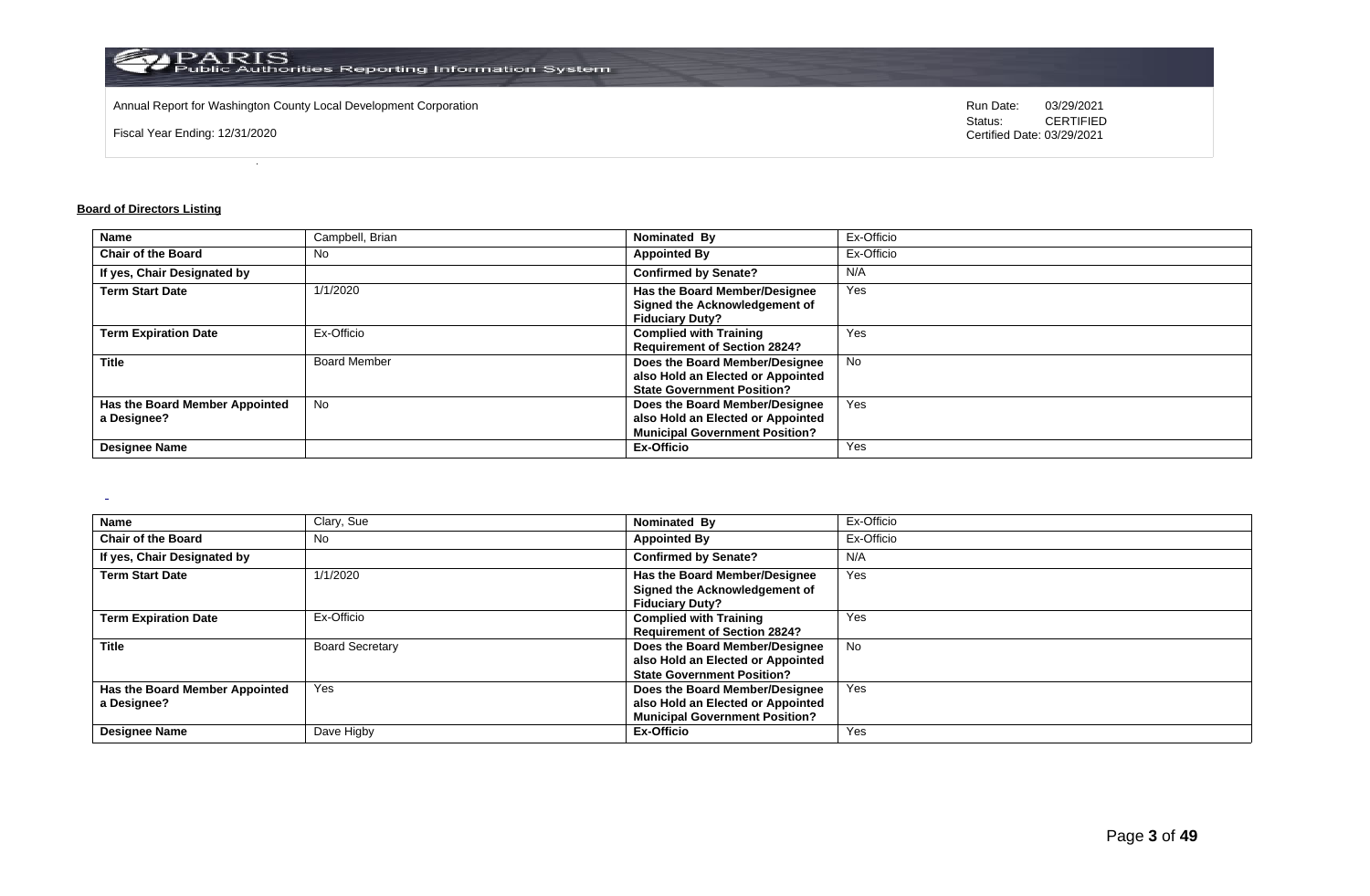

Annual Report for Washington County Local Development Corporation Run Date: 03/29/2021

Fiscal Year Ending: 12/31/2020

Status: **CERTIFIED** Certified Date: 03/29/2021

#### **Board of Directors Listing**

| <b>Name</b>                    | Campbell, Brian     | Nominated By                          | Ex-Officio |
|--------------------------------|---------------------|---------------------------------------|------------|
| <b>Chair of the Board</b>      | No                  | <b>Appointed By</b>                   | Ex-Officio |
| If yes, Chair Designated by    |                     | <b>Confirmed by Senate?</b>           | N/A        |
| <b>Term Start Date</b>         | 1/1/2020            | Has the Board Member/Designee         | Yes        |
|                                |                     | Signed the Acknowledgement of         |            |
|                                |                     | <b>Fiduciary Duty?</b>                |            |
| <b>Term Expiration Date</b>    | Ex-Officio          | <b>Complied with Training</b>         | Yes        |
|                                |                     | <b>Requirement of Section 2824?</b>   |            |
| <b>Title</b>                   | <b>Board Member</b> | Does the Board Member/Designee        | <b>No</b>  |
|                                |                     | also Hold an Elected or Appointed     |            |
|                                |                     | <b>State Government Position?</b>     |            |
| Has the Board Member Appointed | <b>No</b>           | Does the Board Member/Designee        | Yes        |
| a Designee?                    |                     | also Hold an Elected or Appointed     |            |
|                                |                     | <b>Municipal Government Position?</b> |            |
| <b>Designee Name</b>           |                     | <b>Ex-Officio</b>                     | Yes        |

| Name                                          | Clary, Sue             | Nominated By                                                                                                 | Ex-Officio |
|-----------------------------------------------|------------------------|--------------------------------------------------------------------------------------------------------------|------------|
| <b>Chair of the Board</b>                     | No                     | <b>Appointed By</b>                                                                                          | Ex-Officio |
| If yes, Chair Designated by                   |                        | <b>Confirmed by Senate?</b>                                                                                  | N/A        |
| <b>Term Start Date</b>                        | 1/1/2020               | Has the Board Member/Designee<br>Signed the Acknowledgement of<br><b>Fiduciary Duty?</b>                     | Yes        |
| <b>Term Expiration Date</b>                   | Ex-Officio             | <b>Complied with Training</b><br><b>Requirement of Section 2824?</b>                                         | Yes        |
| <b>Title</b>                                  | <b>Board Secretary</b> | Does the Board Member/Designee<br>also Hold an Elected or Appointed<br><b>State Government Position?</b>     | No         |
| Has the Board Member Appointed<br>a Designee? | Yes                    | Does the Board Member/Designee<br>also Hold an Elected or Appointed<br><b>Municipal Government Position?</b> | Yes        |
| <b>Designee Name</b>                          | Dave Higby             | Ex-Officio                                                                                                   | Yes        |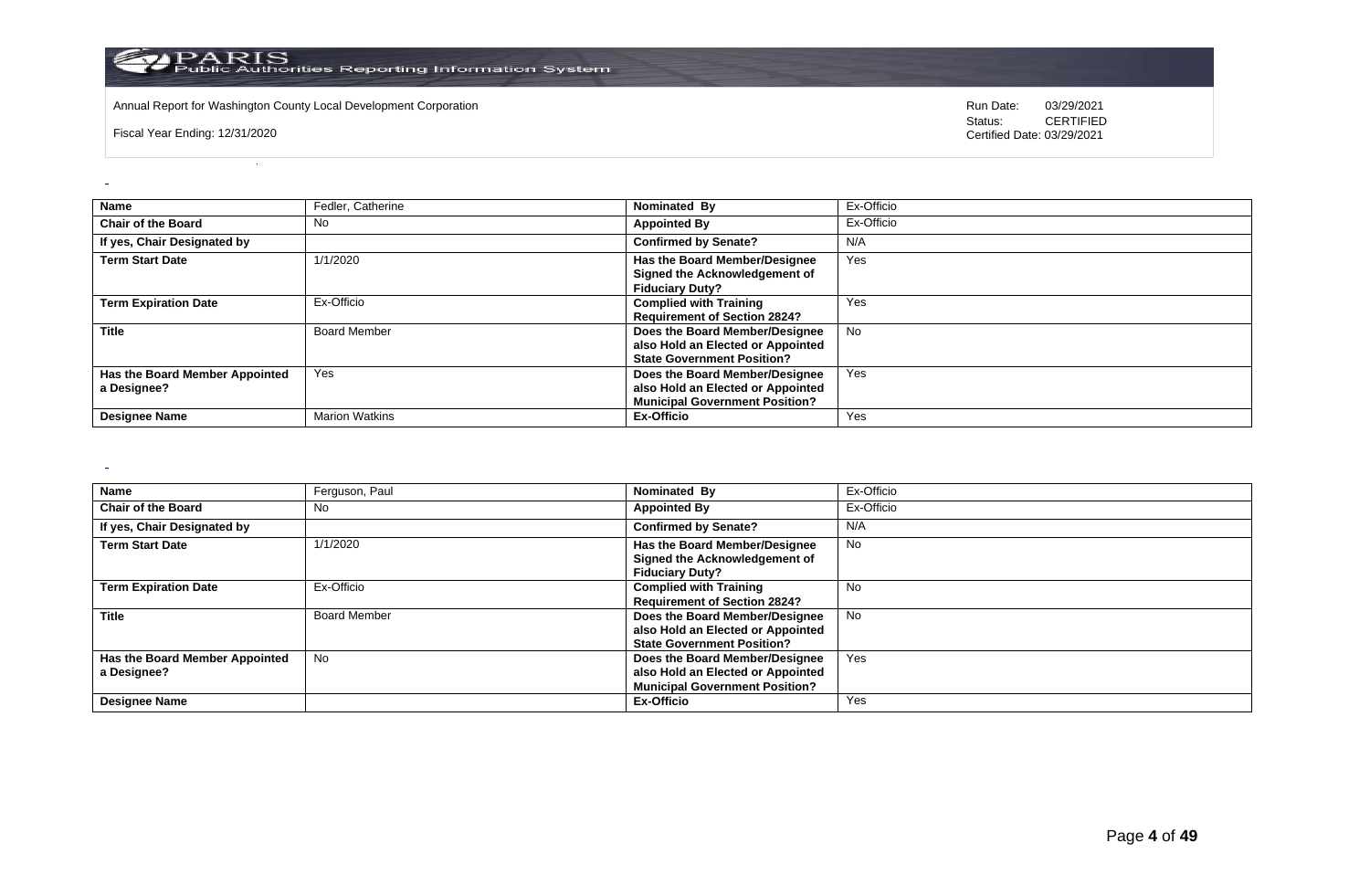

Annual Report for Washington County Local Development Corporation **Computer Computer Computer Computer Computer** Run Date: 03/29/2021<br>Status: CERTIFIED

Fiscal Year Ending: 12/31/2020

CERTIFIED Certified Date: 03/29/2021

| <b>Name</b>                                   | Fedler, Catherine     | Nominated By                                                                                                 | Ex-Officio |
|-----------------------------------------------|-----------------------|--------------------------------------------------------------------------------------------------------------|------------|
| <b>Chair of the Board</b>                     | No                    | <b>Appointed By</b>                                                                                          | Ex-Officio |
| If yes, Chair Designated by                   |                       | <b>Confirmed by Senate?</b>                                                                                  | N/A        |
| <b>Term Start Date</b>                        | 1/1/2020              | Has the Board Member/Designee<br>Signed the Acknowledgement of<br><b>Fiduciary Duty?</b>                     | Yes        |
| <b>Term Expiration Date</b>                   | Ex-Officio            | <b>Complied with Training</b><br><b>Requirement of Section 2824?</b>                                         | Yes        |
| <b>Title</b>                                  | <b>Board Member</b>   | Does the Board Member/Designee<br>also Hold an Elected or Appointed<br><b>State Government Position?</b>     | <b>No</b>  |
| Has the Board Member Appointed<br>a Designee? | Yes                   | Does the Board Member/Designee<br>also Hold an Elected or Appointed<br><b>Municipal Government Position?</b> | Yes        |
| <b>Designee Name</b>                          | <b>Marion Watkins</b> | Ex-Officio                                                                                                   | Yes        |

 $\sim$ 

| Name                           | Ferguson, Paul      | Nominated By                          | Ex-Officio |
|--------------------------------|---------------------|---------------------------------------|------------|
| <b>Chair of the Board</b>      | No                  | <b>Appointed By</b>                   | Ex-Officio |
| If yes, Chair Designated by    |                     | <b>Confirmed by Senate?</b>           | N/A        |
| <b>Term Start Date</b>         | 1/1/2020            | Has the Board Member/Designee         | No         |
|                                |                     | Signed the Acknowledgement of         |            |
|                                |                     | <b>Fiduciary Duty?</b>                |            |
| <b>Term Expiration Date</b>    | Ex-Officio          | <b>Complied with Training</b>         | <b>No</b>  |
|                                |                     | <b>Requirement of Section 2824?</b>   |            |
| <b>Title</b>                   | <b>Board Member</b> | Does the Board Member/Designee        | No.        |
|                                |                     | also Hold an Elected or Appointed     |            |
|                                |                     | <b>State Government Position?</b>     |            |
| Has the Board Member Appointed | No                  | Does the Board Member/Designee        | Yes        |
| a Designee?                    |                     | also Hold an Elected or Appointed     |            |
|                                |                     | <b>Municipal Government Position?</b> |            |
| <b>Designee Name</b>           |                     | Ex-Officio                            | Yes        |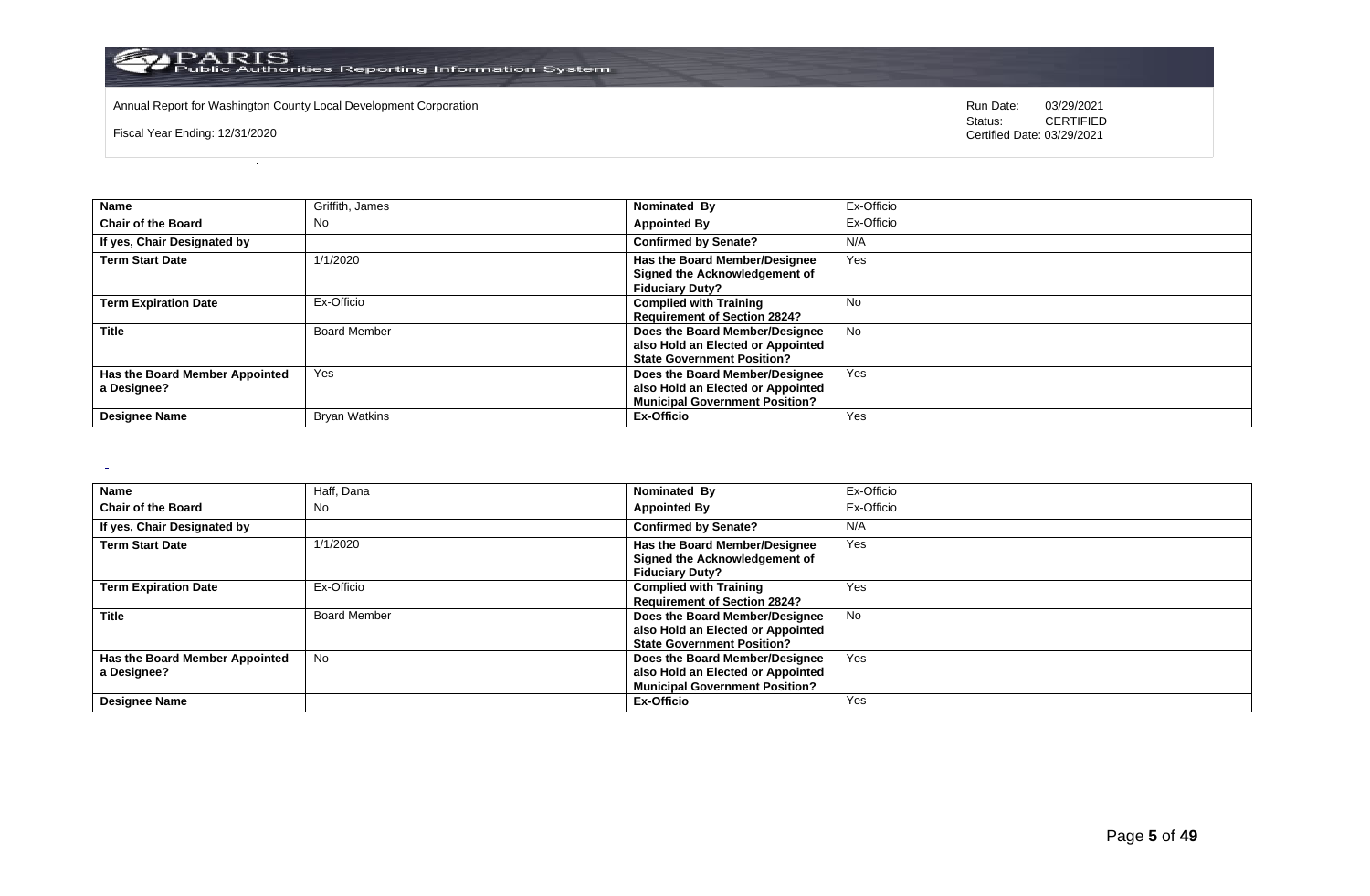

Annual Report for Washington County Local Development Corporation **Run Date:** 03/29/2021

Fiscal Year Ending: 12/31/2020

Status: **CERTIFIED** Certified Date: 03/29/2021

| <b>Name</b>                                   | Griffith, James      | Nominated By                                                                                                 | Ex-Officio |
|-----------------------------------------------|----------------------|--------------------------------------------------------------------------------------------------------------|------------|
| <b>Chair of the Board</b>                     | No                   | <b>Appointed By</b>                                                                                          | Ex-Officio |
| If yes, Chair Designated by                   |                      | <b>Confirmed by Senate?</b>                                                                                  | N/A        |
| <b>Term Start Date</b>                        | 1/1/2020             | Has the Board Member/Designee<br>Signed the Acknowledgement of<br><b>Fiduciary Duty?</b>                     | Yes        |
| <b>Term Expiration Date</b>                   | Ex-Officio           | <b>Complied with Training</b><br><b>Requirement of Section 2824?</b>                                         | No         |
| <b>Title</b>                                  | <b>Board Member</b>  | Does the Board Member/Designee<br>also Hold an Elected or Appointed<br><b>State Government Position?</b>     | <b>No</b>  |
| Has the Board Member Appointed<br>a Designee? | Yes                  | Does the Board Member/Designee<br>also Hold an Elected or Appointed<br><b>Municipal Government Position?</b> | Yes        |
| <b>Designee Name</b>                          | <b>Bryan Watkins</b> | Ex-Officio                                                                                                   | Yes        |

 $\sim$ 

| Name                           | Haff, Dana          | Nominated By                          | Ex-Officio |
|--------------------------------|---------------------|---------------------------------------|------------|
| <b>Chair of the Board</b>      | No                  | <b>Appointed By</b>                   | Ex-Officio |
| If yes, Chair Designated by    |                     | <b>Confirmed by Senate?</b>           | N/A        |
| <b>Term Start Date</b>         | 1/1/2020            | Has the Board Member/Designee         | Yes        |
|                                |                     | Signed the Acknowledgement of         |            |
|                                |                     | <b>Fiduciary Duty?</b>                |            |
| <b>Term Expiration Date</b>    | Ex-Officio          | <b>Complied with Training</b>         | Yes        |
|                                |                     | <b>Requirement of Section 2824?</b>   |            |
| <b>Title</b>                   | <b>Board Member</b> | Does the Board Member/Designee        | No.        |
|                                |                     | also Hold an Elected or Appointed     |            |
|                                |                     | <b>State Government Position?</b>     |            |
| Has the Board Member Appointed | No                  | Does the Board Member/Designee        | Yes        |
| a Designee?                    |                     | also Hold an Elected or Appointed     |            |
|                                |                     | <b>Municipal Government Position?</b> |            |
| <b>Designee Name</b>           |                     | Ex-Officio                            | Yes        |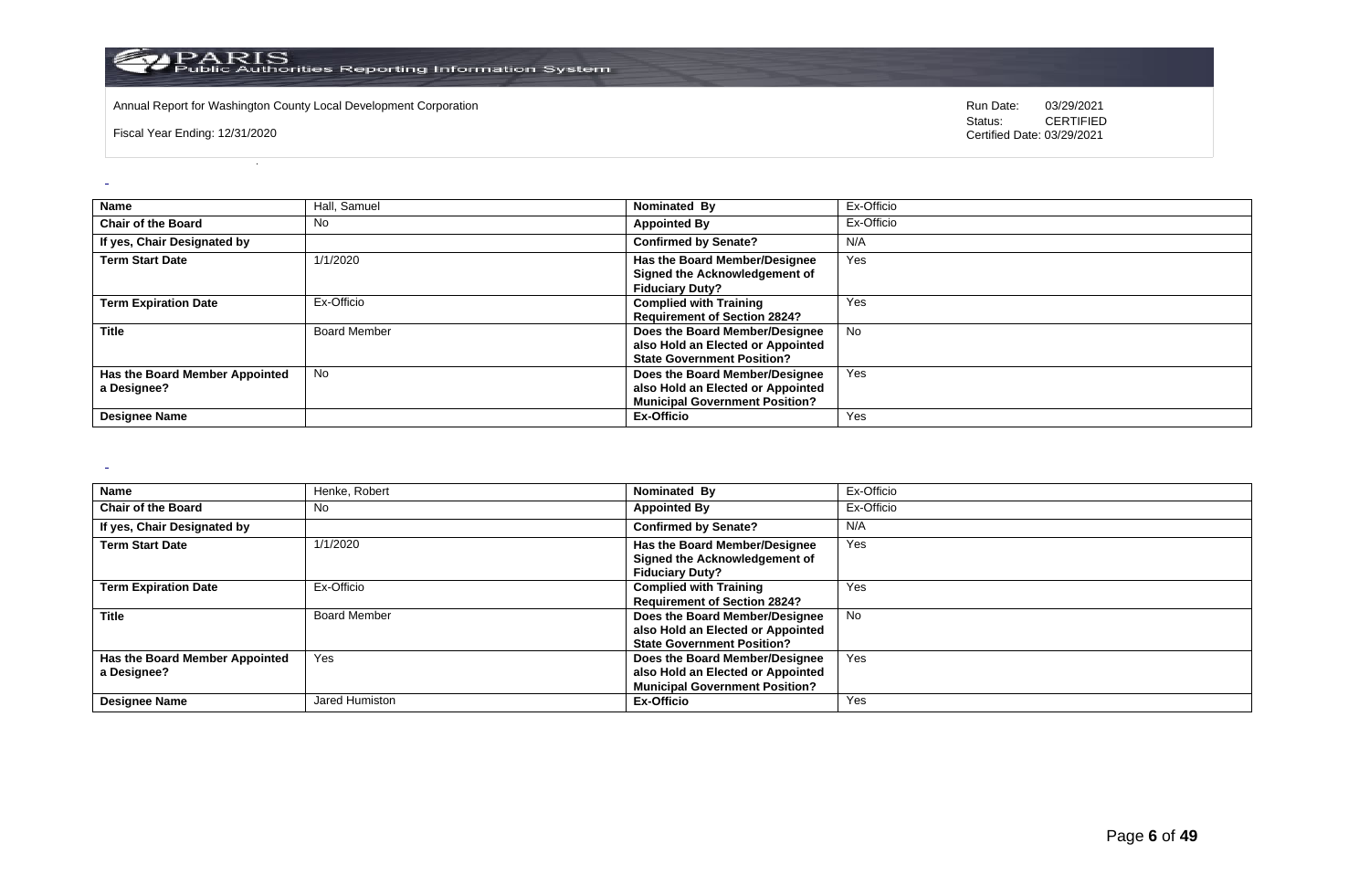

Annual Report for Washington County Local Development Corporation **Computer Computer Computer Computer Computer** Run Date: 03/29/2021<br>Status: CERTIFIED

Fiscal Year Ending: 12/31/2020

CERTIFIED Certified Date: 03/29/2021

| <b>Name</b>                                   | Hall, Samuel        | Nominated By                                                                                                 | Ex-Officio |
|-----------------------------------------------|---------------------|--------------------------------------------------------------------------------------------------------------|------------|
| <b>Chair of the Board</b>                     | No                  | <b>Appointed By</b>                                                                                          | Ex-Officio |
| If yes, Chair Designated by                   |                     | <b>Confirmed by Senate?</b>                                                                                  | N/A        |
| <b>Term Start Date</b>                        | 1/1/2020            | Has the Board Member/Designee<br>Signed the Acknowledgement of<br><b>Fiduciary Duty?</b>                     | Yes        |
| <b>Term Expiration Date</b>                   | Ex-Officio          | <b>Complied with Training</b><br><b>Requirement of Section 2824?</b>                                         | Yes        |
| <b>Title</b>                                  | <b>Board Member</b> | Does the Board Member/Designee<br>also Hold an Elected or Appointed<br><b>State Government Position?</b>     | <b>No</b>  |
| Has the Board Member Appointed<br>a Designee? | <b>No</b>           | Does the Board Member/Designee<br>also Hold an Elected or Appointed<br><b>Municipal Government Position?</b> | Yes        |
| <b>Designee Name</b>                          |                     | Ex-Officio                                                                                                   | Yes        |

 $\sim$ 

| <b>Name</b>                                   | Henke, Robert       | Nominated By                                                                                                 | Ex-Officio |
|-----------------------------------------------|---------------------|--------------------------------------------------------------------------------------------------------------|------------|
| <b>Chair of the Board</b>                     | No                  | <b>Appointed By</b>                                                                                          | Ex-Officio |
| If yes, Chair Designated by                   |                     | <b>Confirmed by Senate?</b>                                                                                  | N/A        |
| <b>Term Start Date</b>                        | 1/1/2020            | Has the Board Member/Designee<br>Signed the Acknowledgement of<br><b>Fiduciary Duty?</b>                     | Yes        |
| <b>Term Expiration Date</b>                   | Ex-Officio          | <b>Complied with Training</b><br><b>Requirement of Section 2824?</b>                                         | Yes        |
| <b>Title</b>                                  | <b>Board Member</b> | Does the Board Member/Designee<br>also Hold an Elected or Appointed<br><b>State Government Position?</b>     | <b>No</b>  |
| Has the Board Member Appointed<br>a Designee? | Yes                 | Does the Board Member/Designee<br>also Hold an Elected or Appointed<br><b>Municipal Government Position?</b> | Yes        |
| <b>Designee Name</b>                          | Jared Humiston      | Ex-Officio                                                                                                   | Yes        |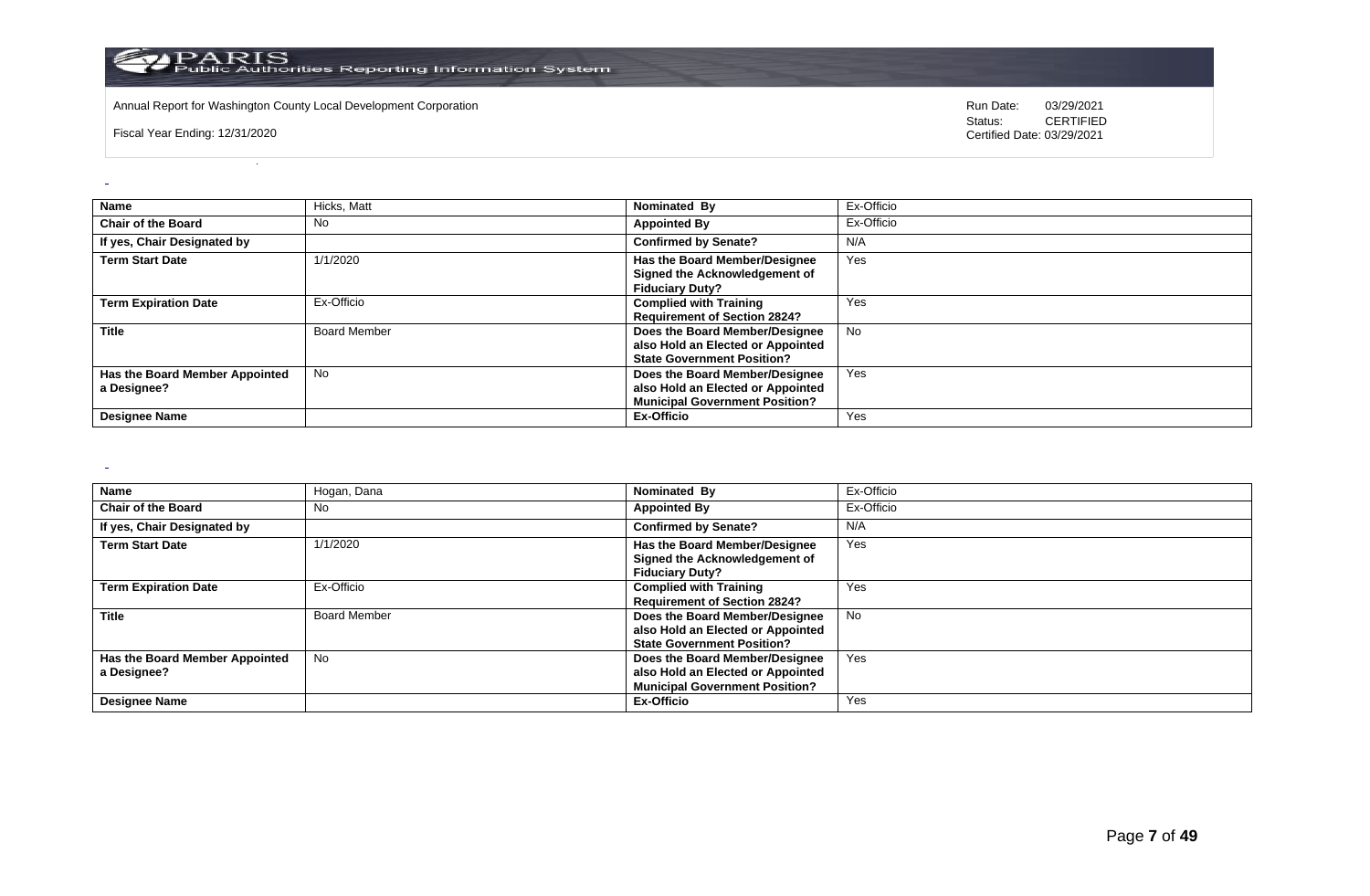

Annual Report for Washington County Local Development Corporation **Run Date:** 03/29/2021

Fiscal Year Ending: 12/31/2020

Status: **CERTIFIED** Certified Date: 03/29/2021

| Name                                          | Hicks, Matt         | Nominated By                                                                                                 | Ex-Officio |
|-----------------------------------------------|---------------------|--------------------------------------------------------------------------------------------------------------|------------|
| <b>Chair of the Board</b>                     | No                  | <b>Appointed By</b>                                                                                          | Ex-Officio |
| If yes, Chair Designated by                   |                     | <b>Confirmed by Senate?</b>                                                                                  | N/A        |
| <b>Term Start Date</b>                        | 1/1/2020            | Has the Board Member/Designee<br>Signed the Acknowledgement of<br><b>Fiduciary Duty?</b>                     | Yes        |
| <b>Term Expiration Date</b>                   | Ex-Officio          | <b>Complied with Training</b><br><b>Requirement of Section 2824?</b>                                         | Yes        |
| <b>Title</b>                                  | <b>Board Member</b> | Does the Board Member/Designee<br>also Hold an Elected or Appointed<br><b>State Government Position?</b>     | <b>No</b>  |
| Has the Board Member Appointed<br>a Designee? | <b>No</b>           | Does the Board Member/Designee<br>also Hold an Elected or Appointed<br><b>Municipal Government Position?</b> | Yes        |
| <b>Designee Name</b>                          |                     | Ex-Officio                                                                                                   | Yes        |

 $\sim$ 

| Name                                          | Hogan, Dana         | Nominated By                                                                                                 | Ex-Officio |
|-----------------------------------------------|---------------------|--------------------------------------------------------------------------------------------------------------|------------|
| <b>Chair of the Board</b>                     | No                  | <b>Appointed By</b>                                                                                          | Ex-Officio |
| If yes, Chair Designated by                   |                     | <b>Confirmed by Senate?</b>                                                                                  | N/A        |
| <b>Term Start Date</b>                        | 1/1/2020            | Has the Board Member/Designee<br>Signed the Acknowledgement of<br><b>Fiduciary Duty?</b>                     | Yes        |
| <b>Term Expiration Date</b>                   | Ex-Officio          | <b>Complied with Training</b><br><b>Requirement of Section 2824?</b>                                         | Yes        |
| <b>Title</b>                                  | <b>Board Member</b> | Does the Board Member/Designee<br>also Hold an Elected or Appointed<br><b>State Government Position?</b>     | <b>No</b>  |
| Has the Board Member Appointed<br>a Designee? | No                  | Does the Board Member/Designee<br>also Hold an Elected or Appointed<br><b>Municipal Government Position?</b> | Yes        |
| <b>Designee Name</b>                          |                     | Ex-Officio                                                                                                   | Yes        |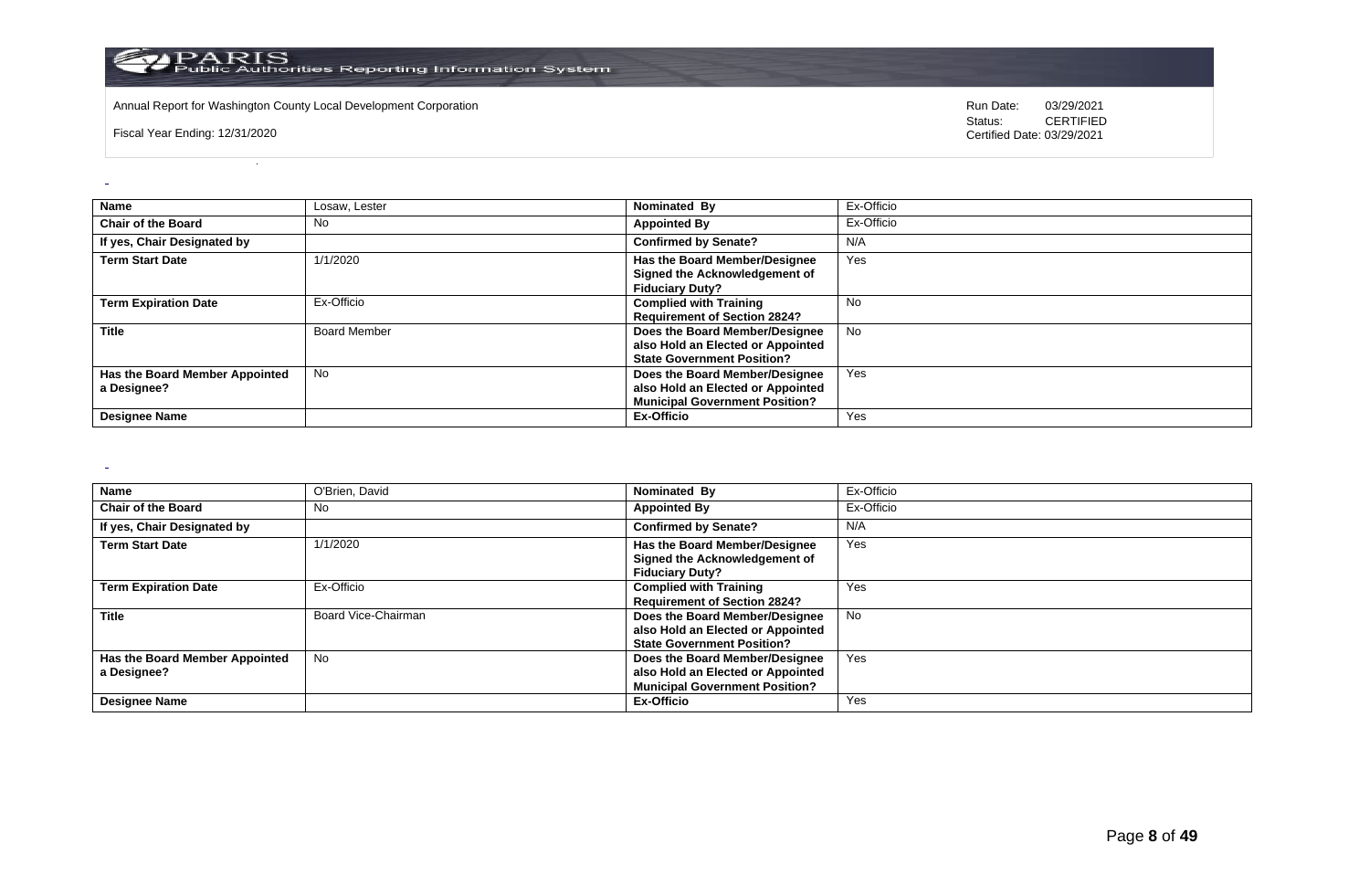

Annual Report for Washington County Local Development Corporation **Computer Computer Computer Computer Computer** Run Date: 03/29/2021<br>Status: CERTIFIED

Fiscal Year Ending: 12/31/2020

CERTIFIED Certified Date: 03/29/2021

| <b>Name</b>                                   | Losaw. Lester       | Nominated By                                                                                                 | Ex-Officio |
|-----------------------------------------------|---------------------|--------------------------------------------------------------------------------------------------------------|------------|
| <b>Chair of the Board</b>                     | No                  | <b>Appointed By</b>                                                                                          | Ex-Officio |
| If yes, Chair Designated by                   |                     | <b>Confirmed by Senate?</b>                                                                                  | N/A        |
| <b>Term Start Date</b>                        | 1/1/2020            | Has the Board Member/Designee<br>Signed the Acknowledgement of<br><b>Fiduciary Duty?</b>                     | Yes        |
| <b>Term Expiration Date</b>                   | Ex-Officio          | <b>Complied with Training</b><br><b>Requirement of Section 2824?</b>                                         | No         |
| <b>Title</b>                                  | <b>Board Member</b> | Does the Board Member/Designee<br>also Hold an Elected or Appointed<br><b>State Government Position?</b>     | <b>No</b>  |
| Has the Board Member Appointed<br>a Designee? | <b>No</b>           | Does the Board Member/Designee<br>also Hold an Elected or Appointed<br><b>Municipal Government Position?</b> | Yes        |
| <b>Designee Name</b>                          |                     | Ex-Officio                                                                                                   | Yes        |

 $\sim$ 

| Name                           | O'Brien, David      | Nominated By                          | Ex-Officio |
|--------------------------------|---------------------|---------------------------------------|------------|
| <b>Chair of the Board</b>      | No                  | <b>Appointed By</b>                   | Ex-Officio |
| If yes, Chair Designated by    |                     | <b>Confirmed by Senate?</b>           | N/A        |
| <b>Term Start Date</b>         | 1/1/2020            | Has the Board Member/Designee         | Yes        |
|                                |                     | Signed the Acknowledgement of         |            |
|                                |                     | <b>Fiduciary Duty?</b>                |            |
| <b>Term Expiration Date</b>    | Ex-Officio          | <b>Complied with Training</b>         | Yes        |
|                                |                     | <b>Requirement of Section 2824?</b>   |            |
| <b>Title</b>                   | Board Vice-Chairman | Does the Board Member/Designee        | No.        |
|                                |                     | also Hold an Elected or Appointed     |            |
|                                |                     | <b>State Government Position?</b>     |            |
| Has the Board Member Appointed | No                  | Does the Board Member/Designee        | Yes        |
| a Designee?                    |                     | also Hold an Elected or Appointed     |            |
|                                |                     | <b>Municipal Government Position?</b> |            |
| <b>Designee Name</b>           |                     | Ex-Officio                            | Yes        |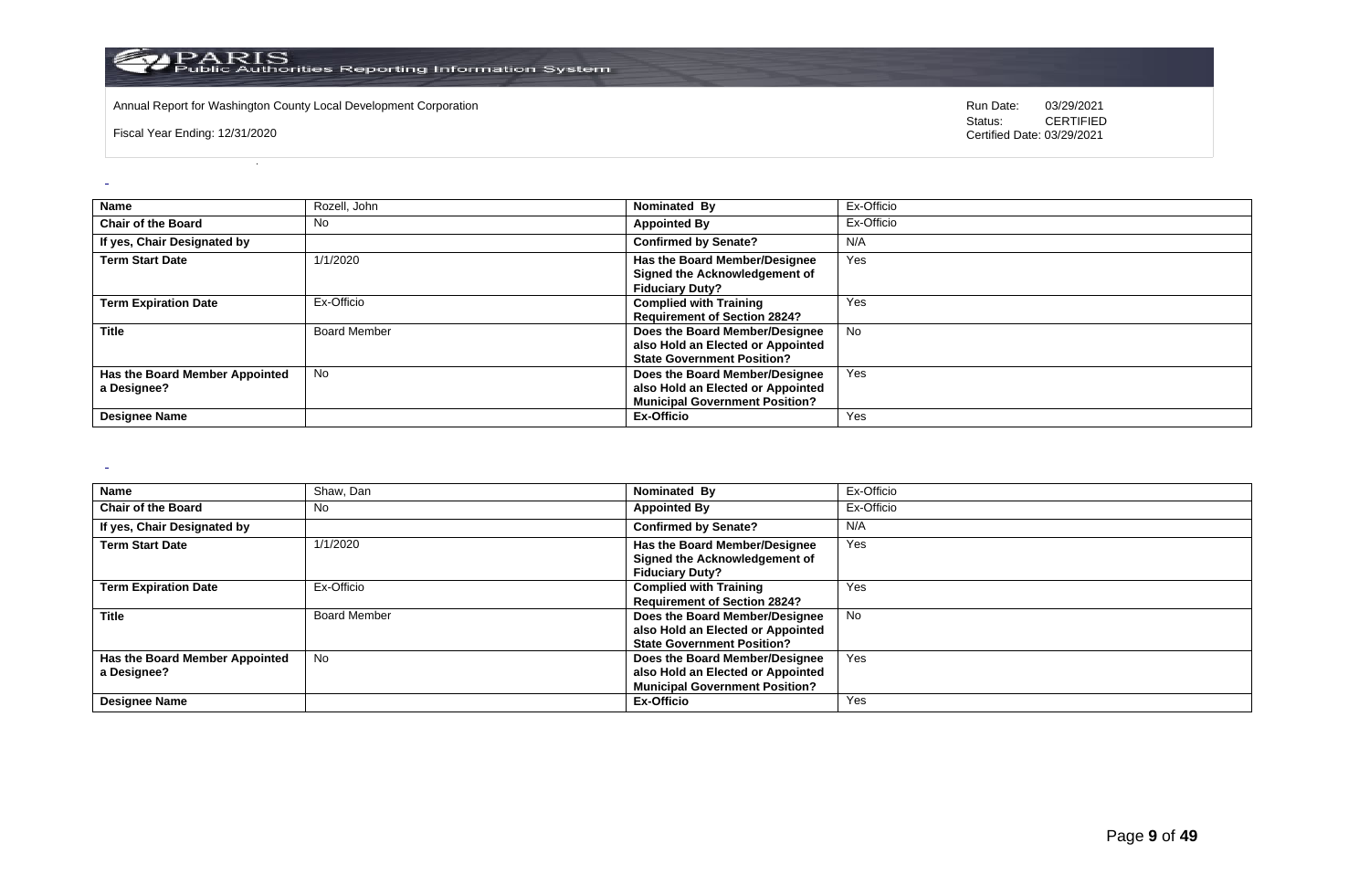

Annual Report for Washington County Local Development Corporation **Computer Computer Computer Computer Computer** Run Date: 03/29/2021<br>Status: CERTIFIED

Fiscal Year Ending: 12/31/2020

CERTIFIED Certified Date: 03/29/2021

| Name                                          | Rozell, John        | Nominated By                                                                                                 | Ex-Officio |
|-----------------------------------------------|---------------------|--------------------------------------------------------------------------------------------------------------|------------|
| <b>Chair of the Board</b>                     | No                  | <b>Appointed By</b>                                                                                          | Ex-Officio |
| If yes, Chair Designated by                   |                     | <b>Confirmed by Senate?</b>                                                                                  | N/A        |
| <b>Term Start Date</b>                        | 1/1/2020            | Has the Board Member/Designee<br>Signed the Acknowledgement of<br><b>Fiduciary Duty?</b>                     | Yes        |
| <b>Term Expiration Date</b>                   | Ex-Officio          | <b>Complied with Training</b><br><b>Requirement of Section 2824?</b>                                         | Yes        |
| <b>Title</b>                                  | <b>Board Member</b> | Does the Board Member/Designee<br>also Hold an Elected or Appointed<br><b>State Government Position?</b>     | <b>No</b>  |
| Has the Board Member Appointed<br>a Designee? | <b>No</b>           | Does the Board Member/Designee<br>also Hold an Elected or Appointed<br><b>Municipal Government Position?</b> | Yes        |
| <b>Designee Name</b>                          |                     | Ex-Officio                                                                                                   | Yes        |

 $\sim$ 

| Name                           | Shaw, Dan           | Nominated By                          | Ex-Officio |
|--------------------------------|---------------------|---------------------------------------|------------|
| <b>Chair of the Board</b>      | No.                 | <b>Appointed By</b>                   | Ex-Officio |
| If yes, Chair Designated by    |                     | <b>Confirmed by Senate?</b>           | N/A        |
| <b>Term Start Date</b>         | 1/1/2020            | Has the Board Member/Designee         | Yes        |
|                                |                     | Signed the Acknowledgement of         |            |
|                                |                     | <b>Fiduciary Duty?</b>                |            |
| <b>Term Expiration Date</b>    | Ex-Officio          | <b>Complied with Training</b>         | Yes        |
|                                |                     | <b>Requirement of Section 2824?</b>   |            |
| <b>Title</b>                   | <b>Board Member</b> | Does the Board Member/Designee        | No         |
|                                |                     | also Hold an Elected or Appointed     |            |
|                                |                     | <b>State Government Position?</b>     |            |
| Has the Board Member Appointed | No                  | Does the Board Member/Designee        | Yes        |
| a Designee?                    |                     | also Hold an Elected or Appointed     |            |
|                                |                     | <b>Municipal Government Position?</b> |            |
| <b>Designee Name</b>           |                     | Ex-Officio                            | Yes        |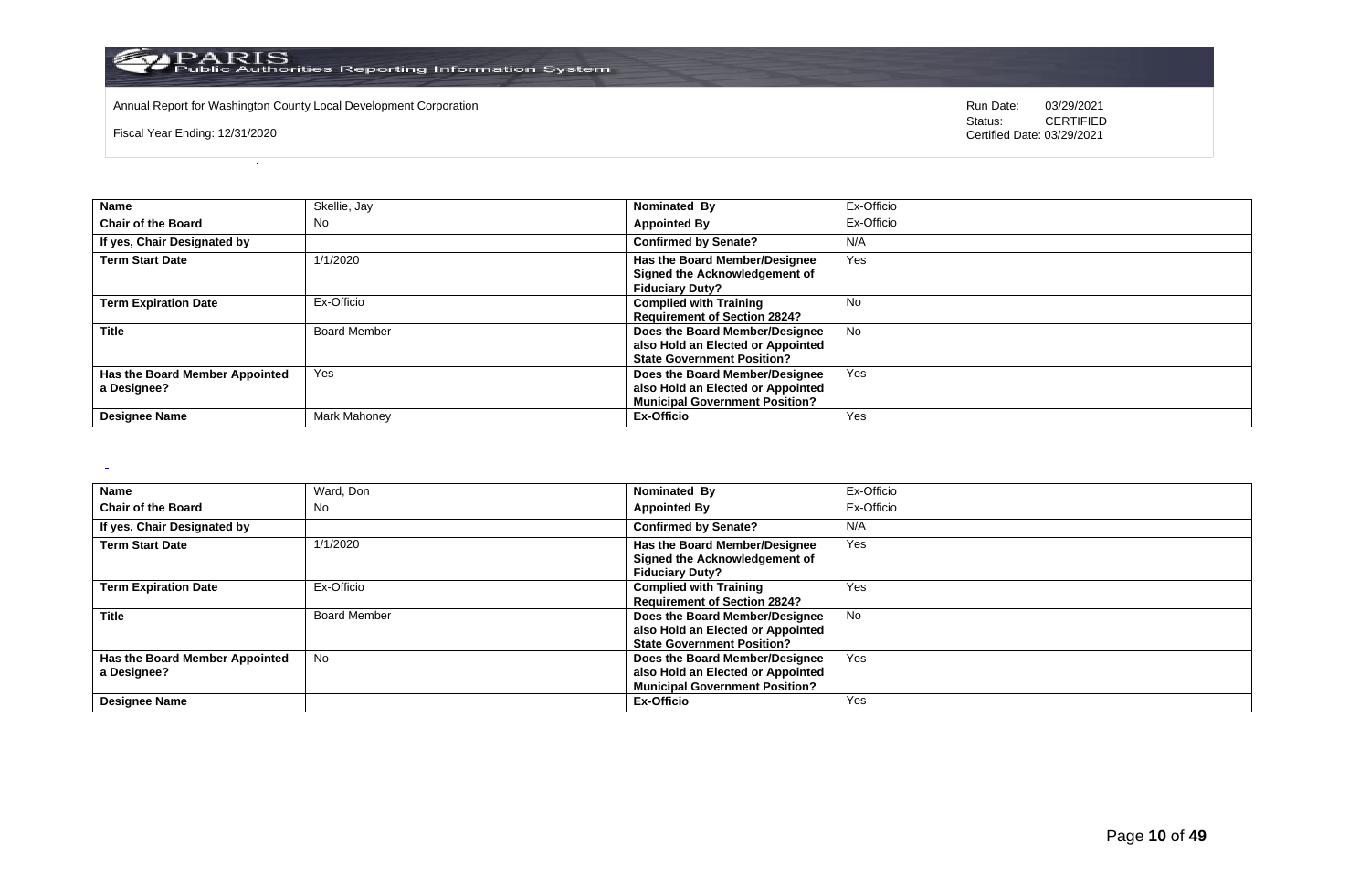

Annual Report for Washington County Local Development Corporation **Computer Computer Computer Computer Computer** Run Date: 03/29/2021<br>Status: CERTIFIED

Fiscal Year Ending: 12/31/2020

CERTIFIED Certified Date: 03/29/2021

| <b>Name</b>                                   | Skellie, Jay        | Nominated By                                                                                                 | Ex-Officio |
|-----------------------------------------------|---------------------|--------------------------------------------------------------------------------------------------------------|------------|
| <b>Chair of the Board</b>                     | <b>No</b>           | <b>Appointed By</b>                                                                                          | Ex-Officio |
| If yes, Chair Designated by                   |                     | <b>Confirmed by Senate?</b>                                                                                  | N/A        |
| <b>Term Start Date</b>                        | 1/1/2020            | Has the Board Member/Designee<br>Signed the Acknowledgement of<br><b>Fiduciary Duty?</b>                     | Yes        |
| <b>Term Expiration Date</b>                   | Ex-Officio          | <b>Complied with Training</b><br><b>Requirement of Section 2824?</b>                                         | <b>No</b>  |
| <b>Title</b>                                  | <b>Board Member</b> | Does the Board Member/Designee<br>also Hold an Elected or Appointed<br><b>State Government Position?</b>     | No         |
| Has the Board Member Appointed<br>a Designee? | Yes                 | Does the Board Member/Designee<br>also Hold an Elected or Appointed<br><b>Municipal Government Position?</b> | Yes        |
| <b>Designee Name</b>                          | Mark Mahoney        | Ex-Officio                                                                                                   | Yes        |

 $\sim$ 

| Name                           | Ward, Don           | Nominated By                          | Ex-Officio |
|--------------------------------|---------------------|---------------------------------------|------------|
| <b>Chair of the Board</b>      | No                  | <b>Appointed By</b>                   | Ex-Officio |
| If yes, Chair Designated by    |                     | <b>Confirmed by Senate?</b>           | N/A        |
| <b>Term Start Date</b>         | 1/1/2020            | Has the Board Member/Designee         | Yes        |
|                                |                     | Signed the Acknowledgement of         |            |
|                                |                     | <b>Fiduciary Duty?</b>                |            |
| <b>Term Expiration Date</b>    | Ex-Officio          | <b>Complied with Training</b>         | Yes        |
|                                |                     | <b>Requirement of Section 2824?</b>   |            |
| <b>Title</b>                   | <b>Board Member</b> | Does the Board Member/Designee        | No.        |
|                                |                     | also Hold an Elected or Appointed     |            |
|                                |                     | <b>State Government Position?</b>     |            |
| Has the Board Member Appointed | No                  | Does the Board Member/Designee        | Yes        |
| a Designee?                    |                     | also Hold an Elected or Appointed     |            |
|                                |                     | <b>Municipal Government Position?</b> |            |
| <b>Designee Name</b>           |                     | Ex-Officio                            | Yes        |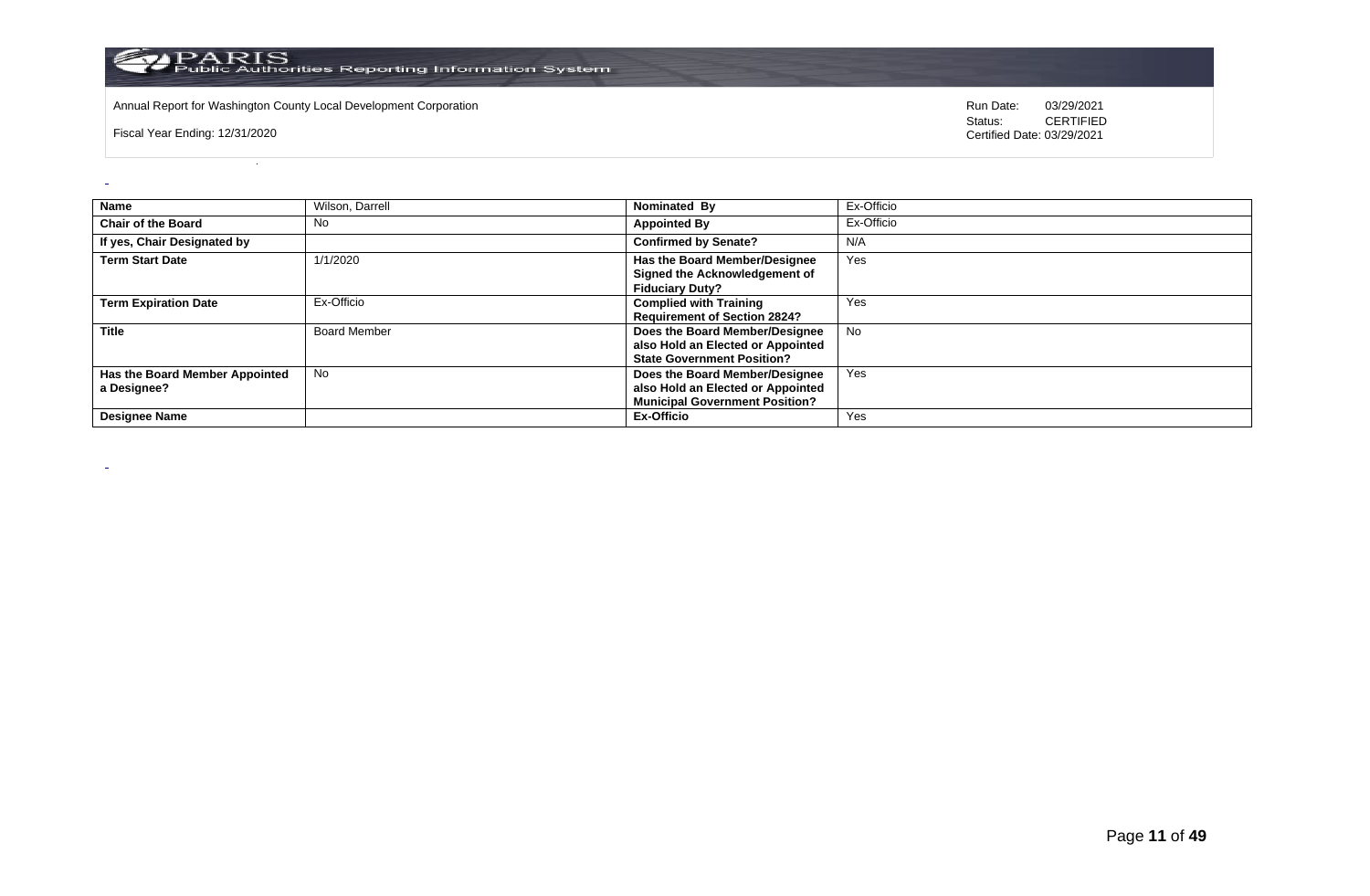

Annual Report for Washington County Local Development Corporation **Computer Computer Computer Computer Computer** Run Date: 03/29/2021<br>Status: CERTIFIED

Fiscal Year Ending: 12/31/2020

 $\overline{a}$ 

 $\sim$ 

| <b>Name</b>                                   | Wilson, Darrell     | Nominated By                                                                                                 | Ex-Officio |
|-----------------------------------------------|---------------------|--------------------------------------------------------------------------------------------------------------|------------|
| <b>Chair of the Board</b>                     | No.                 | <b>Appointed By</b>                                                                                          | Ex-Officio |
| If yes, Chair Designated by                   |                     | <b>Confirmed by Senate?</b>                                                                                  | N/A        |
| <b>Term Start Date</b>                        | 1/1/2020            | Has the Board Member/Designee<br>Signed the Acknowledgement of<br><b>Fiduciary Duty?</b>                     | Yes        |
| <b>Term Expiration Date</b>                   | Ex-Officio          | <b>Complied with Training</b><br><b>Requirement of Section 2824?</b>                                         | Yes        |
| <b>Title</b>                                  | <b>Board Member</b> | Does the Board Member/Designee<br>also Hold an Elected or Appointed<br><b>State Government Position?</b>     | <b>No</b>  |
| Has the Board Member Appointed<br>a Designee? | <b>No</b>           | Does the Board Member/Designee<br>also Hold an Elected or Appointed<br><b>Municipal Government Position?</b> | Yes        |
| <b>Designee Name</b>                          |                     | Ex-Officio                                                                                                   | Yes        |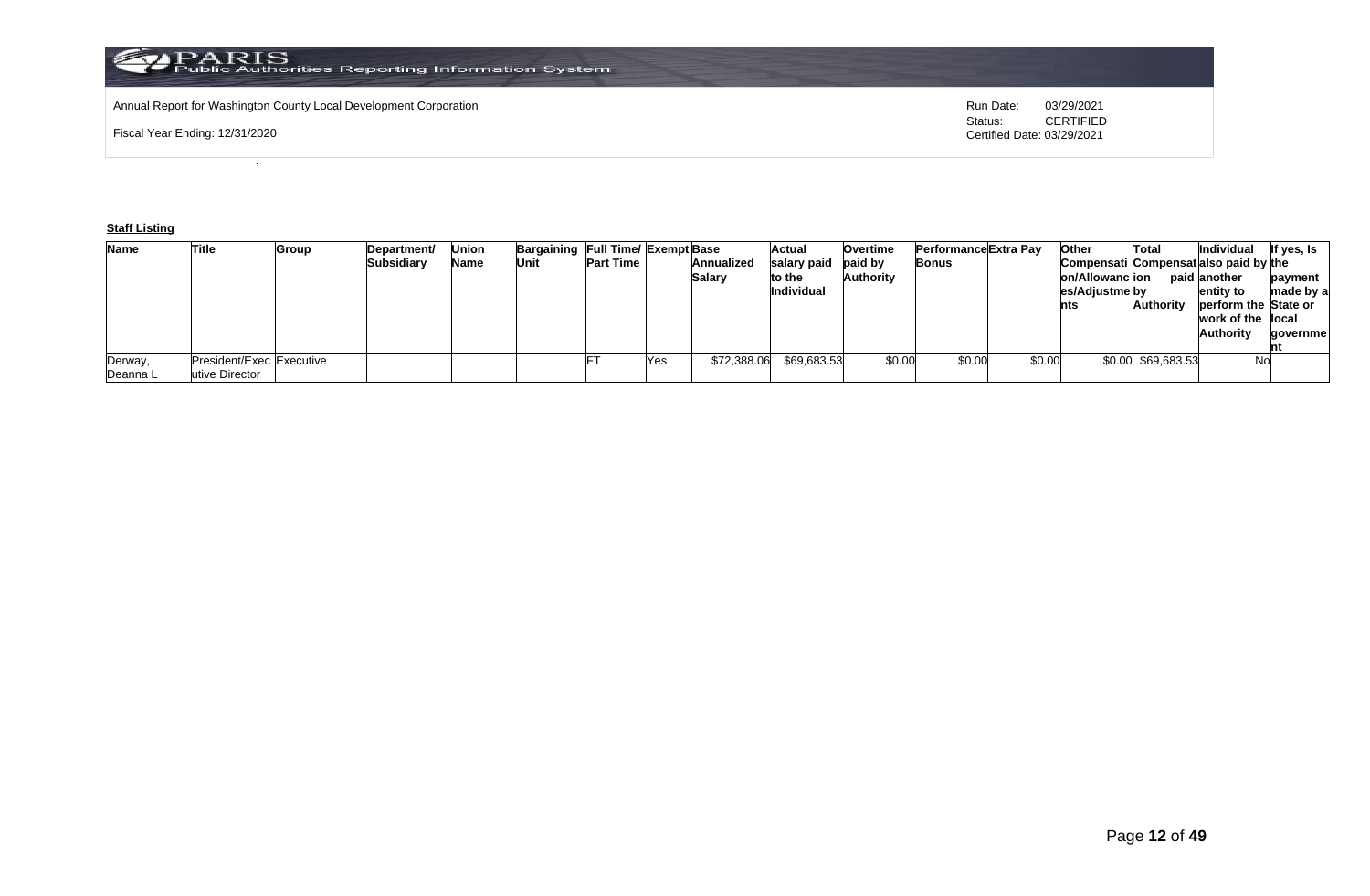# Annual Report for Washington County Local Development Corporation **Run Date:** Annual Report for Washington County Local Development Corporation Run Date: 03/29/2021<br>Status: CERTIFIED

Fiscal Year Ending: 12/31/2020

CERTIFIED Certified Date: 03/29/2021

# **Staff Listing**

| <b>Name</b> | Title                    | Group | Department/ | Union | Bargaining Full Time/ Exempt Base |                  |     |               | Actual            | <b>Overtime</b> | Performance Extra Pay |        | Other                                 | Total              | Individual           | If yes, Is |
|-------------|--------------------------|-------|-------------|-------|-----------------------------------|------------------|-----|---------------|-------------------|-----------------|-----------------------|--------|---------------------------------------|--------------------|----------------------|------------|
|             |                          |       | Subsidiary  | Name  | Unit                              | <b>Part Time</b> |     | Annualized    | salary paid       | paid by         | Bonus                 |        | Compensati Compensatialso paid by the |                    |                      |            |
|             |                          |       |             |       |                                   |                  |     | <b>Salary</b> | to the            | Authority       |                       |        | on/Allowanc ion                       |                    | paid another         | payment    |
|             |                          |       |             |       |                                   |                  |     |               | <b>Individual</b> |                 |                       |        | es/Adjustme by                        |                    | entity to            | made by a  |
|             |                          |       |             |       |                                   |                  |     |               |                   |                 |                       |        | nts                                   | <b>Authority</b>   | perform the State or |            |
|             |                          |       |             |       |                                   |                  |     |               |                   |                 |                       |        |                                       |                    | work of the llocal   |            |
|             |                          |       |             |       |                                   |                  |     |               |                   |                 |                       |        |                                       |                    | <b>Authority</b>     | qovernmel  |
|             |                          |       |             |       |                                   |                  |     |               |                   |                 |                       |        |                                       |                    |                      |            |
| Derway,     | President/Exec Executive |       |             |       |                                   |                  | Yes | \$72,388.06   | \$69,683.53       | \$0.00          | \$0.00                | \$0.00 |                                       | \$0.00 \$69,683.53 | No                   |            |
| Deanna L    | utive Director           |       |             |       |                                   |                  |     |               |                   |                 |                       |        |                                       |                    |                      |            |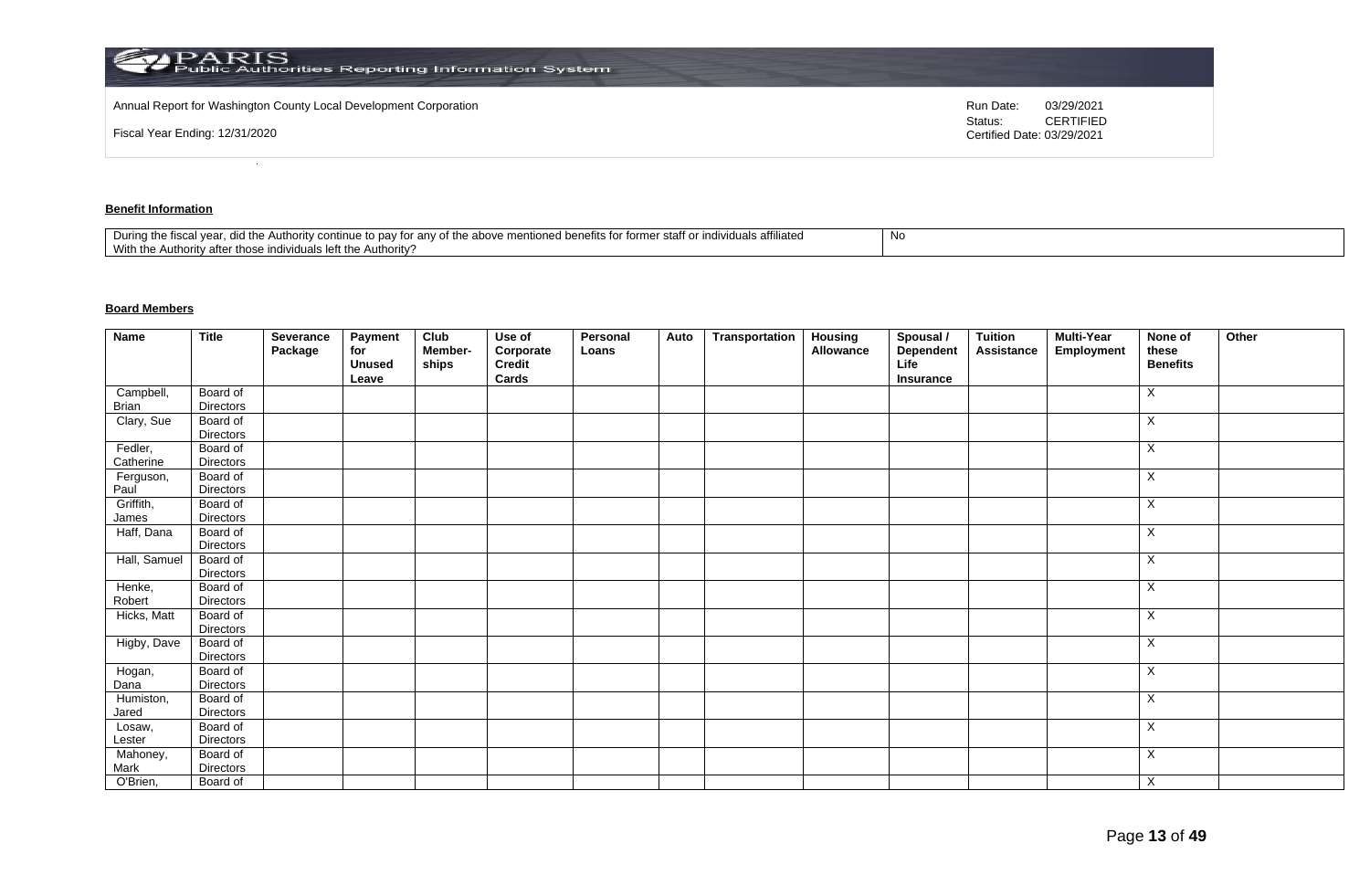| Annual Report for Washington County Local Development Corporation<br>03/29/2021<br>Run Date:<br><b>CERTIFIED</b><br>Status:<br>Fiscal Year Ending: 12/31/2020<br>Certified Date: 03/29/2021 | PARIS<br>Public Authorities Reporting Information System |  |
|---------------------------------------------------------------------------------------------------------------------------------------------------------------------------------------------|----------------------------------------------------------|--|
|                                                                                                                                                                                             |                                                          |  |
|                                                                                                                                                                                             |                                                          |  |

# **Benefit Information**

| affiliated<br>staff o<br>$+$<br>During the fiscal<br>the above<br>าฑทนค<br>the Authority cor<br>r anv oi<br>individuais en<br>ונזד עי<br>to dav<br>101111 <del>0</del><br>iloneg benems ion<br>1 Y U<br>.<br>With the<br>Authority?<br>uthori<br>.v atte<br>∴ ייטו בווסו∨וסטו forr^ |  |
|-------------------------------------------------------------------------------------------------------------------------------------------------------------------------------------------------------------------------------------------------------------------------------------|--|
|-------------------------------------------------------------------------------------------------------------------------------------------------------------------------------------------------------------------------------------------------------------------------------------|--|

# **Board Members**

| <b>Name</b>        | <b>Title</b>                 | Severance<br>Package | Payment<br>for<br><b>Unused</b><br>Leave | Club<br>Member-<br>ships | Use of<br>Corporate<br>Credit<br>Cards | Personal<br>Loans | Auto | Transportation | <b>Housing</b><br>Allowance | Spousal /<br>Dependent<br>Life<br>Insurance | <b>Tuition</b><br>Assistance | <b>Multi-Year</b><br>Employment | None of<br>these<br><b>Benefits</b> | Other |
|--------------------|------------------------------|----------------------|------------------------------------------|--------------------------|----------------------------------------|-------------------|------|----------------|-----------------------------|---------------------------------------------|------------------------------|---------------------------------|-------------------------------------|-------|
| Campbell,          | Board of                     |                      |                                          |                          |                                        |                   |      |                |                             |                                             |                              |                                 | X                                   |       |
| Brian              | <b>Directors</b>             |                      |                                          |                          |                                        |                   |      |                |                             |                                             |                              |                                 |                                     |       |
| Clary, Sue         | Board of<br>Directors        |                      |                                          |                          |                                        |                   |      |                |                             |                                             |                              |                                 | X                                   |       |
| Fedler,            | Board of                     |                      |                                          |                          |                                        |                   |      |                |                             |                                             |                              |                                 | X                                   |       |
| Catherine          | <b>Directors</b>             |                      |                                          |                          |                                        |                   |      |                |                             |                                             |                              |                                 |                                     |       |
| Ferguson,          | Board of                     |                      |                                          |                          |                                        |                   |      |                |                             |                                             |                              |                                 | X                                   |       |
| Paul               | <b>Directors</b>             |                      |                                          |                          |                                        |                   |      |                |                             |                                             |                              |                                 |                                     |       |
| Griffith,<br>James | Board of<br><b>Directors</b> |                      |                                          |                          |                                        |                   |      |                |                             |                                             |                              |                                 | Χ                                   |       |
| Haff, Dana         | Board of<br><b>Directors</b> |                      |                                          |                          |                                        |                   |      |                |                             |                                             |                              |                                 | X                                   |       |
| Hall, Samuel       | Board of<br><b>Directors</b> |                      |                                          |                          |                                        |                   |      |                |                             |                                             |                              |                                 | X                                   |       |
| Henke,<br>Robert   | Board of<br>Directors        |                      |                                          |                          |                                        |                   |      |                |                             |                                             |                              |                                 | X                                   |       |
| Hicks, Matt        | Board of<br><b>Directors</b> |                      |                                          |                          |                                        |                   |      |                |                             |                                             |                              |                                 | X                                   |       |
| Higby, Dave        | Board of<br><b>Directors</b> |                      |                                          |                          |                                        |                   |      |                |                             |                                             |                              |                                 | X                                   |       |
| Hogan,<br>Dana     | Board of<br>Directors        |                      |                                          |                          |                                        |                   |      |                |                             |                                             |                              |                                 | X                                   |       |
| Humiston,<br>Jared | Board of<br>Directors        |                      |                                          |                          |                                        |                   |      |                |                             |                                             |                              |                                 | X                                   |       |
| Losaw,<br>Lester   | Board of<br><b>Directors</b> |                      |                                          |                          |                                        |                   |      |                |                             |                                             |                              |                                 | X                                   |       |
| Mahoney,<br>Mark   | Board of<br>Directors        |                      |                                          |                          |                                        |                   |      |                |                             |                                             |                              |                                 | X                                   |       |
| O'Brien,           | Board of                     |                      |                                          |                          |                                        |                   |      |                |                             |                                             |                              |                                 | X                                   |       |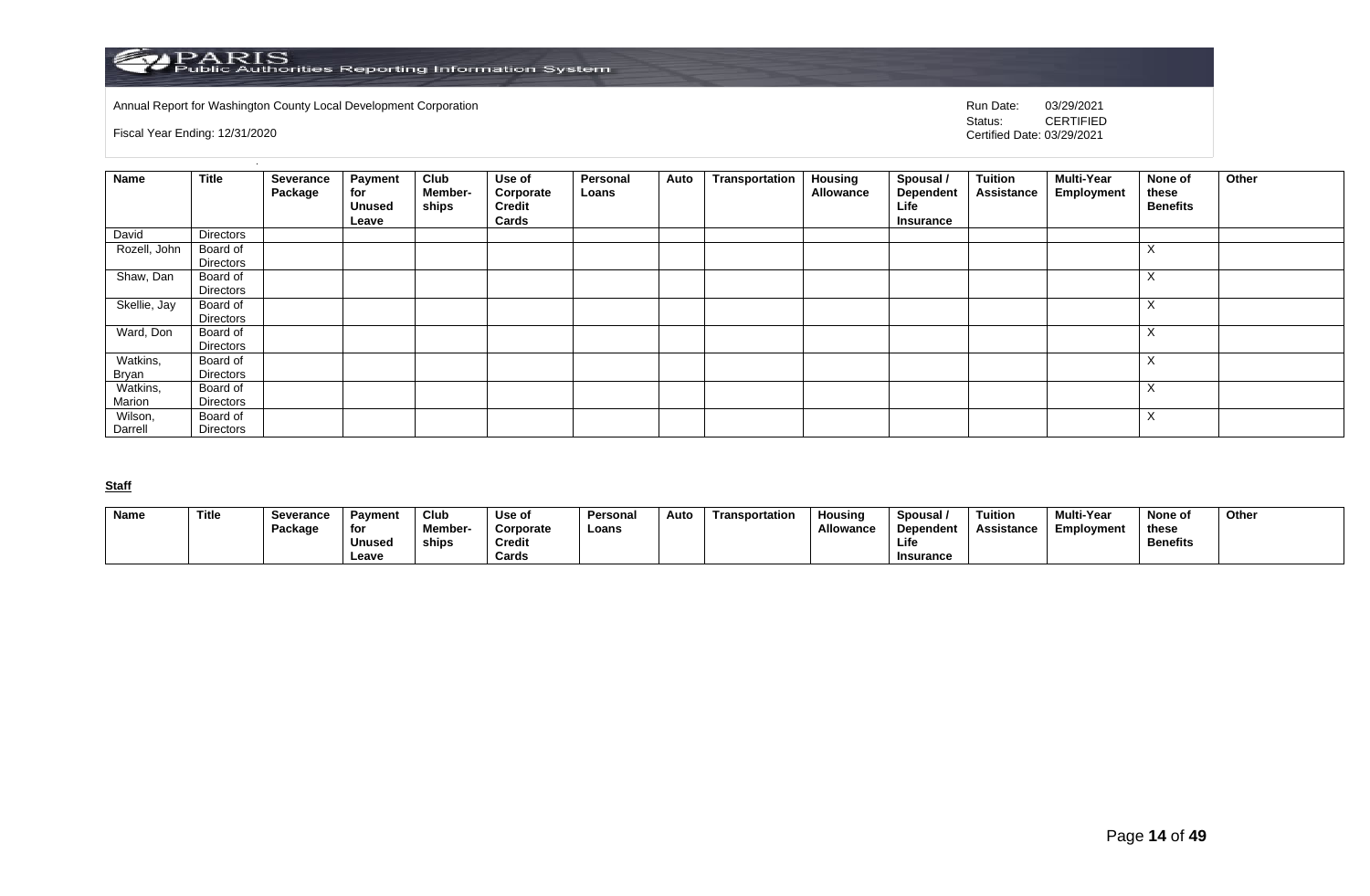

Annual Report for Washington County Local Development Corporation **Company County Connect Connect Connect Connect**<br>
Status: CERTIFIED

Fiscal Year Ending: 12/31/2020

CERTIFIED Certified Date: 03/29/2021

| Name               | <b>Title</b>          | Severance<br>Package | <b>Payment</b><br>for<br><b>Unused</b><br>Leave | Club<br>Member-<br>ships | Use of<br>Corporate<br><b>Credit</b><br>Cards | Personal<br>Loans | Auto | Transportation | <b>Housing</b><br>Allowance | Spousal /<br>Dependent<br>Life<br>Insurance | Tuition<br><b>Assistance</b> | Multi-Year<br>Employment | None of<br>these<br><b>Benefits</b> | Other |
|--------------------|-----------------------|----------------------|-------------------------------------------------|--------------------------|-----------------------------------------------|-------------------|------|----------------|-----------------------------|---------------------------------------------|------------------------------|--------------------------|-------------------------------------|-------|
| David              | Directors             |                      |                                                 |                          |                                               |                   |      |                |                             |                                             |                              |                          |                                     |       |
| Rozell, John       | Board of<br>Directors |                      |                                                 |                          |                                               |                   |      |                |                             |                                             |                              |                          | $\lambda$<br>$\Lambda$              |       |
| Shaw, Dan          | Board of<br>Directors |                      |                                                 |                          |                                               |                   |      |                |                             |                                             |                              |                          | $\checkmark$<br>$\Lambda$           |       |
| Skellie, Jay       | Board of<br>Directors |                      |                                                 |                          |                                               |                   |      |                |                             |                                             |                              |                          | $\Lambda$                           |       |
| Ward, Don          | Board of<br>Directors |                      |                                                 |                          |                                               |                   |      |                |                             |                                             |                              |                          | $\lambda$                           |       |
| Watkins,<br>Bryan  | Board of<br>Directors |                      |                                                 |                          |                                               |                   |      |                |                             |                                             |                              |                          | $\lambda$                           |       |
| Watkins,<br>Marion | Board of<br>Directors |                      |                                                 |                          |                                               |                   |      |                |                             |                                             |                              |                          | $\lambda$<br>$\Lambda$              |       |
| Wilson,<br>Darrell | Board of<br>Directors |                      |                                                 |                          |                                               |                   |      |                |                             |                                             |                              |                          | $\sqrt{}$<br>$\lambda$              |       |

**Staff**

| <b>Name</b> | Title | Severance | <b>Payment</b> | Club           | Use of    | Personal | Auto | Transportation | Housina          | Spousal          | <b>Tuition</b> | <b>Multi-Year</b> | None of         | Other |
|-------------|-------|-----------|----------------|----------------|-----------|----------|------|----------------|------------------|------------------|----------------|-------------------|-----------------|-------|
|             |       | Package   | for            | <b>Member-</b> | Corporate | Loans    |      |                | <b>Allowance</b> | Dependent        | Assistance     | Employment        | these           |       |
|             |       |           | Unused         | ships          | Credit    |          |      |                |                  | Life             |                |                   | <b>Benefits</b> |       |
|             |       |           | Leave          |                | Cards     |          |      |                |                  | <b>Insurance</b> |                |                   |                 |       |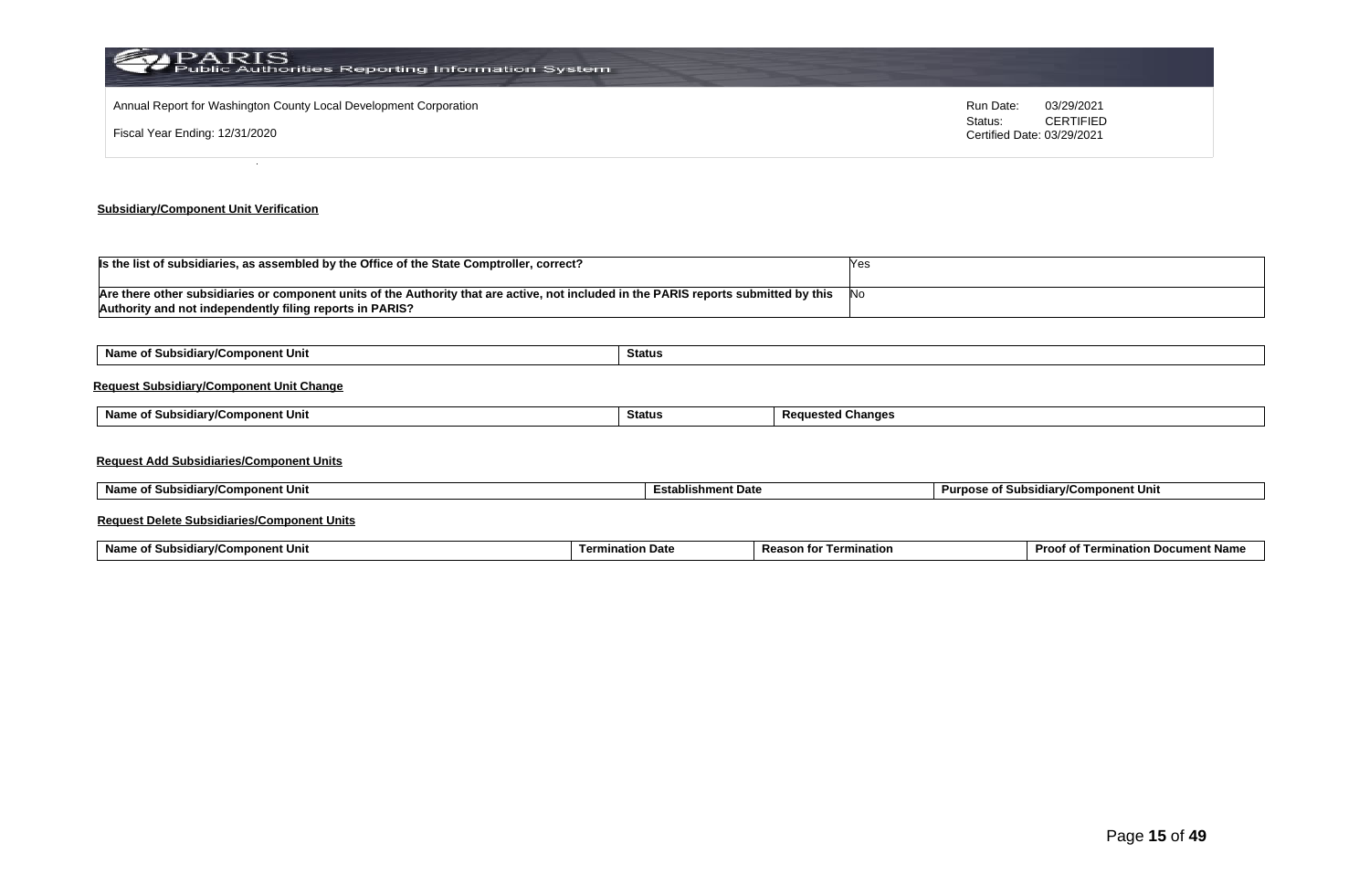| PARIS<br>Public Authorities Reporting Information System                                            |                                                                                      |
|-----------------------------------------------------------------------------------------------------|--------------------------------------------------------------------------------------|
| Annual Report for Washington County Local Development Corporation<br>Fiscal Year Ending: 12/31/2020 | Run Date:<br>03/29/2021<br><b>CERTIFIED</b><br>Status:<br>Certified Date: 03/29/2021 |
|                                                                                                     |                                                                                      |

#### **Subsidiary/Component Unit Verification**

| Is the list of subsidiaries, as assembled by the Office of the State Comptroller, correct?                                                                                                        |            |
|---------------------------------------------------------------------------------------------------------------------------------------------------------------------------------------------------|------------|
| Are there other subsidiaries or component units of the Authority that are active, not included in the PARIS reports submitted by this<br>Authority and not independently filing reports in PARIS? | <b>INC</b> |

| Name of Subsidiary/Component Unit               | Status        |                          |  |
|-------------------------------------------------|---------------|--------------------------|--|
| <b>Request Subsidiary/Component Unit Change</b> |               |                          |  |
| Name of Subsidiary/Component Unit               | <b>Status</b> | <b>Requested Changes</b> |  |
|                                                 |               |                          |  |
| <b>Request Add Subsidiaries/Component Units</b> |               |                          |  |
|                                                 |               |                          |  |

| Name o<br>of Subsidiarv/Component Unit_ | hment Date<br>≞stablisr | ubsidiarv/Component Unit<br>Purpose <b>u</b><br>וכ זס |
|-----------------------------------------|-------------------------|-------------------------------------------------------|
|                                         |                         |                                                       |

#### **Request Delete Subsidiaries/Component Units**

| Name o<br>Subs<br>mponent Unit≀<br>≅idiarv/u | mination Date | <b>Reason</b> fo<br>Termination | <b>∍cument Nam</b> ∕<br><b>Proof</b><br>⇒∟ Termin<br>tion |
|----------------------------------------------|---------------|---------------------------------|-----------------------------------------------------------|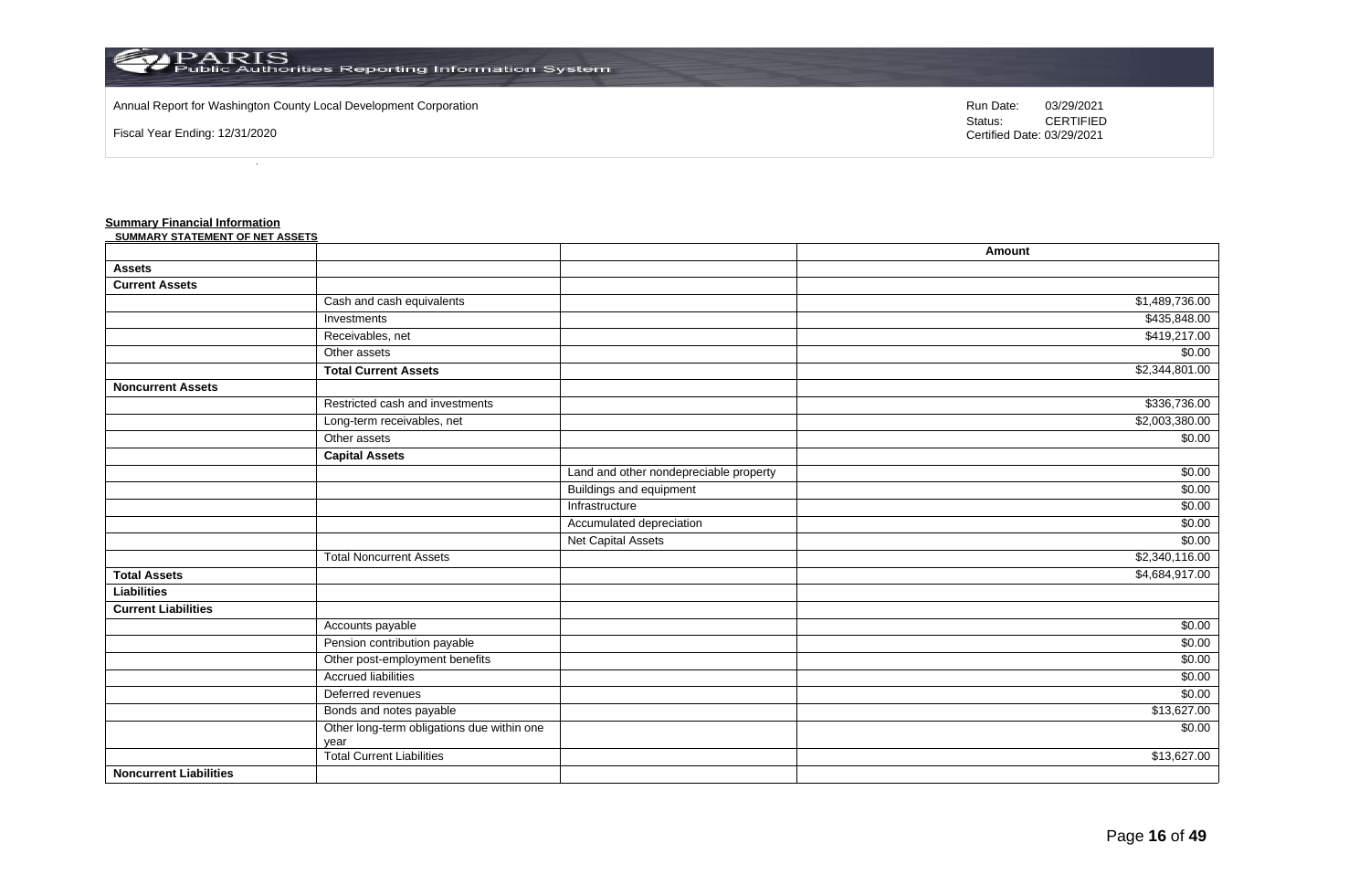

#### Annual Report for Washington County Local Development Corporation Run Date: 03/29/2021

Fiscal Year Ending: 12/31/2020

Status: **CERTIFIED** Certified Date: 03/29/2021

**Amount**

#### **Summary Financial Information**

| SUMMARY STATEMENT OF NET ASSETS |                           |
|---------------------------------|---------------------------|
|                                 |                           |
| Assets                          |                           |
| <b>Current Assets</b>           |                           |
|                                 | Cash and cash equivalents |
|                                 |                           |

| <b>Assets</b>                 |                                                    |                                        |                |
|-------------------------------|----------------------------------------------------|----------------------------------------|----------------|
| <b>Current Assets</b>         |                                                    |                                        |                |
|                               | Cash and cash equivalents                          |                                        | \$1,489,736.00 |
|                               | Investments                                        |                                        | \$435,848.00   |
|                               | Receivables, net                                   |                                        | \$419,217.00   |
|                               | Other assets                                       |                                        | \$0.00         |
|                               | <b>Total Current Assets</b>                        |                                        | \$2,344,801.00 |
| <b>Noncurrent Assets</b>      |                                                    |                                        |                |
|                               | Restricted cash and investments                    |                                        | \$336,736.00   |
|                               | Long-term receivables, net                         |                                        | \$2,003,380.00 |
|                               | Other assets                                       |                                        | \$0.00         |
|                               | <b>Capital Assets</b>                              |                                        |                |
|                               |                                                    | Land and other nondepreciable property | \$0.00         |
|                               |                                                    | <b>Buildings and equipment</b>         | \$0.00         |
|                               |                                                    | Infrastructure                         | \$0.00         |
|                               |                                                    | Accumulated depreciation               | \$0.00         |
|                               |                                                    | <b>Net Capital Assets</b>              | \$0.00         |
|                               | <b>Total Noncurrent Assets</b>                     |                                        | \$2,340,116.00 |
| <b>Total Assets</b>           |                                                    |                                        | \$4,684,917.00 |
| <b>Liabilities</b>            |                                                    |                                        |                |
| <b>Current Liabilities</b>    |                                                    |                                        |                |
|                               | Accounts payable                                   |                                        | \$0.00         |
|                               | Pension contribution payable                       |                                        | \$0.00         |
|                               | Other post-employment benefits                     |                                        | \$0.00         |
|                               | <b>Accrued liabilities</b>                         |                                        | \$0.00         |
|                               | Deferred revenues                                  |                                        | \$0.00         |
|                               | Bonds and notes payable                            |                                        | \$13,627.00    |
|                               | Other long-term obligations due within one<br>vear |                                        | \$0.00         |
|                               | Total Current Liabilities                          |                                        | \$13,627.00    |
| <b>Noncurrent Liabilities</b> |                                                    |                                        |                |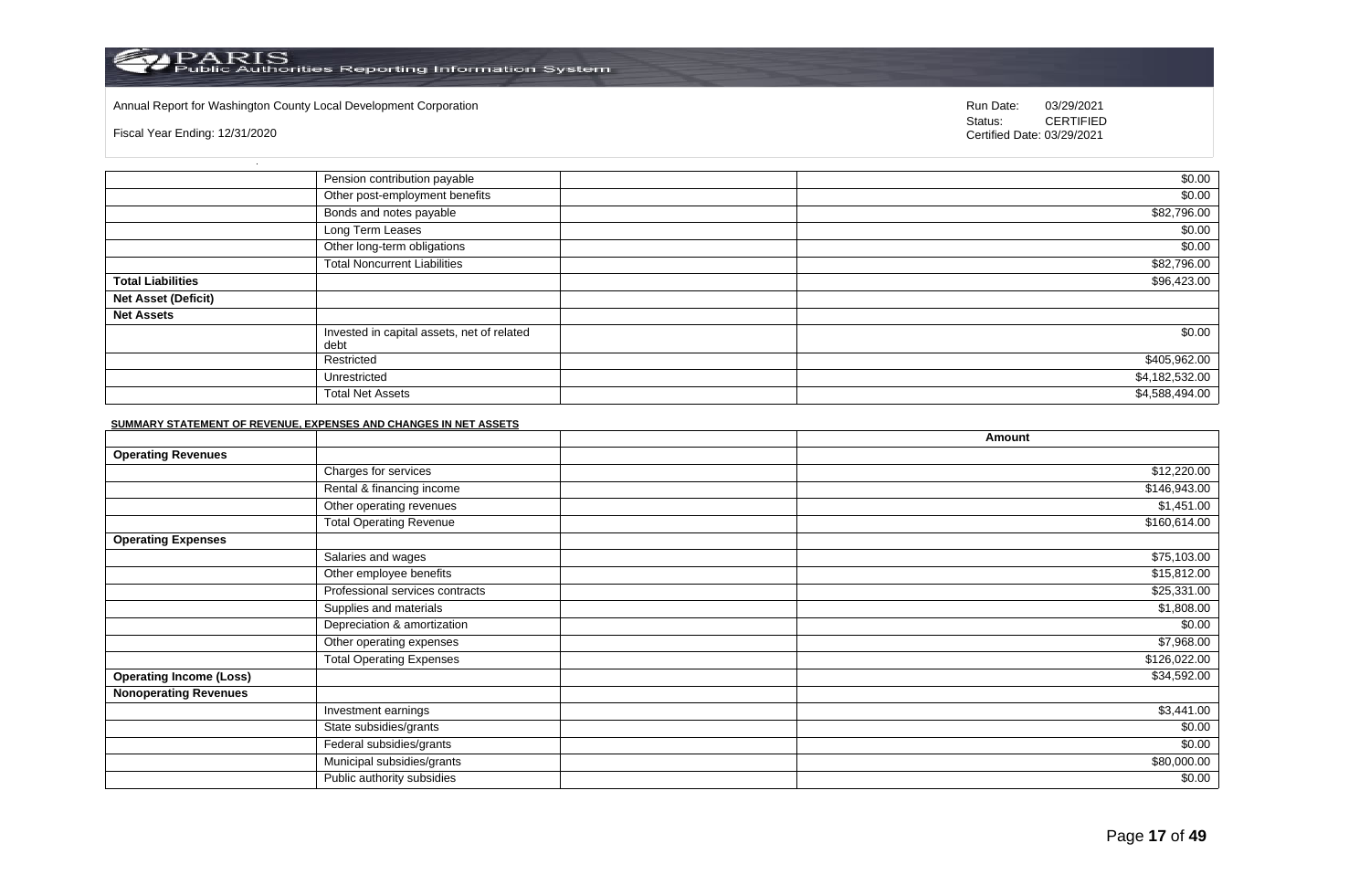#### Annual Report for Washington County Local Development Corporation Run Date: 03/29/2021

Fiscal Year Ending: 12/31/2020

Status: **CERTIFIED** Certified Date: 03/29/2021

|                            | Pension contribution payable                       | \$0.00         |
|----------------------------|----------------------------------------------------|----------------|
|                            | Other post-employment benefits                     | \$0.00         |
|                            | Bonds and notes payable                            | \$82,796.00    |
|                            | Long Term Leases                                   | \$0.00         |
|                            | Other long-term obligations                        | \$0.00         |
|                            | <b>Total Noncurrent Liabilities</b>                | \$82,796.00    |
| <b>Total Liabilities</b>   |                                                    | \$96,423.00    |
| <b>Net Asset (Deficit)</b> |                                                    |                |
| <b>Net Assets</b>          |                                                    |                |
|                            | Invested in capital assets, net of related<br>debt | \$0.00         |
|                            | Restricted                                         | \$405,962.00   |
|                            | Unrestricted                                       | \$4,182,532.00 |
|                            | <b>Total Net Assets</b>                            | \$4,588,494.00 |

#### **SUMMARY STATEMENT OF REVENUE, EXPENSES AND CHANGES IN NET ASSETS**

|                                |                                 | Amount       |
|--------------------------------|---------------------------------|--------------|
| <b>Operating Revenues</b>      |                                 |              |
|                                | Charges for services            | \$12,220.00  |
|                                | Rental & financing income       | \$146,943.00 |
|                                | Other operating revenues        | \$1,451.00   |
|                                | <b>Total Operating Revenue</b>  | \$160,614.00 |
| <b>Operating Expenses</b>      |                                 |              |
|                                | Salaries and wages              | \$75,103.00  |
|                                | Other employee benefits         | \$15,812.00  |
|                                | Professional services contracts | \$25,331.00  |
|                                | Supplies and materials          | \$1,808.00   |
|                                | Depreciation & amortization     | \$0.00       |
|                                | Other operating expenses        | \$7,968.00   |
|                                | <b>Total Operating Expenses</b> | \$126,022.00 |
| <b>Operating Income (Loss)</b> |                                 | \$34,592.00  |
| <b>Nonoperating Revenues</b>   |                                 |              |
|                                | Investment earnings             | \$3,441.00   |
|                                | State subsidies/grants          | \$0.00       |
|                                | Federal subsidies/grants        | \$0.00       |
|                                | Municipal subsidies/grants      | \$80,000.00  |
|                                | Public authority subsidies      | \$0.00       |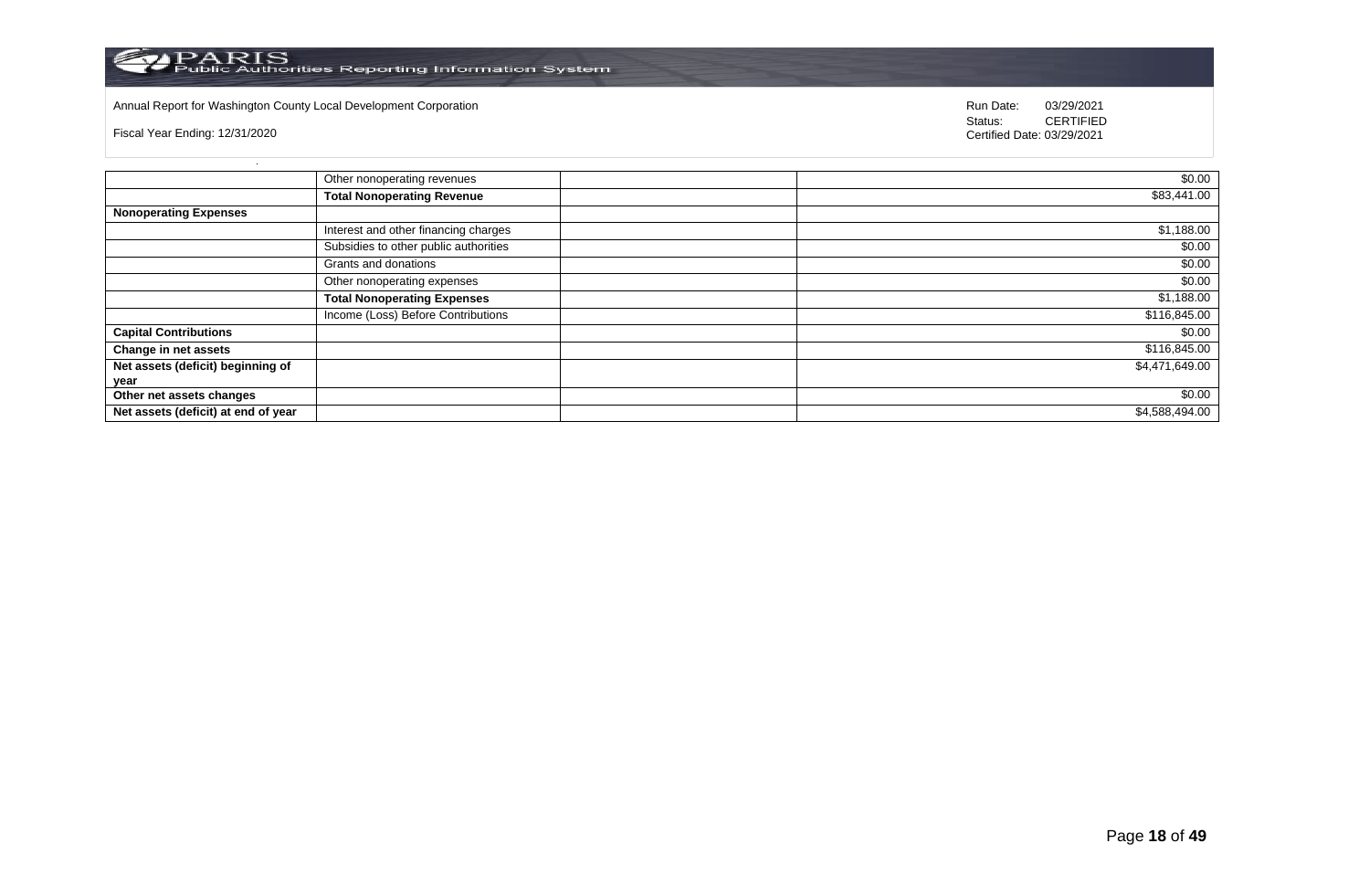

# Annual Report for Washington County Local Development Corporation **Run Date:** 03/29/2021

Fiscal Year Ending: 12/31/2020

Status: **CERTIFIED** Certified Date: 03/29/2021

|                                     | Other nonoperating revenues           | \$0.00         |
|-------------------------------------|---------------------------------------|----------------|
|                                     | <b>Total Nonoperating Revenue</b>     | \$83,441.00    |
| <b>Nonoperating Expenses</b>        |                                       |                |
|                                     | Interest and other financing charges  | \$1,188.00     |
|                                     | Subsidies to other public authorities | \$0.00         |
|                                     | Grants and donations                  | \$0.00         |
|                                     | Other nonoperating expenses           | \$0.00         |
|                                     | <b>Total Nonoperating Expenses</b>    | \$1,188.00     |
|                                     | Income (Loss) Before Contributions    | \$116,845.00   |
| <b>Capital Contributions</b>        |                                       | \$0.00         |
| Change in net assets                |                                       | \$116,845.00   |
| Net assets (deficit) beginning of   |                                       | \$4,471,649.00 |
| year                                |                                       |                |
| Other net assets changes            |                                       | \$0.00         |
| Net assets (deficit) at end of year |                                       | \$4,588,494.00 |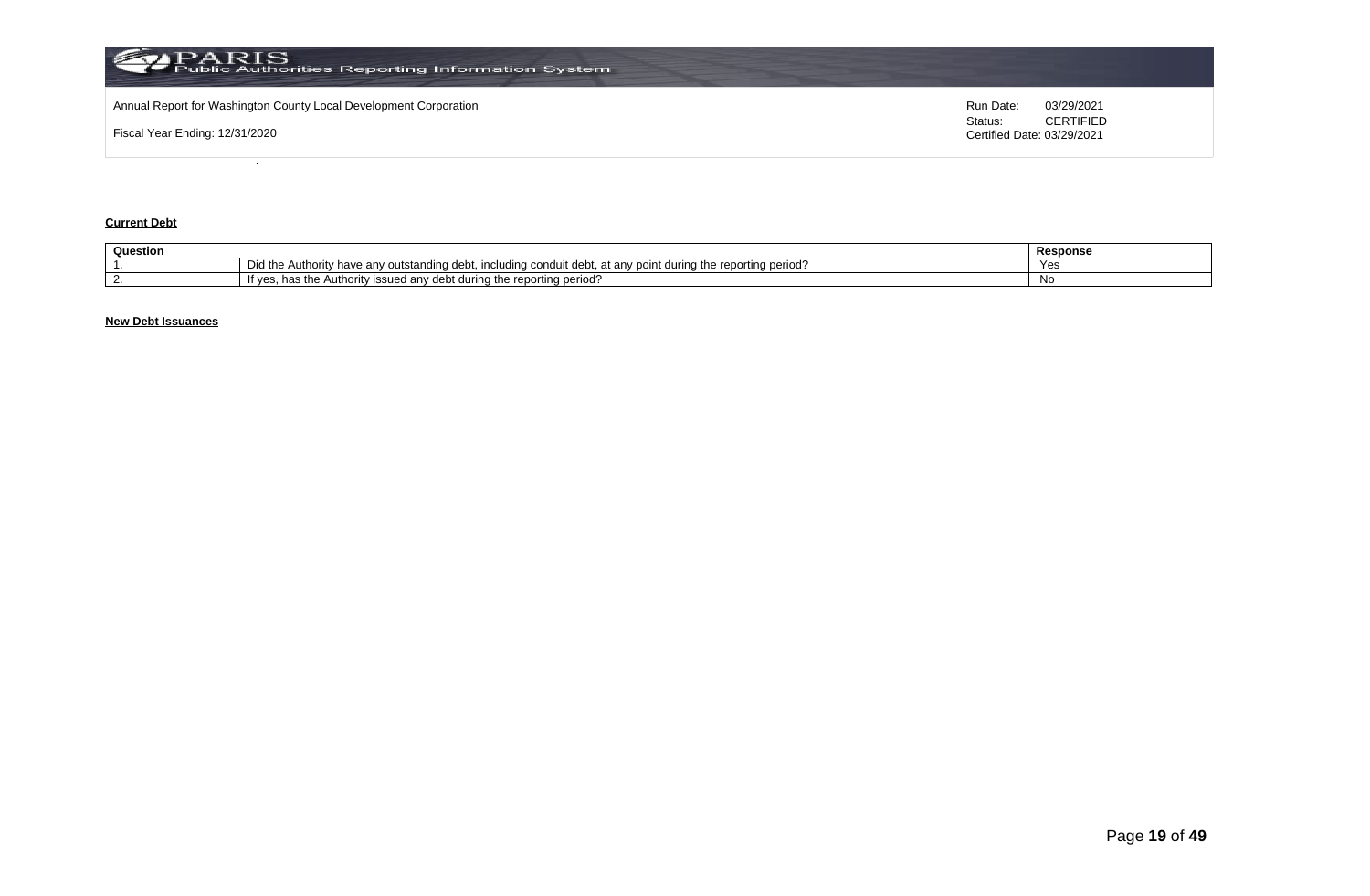

#### **Current Debt**

| Question |                                                                                                                                                                                                   | Response   |
|----------|---------------------------------------------------------------------------------------------------------------------------------------------------------------------------------------------------|------------|
|          | Did the<br>rtina period<br>$\Omega$ ran.<br>have<br>ına<br><b>Authority</b><br>dobi<br>e anv outstand<br>$\sim$<br>conqui<br>: aurina<br>ucu.<br>, reporting<br>11 IUNUN 19<br>711<br>ucu. .<br>. | <b>Yes</b> |
|          | reporting period?<br>t anv debt<br>t during the<br>"t ves.<br>∵the AutI<br><b>SSUEG</b><br>ാrit∨<br>,,,,,                                                                                         | Νo         |

# **New Debt Issuances**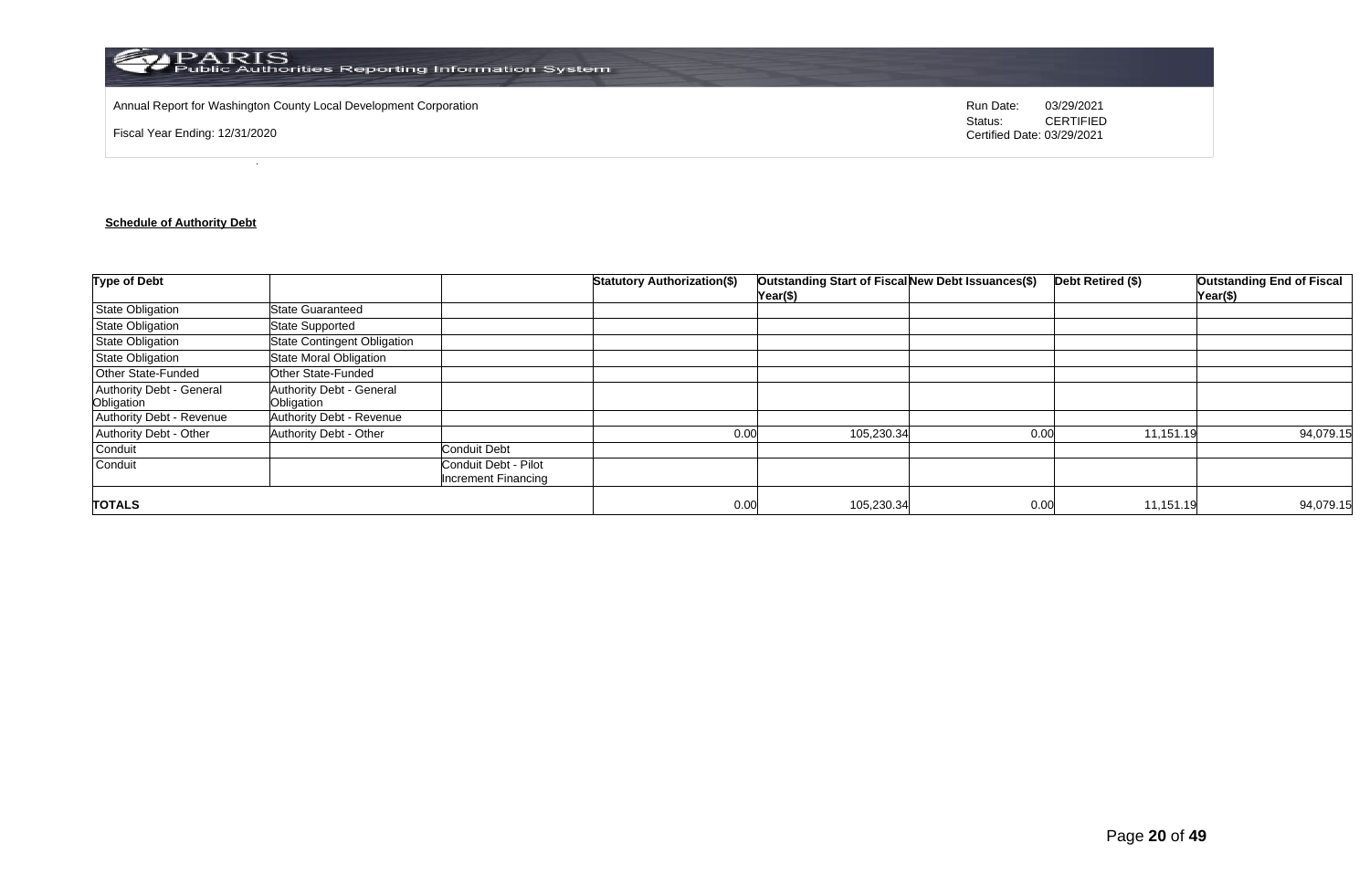

Annual Report for Washington County Local Development Corporation **Run Date:** 03/29/2021

Fiscal Year Ending: 12/31/2020

Status: **CERTIFIED** Certified Date: 03/29/2021

# **Schedule of Authority Debt**

| <b>Type of Debt</b>                    |                                        |                                             | <b>Statutory Authorization(\$)</b> | Outstanding Start of Fiscal New Debt Issuances(\$)<br>Year(\$) |      | Debt Retired (\$) | <b>Outstanding End of Fiscal</b><br>Year(\$) |
|----------------------------------------|----------------------------------------|---------------------------------------------|------------------------------------|----------------------------------------------------------------|------|-------------------|----------------------------------------------|
| <b>State Obligation</b>                | State Guaranteed                       |                                             |                                    |                                                                |      |                   |                                              |
| <b>State Obligation</b>                | <b>State Supported</b>                 |                                             |                                    |                                                                |      |                   |                                              |
| <b>State Obligation</b>                | <b>State Contingent Obligation</b>     |                                             |                                    |                                                                |      |                   |                                              |
| <b>State Obligation</b>                | <b>State Moral Obligation</b>          |                                             |                                    |                                                                |      |                   |                                              |
| <b>Other State-Funded</b>              | Other State-Funded                     |                                             |                                    |                                                                |      |                   |                                              |
| Authority Debt - General<br>Obligation | Authority Debt - General<br>Obligation |                                             |                                    |                                                                |      |                   |                                              |
| Authority Debt - Revenue               | Authority Debt - Revenue               |                                             |                                    |                                                                |      |                   |                                              |
| Authority Debt - Other                 | Authority Debt - Other                 |                                             | 0.00                               | 105,230.34                                                     | 0.00 | 11,151.19         | 94,079.15                                    |
| Conduit                                |                                        | <b>Conduit Debt</b>                         |                                    |                                                                |      |                   |                                              |
| Conduit                                |                                        | Conduit Debt - Pilot<br>Increment Financing |                                    |                                                                |      |                   |                                              |
| <b>TOTALS</b>                          |                                        |                                             | 0.00                               | 105,230.34                                                     | 0.00 | 11,151.19         | 94,079.15                                    |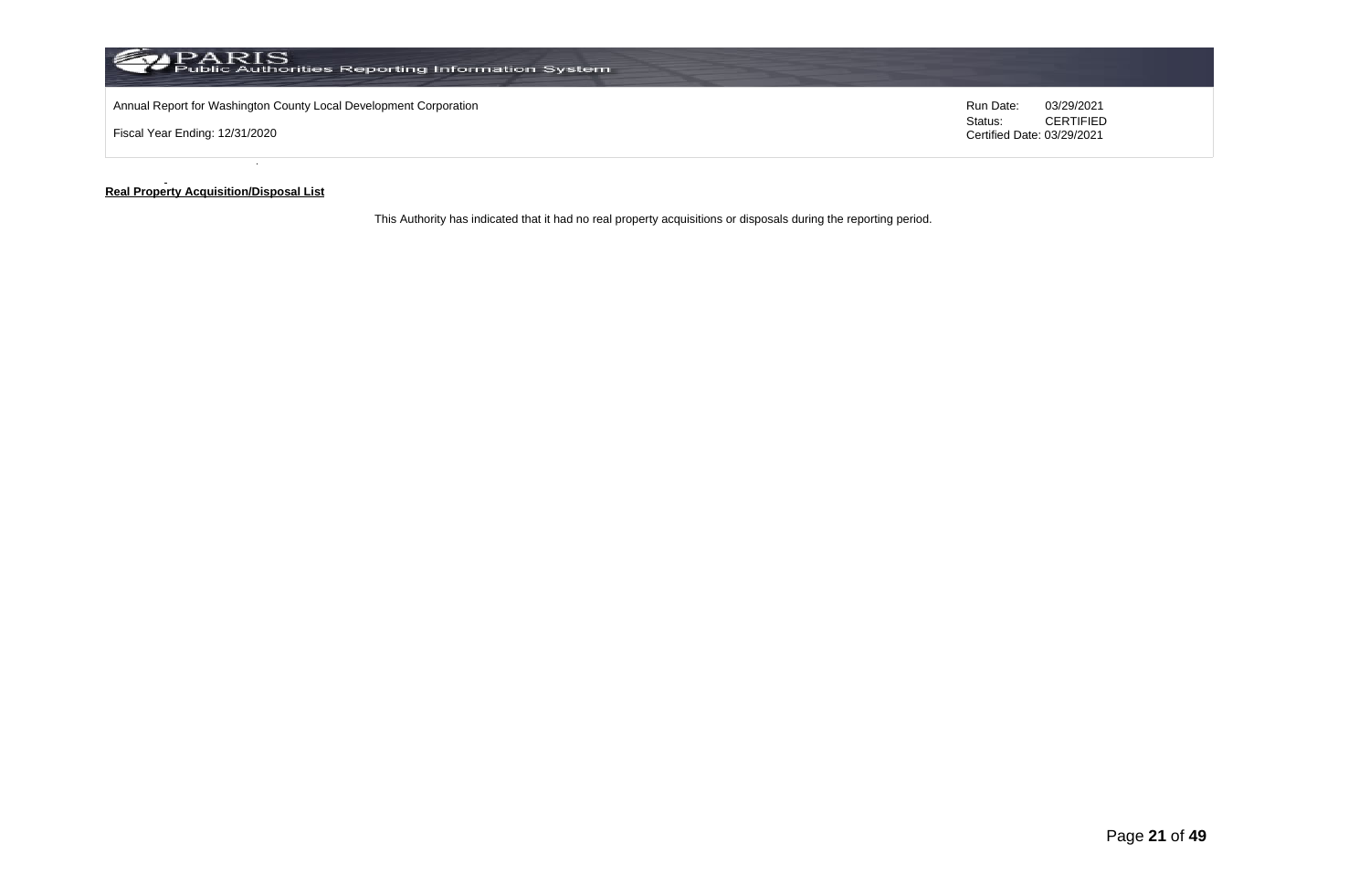

#### **Real Property Acquisition/Disposal List**

This Authority has indicated that it had no real property acquisitions or disposals during the reporting period.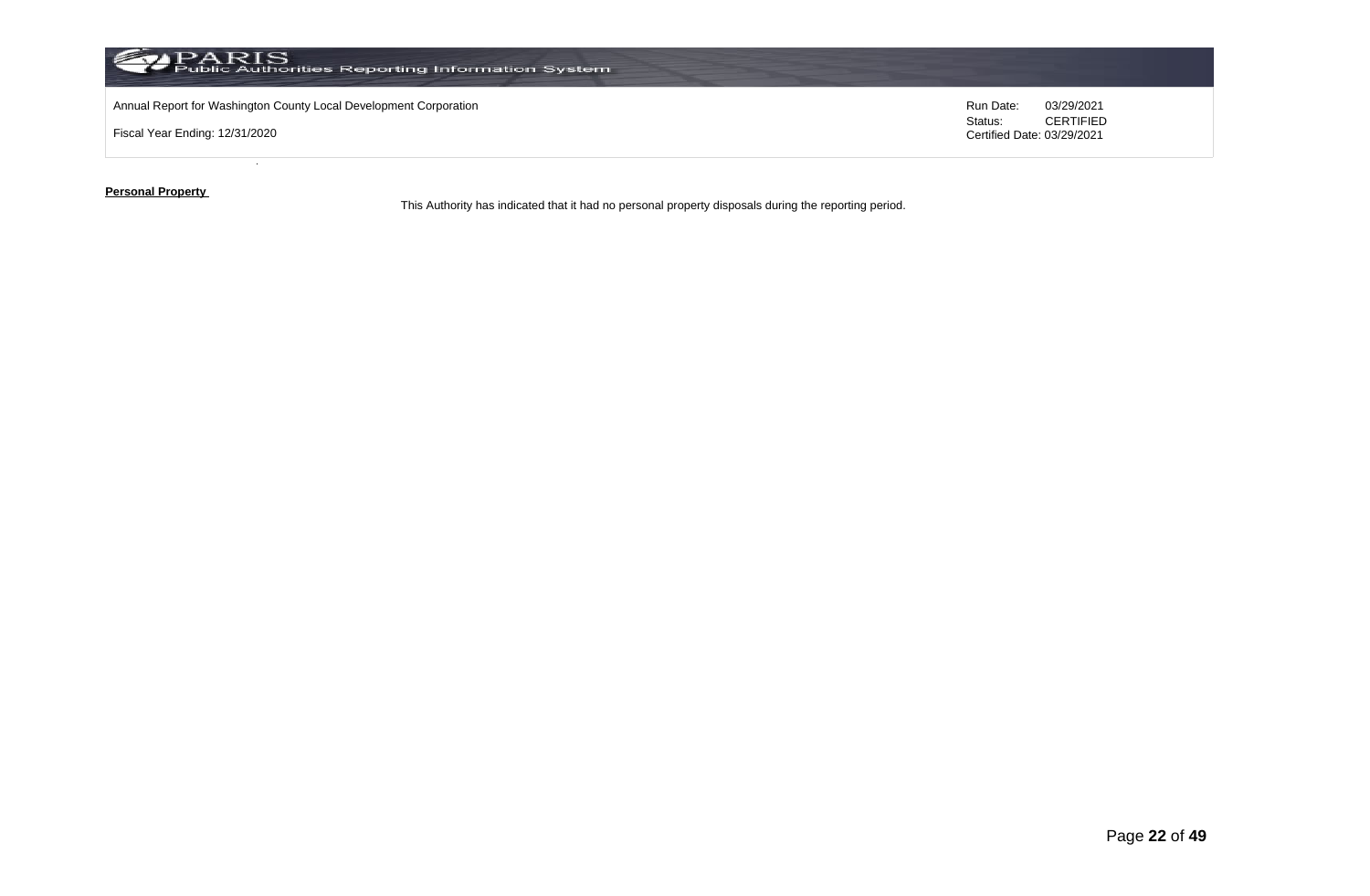

**Personal Property** 

This Authority has indicated that it had no personal property disposals during the reporting period.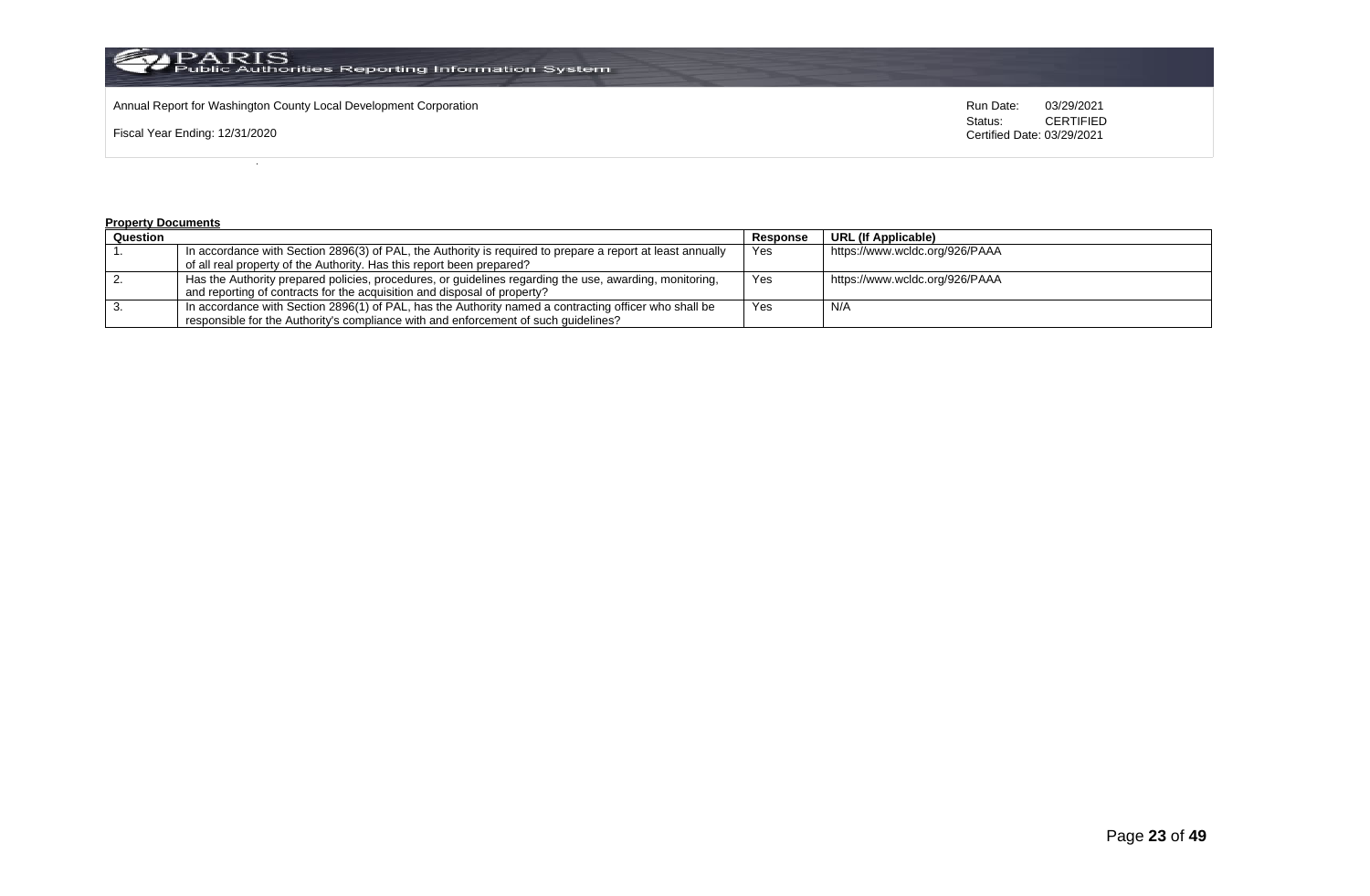

Annual Report for Washington County Local Development Corporation **Run Date:** Annual Report for Washington County Local Development Corporation Run Date: 03/29/2021<br>Status: CERTIFIED

Fiscal Year Ending: 12/31/2020

CERTIFIED Certified Date: 03/29/2021

#### **Property Documents**

| Question |                                                                                                            | Response | URL (If Applicable)            |
|----------|------------------------------------------------------------------------------------------------------------|----------|--------------------------------|
|          | In accordance with Section 2896(3) of PAL, the Authority is required to prepare a report at least annually | Yes      | https://www.wcldc.org/926/PAAA |
|          | of all real property of the Authority. Has this report been prepared?                                      |          |                                |
|          | Has the Authority prepared policies, procedures, or guidelines regarding the use, awarding, monitoring,    | Yes      | https://www.wcldc.org/926/PAAA |
|          | and reporting of contracts for the acquisition and disposal of property?                                   |          |                                |
|          | In accordance with Section 2896(1) of PAL, has the Authority named a contracting officer who shall be      | Yes      | N/A                            |
|          | responsible for the Authority's compliance with and enforcement of such quidelines?                        |          |                                |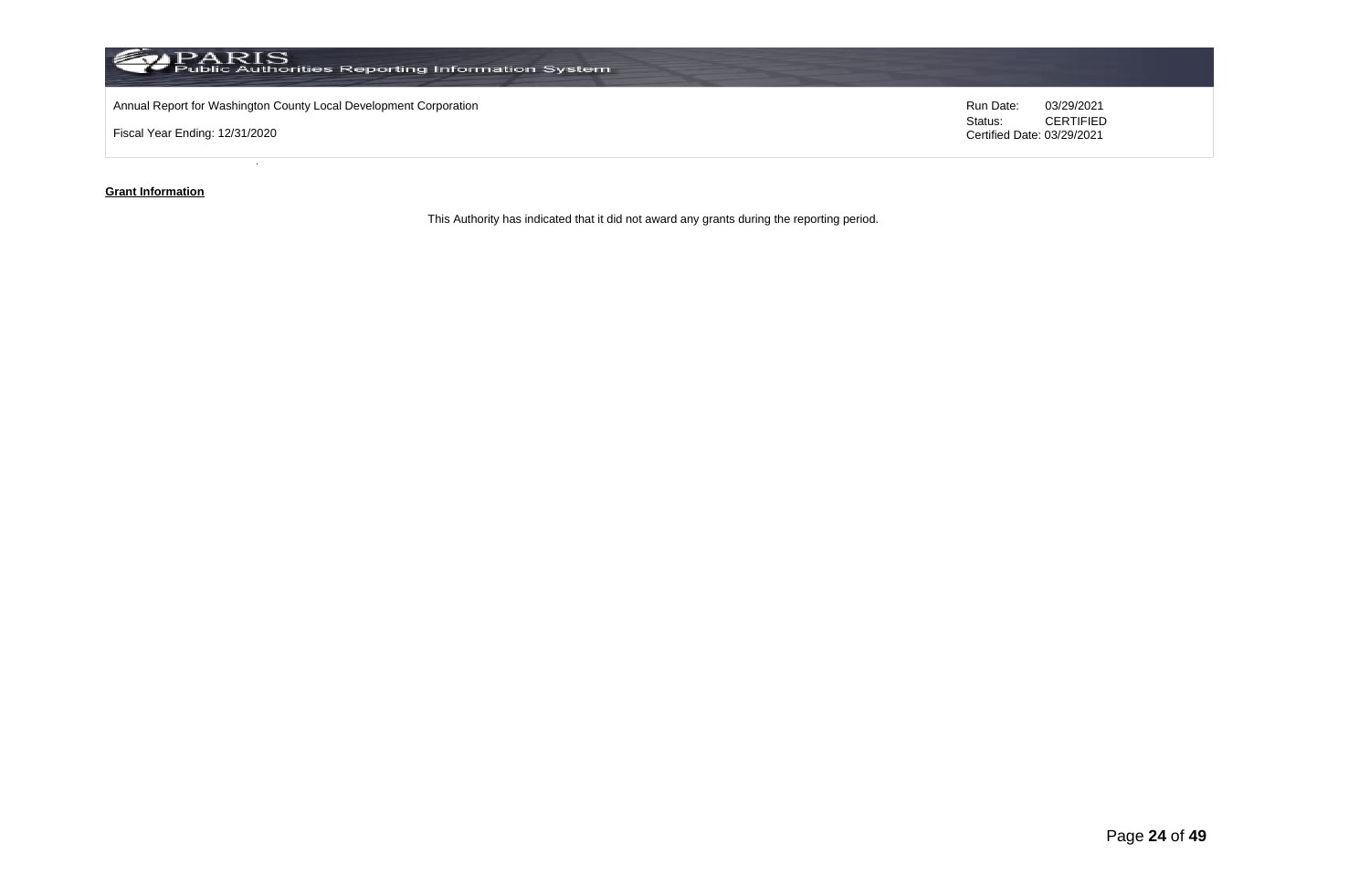

#### **Grant Information**

This Authority has indicated that it did not award any grants during the reporting period.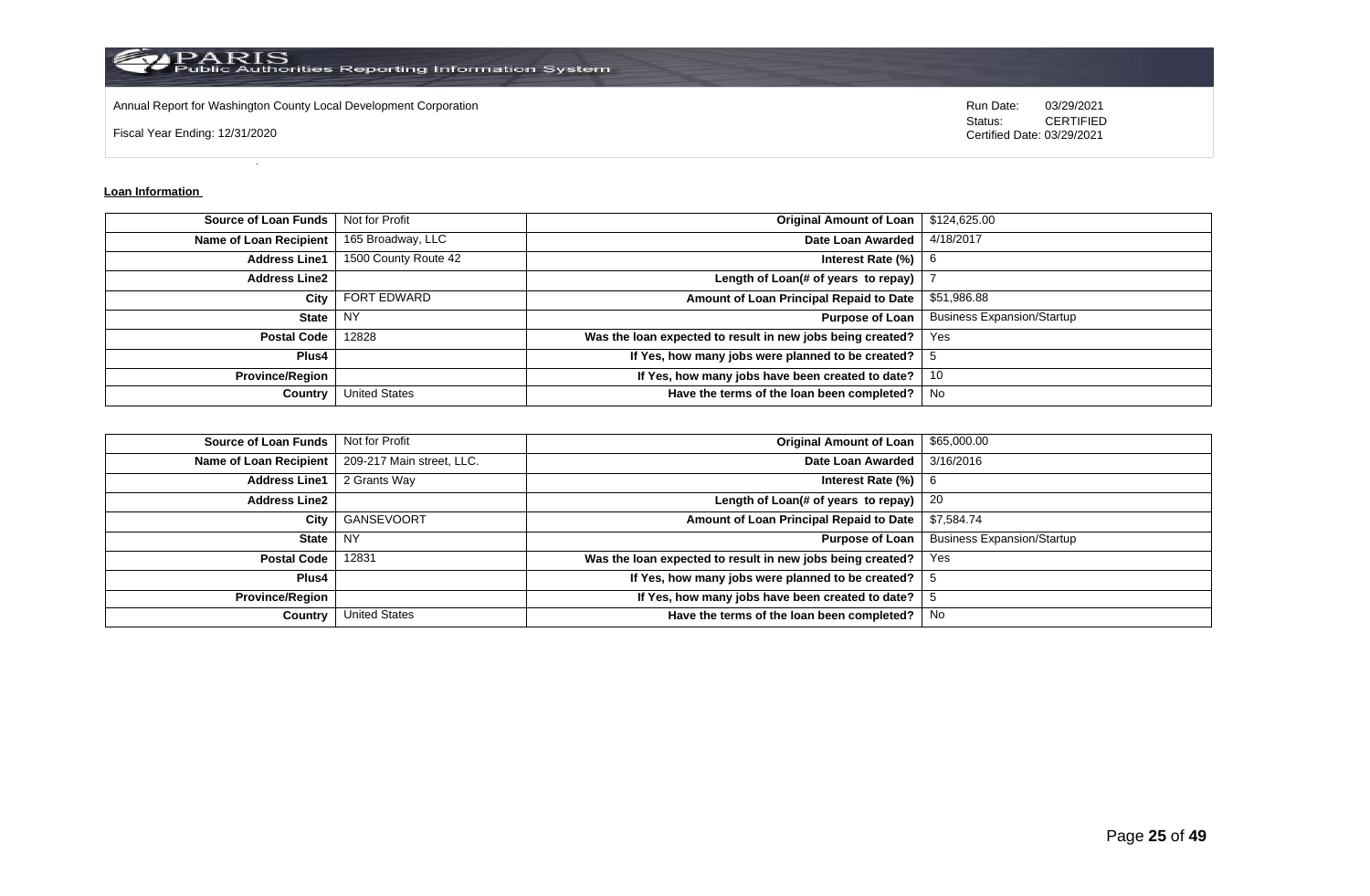

Annual Report for Washington County Local Development Corporation **Run Date:** 03/29/2021

Fiscal Year Ending: 12/31/2020

Status: **CERTIFIED** Certified Date: 03/29/2021

#### **Loan Information**

| <b>Source of Loan Funds</b>   | Not for Profit       | <b>Original Amount of Loan</b>                             | \$124,625.00                      |
|-------------------------------|----------------------|------------------------------------------------------------|-----------------------------------|
| <b>Name of Loan Recipient</b> | 165 Broadway, LLC    | Date Loan Awarded                                          | 4/18/2017                         |
| <b>Address Line1</b>          | 1500 County Route 42 | Interest Rate (%)                                          | -6                                |
| <b>Address Line2</b>          |                      | Length of Loan(# of years to repay)                        |                                   |
| City                          | <b>FORT EDWARD</b>   | Amount of Loan Principal Repaid to Date                    | \$51,986.88                       |
| <b>State</b>                  | <b>NY</b>            | <b>Purpose of Loan</b>                                     | <b>Business Expansion/Startup</b> |
| <b>Postal Code</b>            | 12828                | Was the loan expected to result in new jobs being created? | Yes                               |
| Plus4                         |                      | If Yes, how many jobs were planned to be created?          |                                   |
| <b>Province/Region</b>        |                      | If Yes, how many jobs have been created to date?           | 10                                |
| Country                       | <b>United States</b> | Have the terms of the loan been completed?                 | No.                               |

| <b>Source of Loan Funds</b> | Not for Profit            | <b>Original Amount of Loan</b>                             | \$65,000.00                       |
|-----------------------------|---------------------------|------------------------------------------------------------|-----------------------------------|
| Name of Loan Recipient      | 209-217 Main street, LLC. | Date Loan Awarded                                          | 3/16/2016                         |
| <b>Address Line1</b>        | 2 Grants Way              | Interest Rate $(\% )$                                      | -6                                |
| <b>Address Line2</b>        |                           | Length of Loan(# of years to repay)                        | 20                                |
| City                        | GANSEVOORT                | Amount of Loan Principal Repaid to Date                    | \$7,584.74                        |
| State                       | <b>NY</b>                 | <b>Purpose of Loan</b>                                     | <b>Business Expansion/Startup</b> |
| <b>Postal Code</b>          | 12831                     | Was the loan expected to result in new jobs being created? | Yes                               |
| Plus4                       |                           | If Yes, how many jobs were planned to be created?          | -5                                |
| <b>Province/Region</b>      |                           | If Yes, how many jobs have been created to date?           |                                   |
| Country                     | <b>United States</b>      | Have the terms of the loan been completed?                 | No                                |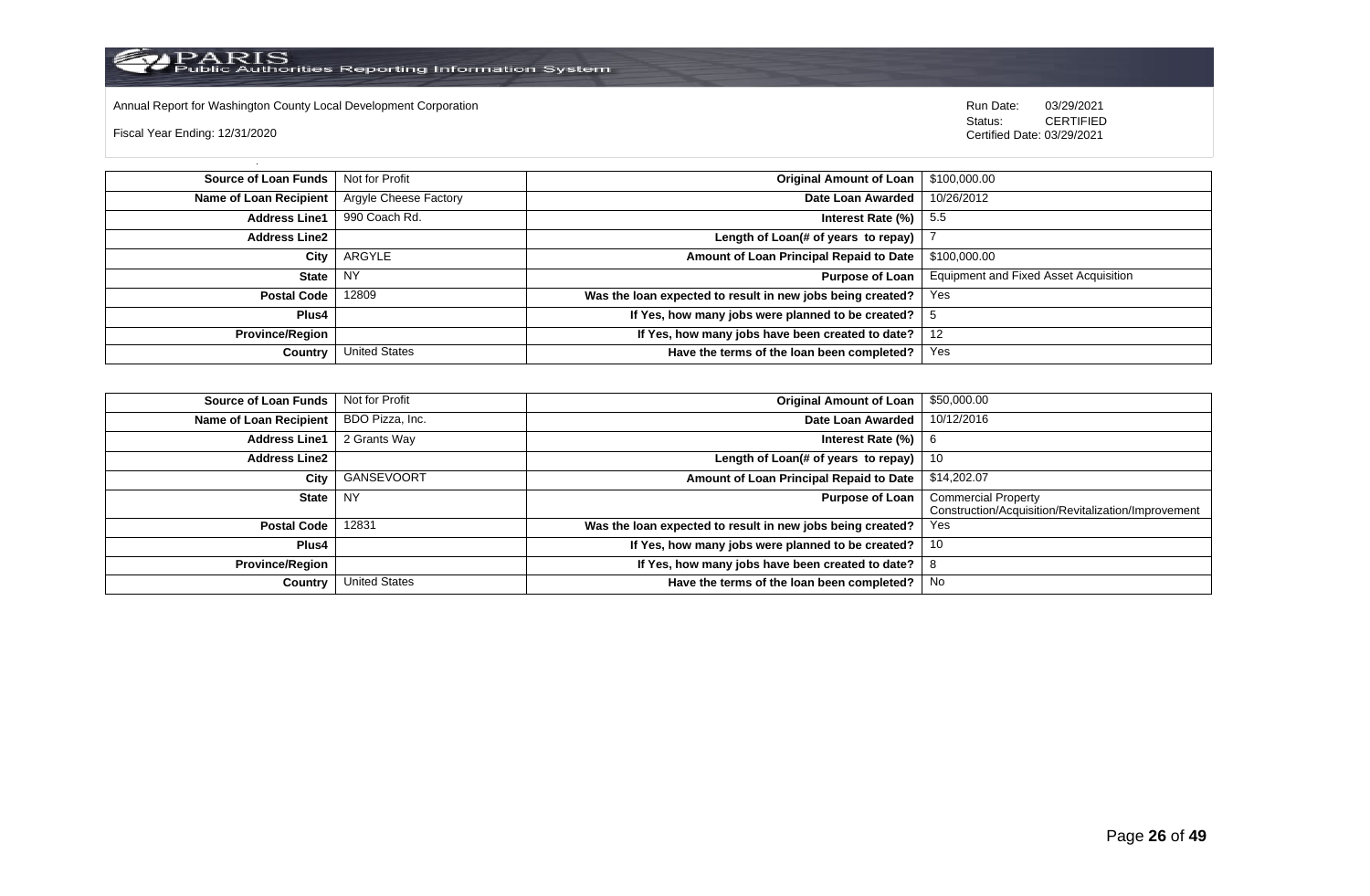

Annual Report for Washington County Local Development Corporation Run Date: 03/29/2021

Fiscal Year Ending: 12/31/2020

 Status: CERTIFIED Certified Date: 03/29/2021

**Source of Loan Funds** Not for Profit **Containers and Containers Amount Original Amount of Loan** \$100,000.00 **Name of Loan Recipient** Argyle Cheese Factory **Date Loan Awarded** 10/26/2012 **Address Line1** 990 Coach Rd. **Interest Rate (%)** 5.5 **Address Line2 Length of Loan(# of years to repay)** | 7 **City** ARGYLE **Amount of Loan Principal Repaid to Date** \$100,000.00 **State** NY **Purpose of Loan** Equipment and Fixed Asset Acquisition **Postal Code** 12809 **Was the loan expected to result in new jobs being created?** Yes **Plus4 If Yes, how many jobs were planned to be created?** 5 **Province/Region If Yes, how many jobs have been created to date?** 12 **Country** United States **Have the terms of the loan been completed?** Yes

| Source of Loan Funds   | Not for Profit       | <b>Original Amount of Loan</b>                             | \$50,000.00                                                                       |
|------------------------|----------------------|------------------------------------------------------------|-----------------------------------------------------------------------------------|
| Name of Loan Recipient | BDO Pizza, Inc.      | Date Loan Awarded                                          | 10/12/2016                                                                        |
| <b>Address Line1</b>   | 2 Grants Way         | Interest Rate (%)                                          | 6                                                                                 |
| <b>Address Line2</b>   |                      | Length of Loan(# of years to repay) $ $                    | -10                                                                               |
| City                   | GANSEVOORT           | Amount of Loan Principal Repaid to Date                    | \$14,202.07                                                                       |
| State                  | NY.                  | <b>Purpose of Loan</b>                                     | <b>Commercial Property</b><br>Construction/Acquisition/Revitalization/Improvement |
| <b>Postal Code</b>     | 12831                | Was the loan expected to result in new jobs being created? | Yes                                                                               |
| Plus4                  |                      | If Yes, how many jobs were planned to be created?          | 10                                                                                |
| <b>Province/Region</b> |                      | If Yes, how many jobs have been created to date?           | o                                                                                 |
| Country                | <b>United States</b> | Have the terms of the loan been completed?                 | No                                                                                |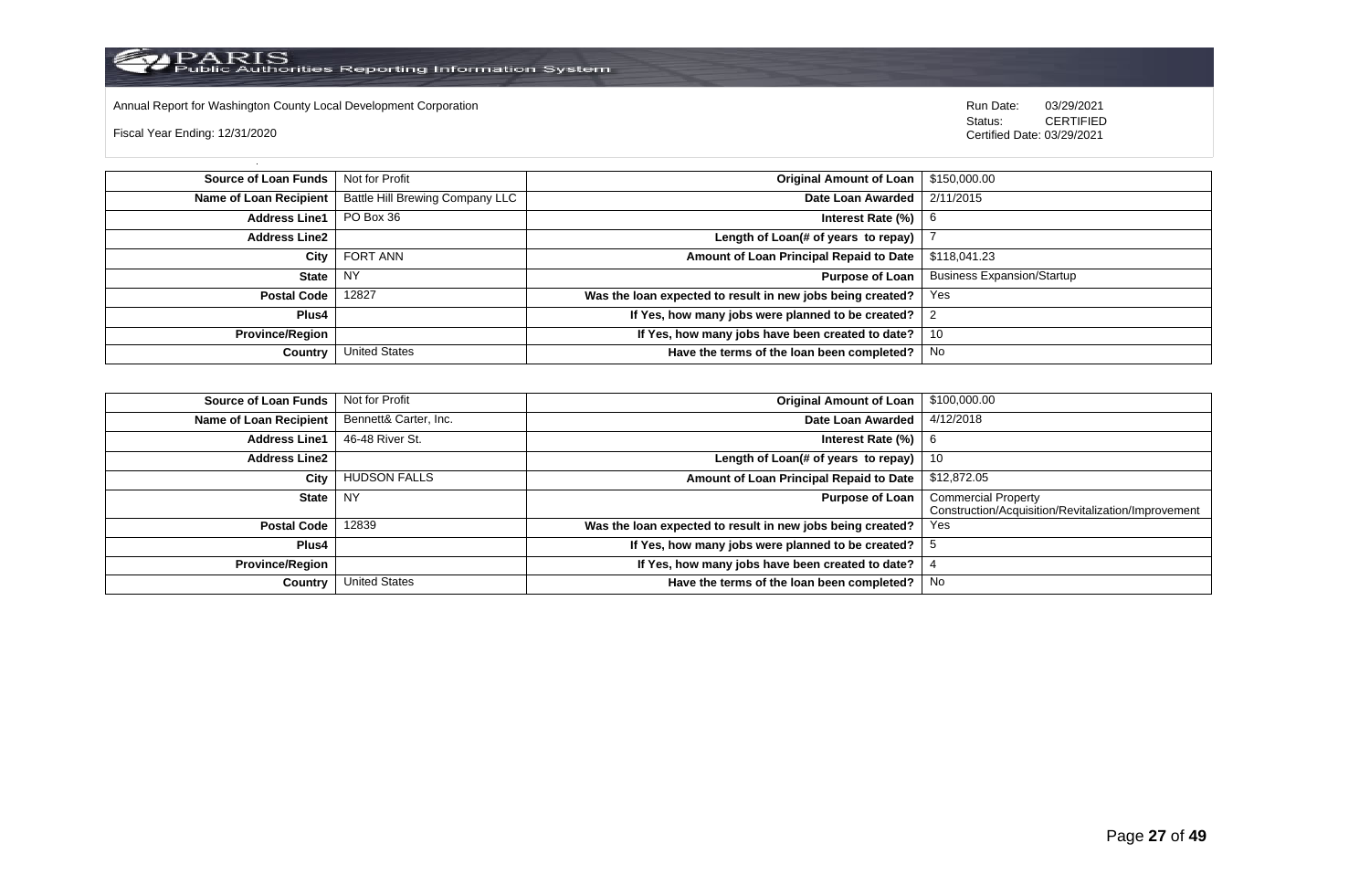

Annual Report for Washington County Local Development Corporation Run Date: 03/29/2021

Fiscal Year Ending: 12/31/2020

 Status: CERTIFIED Certified Date: 03/29/2021

**Source of Loan Funds** Not for Profit **Containers and Containers Amount Original Amount of Loan** \$150,000.00 **Name of Loan Recipient** Battle Hill Brewing Company LLC **Date Loan Awarded** 2/11/2015 **Address Line1** PO Box 36 **Interest Rate (%)** 6 **Address Line2 Length of Loan(# of years to repay)** | 7 **City** FORT ANN **Amount of Loan Principal Repaid to Date** \$118,041.23 **State** NY **Purpose of Loan** Business Expansion/Startup **Postal Code** 12827 **Was the loan expected to result in new jobs being created?** Yes **Plus4 If Yes, how many jobs were planned to be created?** 2 **Province/Region If Yes, how many jobs have been created to date?** 10 **Country** United States **Have the terms of the loan been completed?** No

| Source of Loan Funds   | Not for Profit        | <b>Original Amount of Loan</b>                             | \$100,000.00                                        |
|------------------------|-----------------------|------------------------------------------------------------|-----------------------------------------------------|
| Name of Loan Recipient | Bennett& Carter, Inc. | Date Loan Awarded                                          | 4/12/2018                                           |
| <b>Address Line1</b>   | 46-48 River St.       | Interest Rate (%)                                          | -6                                                  |
| <b>Address Line2</b>   |                       | Length of Loan(# of years to repay)                        | 10                                                  |
| City                   | <b>HUDSON FALLS</b>   | Amount of Loan Principal Repaid to Date                    | \$12,872.05                                         |
| <b>State</b>           | NY                    | <b>Purpose of Loan</b>                                     | <b>Commercial Property</b>                          |
|                        |                       |                                                            | Construction/Acquisition/Revitalization/Improvement |
| <b>Postal Code</b>     | 12839                 | Was the loan expected to result in new jobs being created? | Yes                                                 |
| <b>Plus4</b>           |                       | If Yes, how many jobs were planned to be created?          |                                                     |
| <b>Province/Region</b> |                       | If Yes, how many jobs have been created to date?           |                                                     |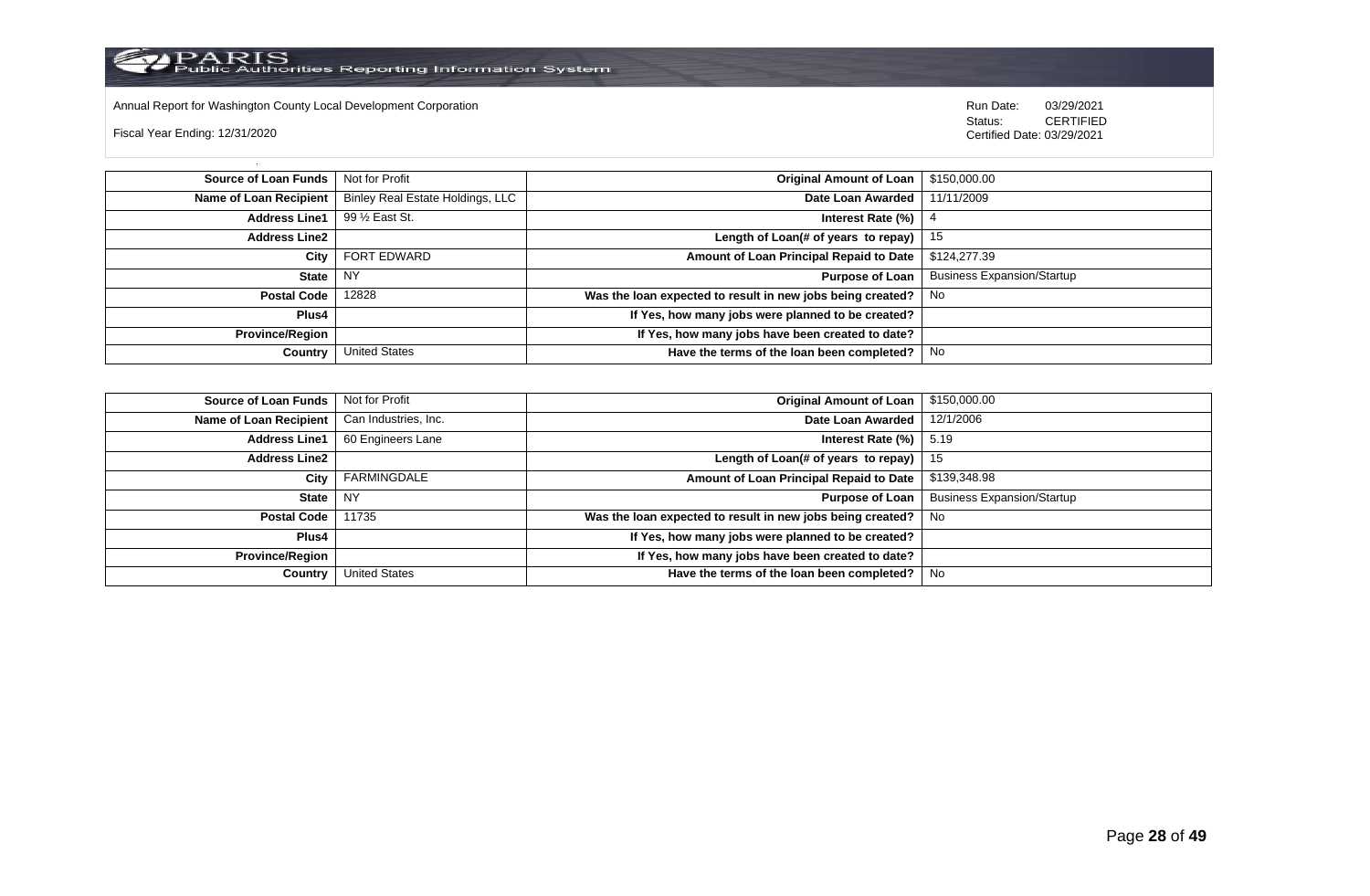

Annual Report for Washington County Local Development Corporation Run Date: 03/29/2021

Fiscal Year Ending: 12/31/2020

 Status: CERTIFIED Certified Date: 03/29/2021

**Source of Loan Funds** Not for Profit **Containers and Containers Amount Original Amount of Loan** \$150,000.00 Name of Loan Recipient | Binley Real Estate Holdings, LLC | **Date Loan Awarded** 11/11/2009 **Address Line1** 99 ½ East St. **Interest Rate (%)** 4 **Address Line2 Length of Loan(# of years to repay)** 15 **City** FORT EDWARD **Amount of Loan Principal Repaid to Date** \$124,277.39 **State** NY **Purpose of Loan** Business Expansion/Startup **Postal Code** 12828 **Was the loan expected to result in new jobs being created?** No **Plus4 If Yes, how many jobs were planned to be created? Province/Region If Yes, how many jobs have been created to date? Country** United States **Have the terms of the loan been completed?** No

| <b>Source of Loan Funds</b>   Not for Profit  |                      | Original Amount of Loan                                    | \$150,000.00                      |
|-----------------------------------------------|----------------------|------------------------------------------------------------|-----------------------------------|
| Name of Loan Recipient   Can Industries, Inc. |                      | Date Loan Awarded                                          | 12/1/2006                         |
| <b>Address Line1</b>                          | 60 Engineers Lane    | Interest Rate $(\%)$                                       | 5.19                              |
| <b>Address Line2</b>                          |                      | Length of Loan(# of years to repay) $ $                    | - 15                              |
| City                                          | FARMINGDALE          | Amount of Loan Principal Repaid to Date                    | \$139,348.98                      |
| State                                         | NY.                  | Purpose of Loan                                            | <b>Business Expansion/Startup</b> |
| Postal Code                                   | 11735                | Was the loan expected to result in new jobs being created? | No                                |
| Plus4                                         |                      | If Yes, how many jobs were planned to be created?          |                                   |
| Province/Region                               |                      | If Yes, how many jobs have been created to date?           |                                   |
| Country                                       | <b>United States</b> | Have the terms of the loan been completed?                 | No                                |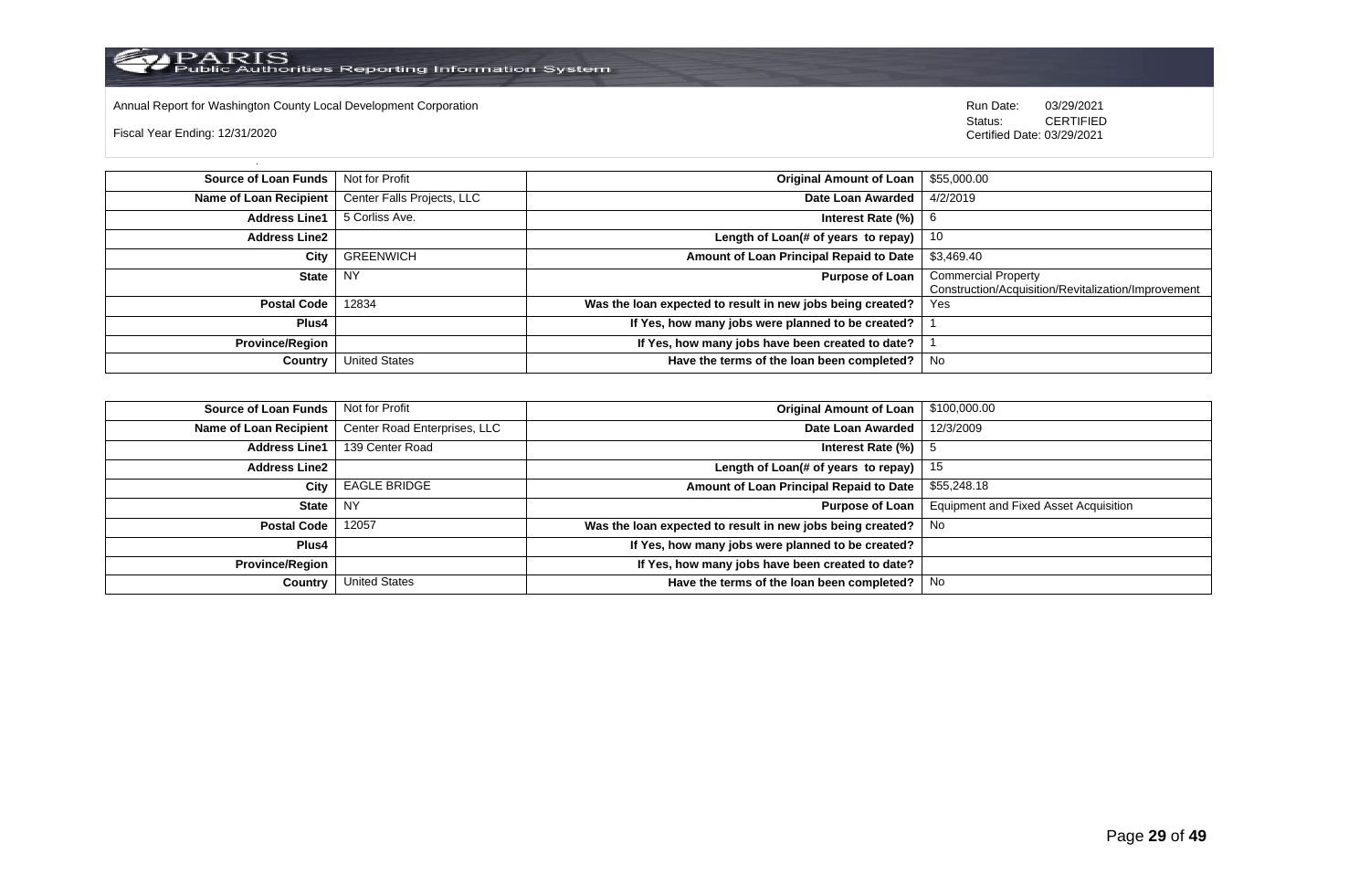

Annual Report for Washington County Local Development Corporation **Computer Computer Computer Computer Computer**<br>
Status: CERTIFIED

Fiscal Year Ending: 12/31/2020

| Source of Loan Funds   | Not for Profit             | <b>Original Amount of Loan</b>                             | \$55,000.00                                         |
|------------------------|----------------------------|------------------------------------------------------------|-----------------------------------------------------|
| Name of Loan Recipient | Center Falls Projects, LLC | Date Loan Awarded                                          | 4/2/2019                                            |
| <b>Address Line1</b>   | 5 Corliss Ave.             | Interest Rate (%)                                          | -6                                                  |
| <b>Address Line2</b>   |                            | Length of Loan(# of years to repay)                        | -10                                                 |
| City                   | <b>GREENWICH</b>           | Amount of Loan Principal Repaid to Date                    | \$3,469.40                                          |
| <b>State</b>           | <b>NY</b>                  | <b>Purpose of Loan</b>                                     | <b>Commercial Property</b>                          |
|                        |                            |                                                            | Construction/Acquisition/Revitalization/Improvement |
| <b>Postal Code</b>     | 12834                      | Was the loan expected to result in new jobs being created? | Yes                                                 |
| Plus4                  |                            | If Yes, how many jobs were planned to be created?          |                                                     |
| <b>Province/Region</b> |                            | If Yes, how many jobs have been created to date?           |                                                     |
| Country                | <b>United States</b>       | Have the terms of the loan been completed?                 | No                                                  |

| <b>Source of Loan Funds</b> | Not for Profit               | <b>Original Amount of Loan</b>                             | \$100,000.00                          |
|-----------------------------|------------------------------|------------------------------------------------------------|---------------------------------------|
| Name of Loan Recipient      | Center Road Enterprises, LLC | Date Loan Awarded                                          | 12/3/2009                             |
| <b>Address Line1</b>        | 139 Center Road              | Interest Rate (%)                                          |                                       |
| <b>Address Line2</b>        |                              | Length of Loan(# of years to repay)                        | 15                                    |
| City                        | <b>EAGLE BRIDGE</b>          | Amount of Loan Principal Repaid to Date                    | \$55,248.18                           |
| <b>State</b>                | <b>NY</b>                    | <b>Purpose of Loan</b>                                     | Equipment and Fixed Asset Acquisition |
| <b>Postal Code</b>          | 12057                        | Was the loan expected to result in new jobs being created? | No                                    |
| Plus4                       |                              | If Yes, how many jobs were planned to be created?          |                                       |
| <b>Province/Region</b>      |                              | If Yes, how many jobs have been created to date?           |                                       |
| Country                     | <b>United States</b>         | Have the terms of the loan been completed?                 | No                                    |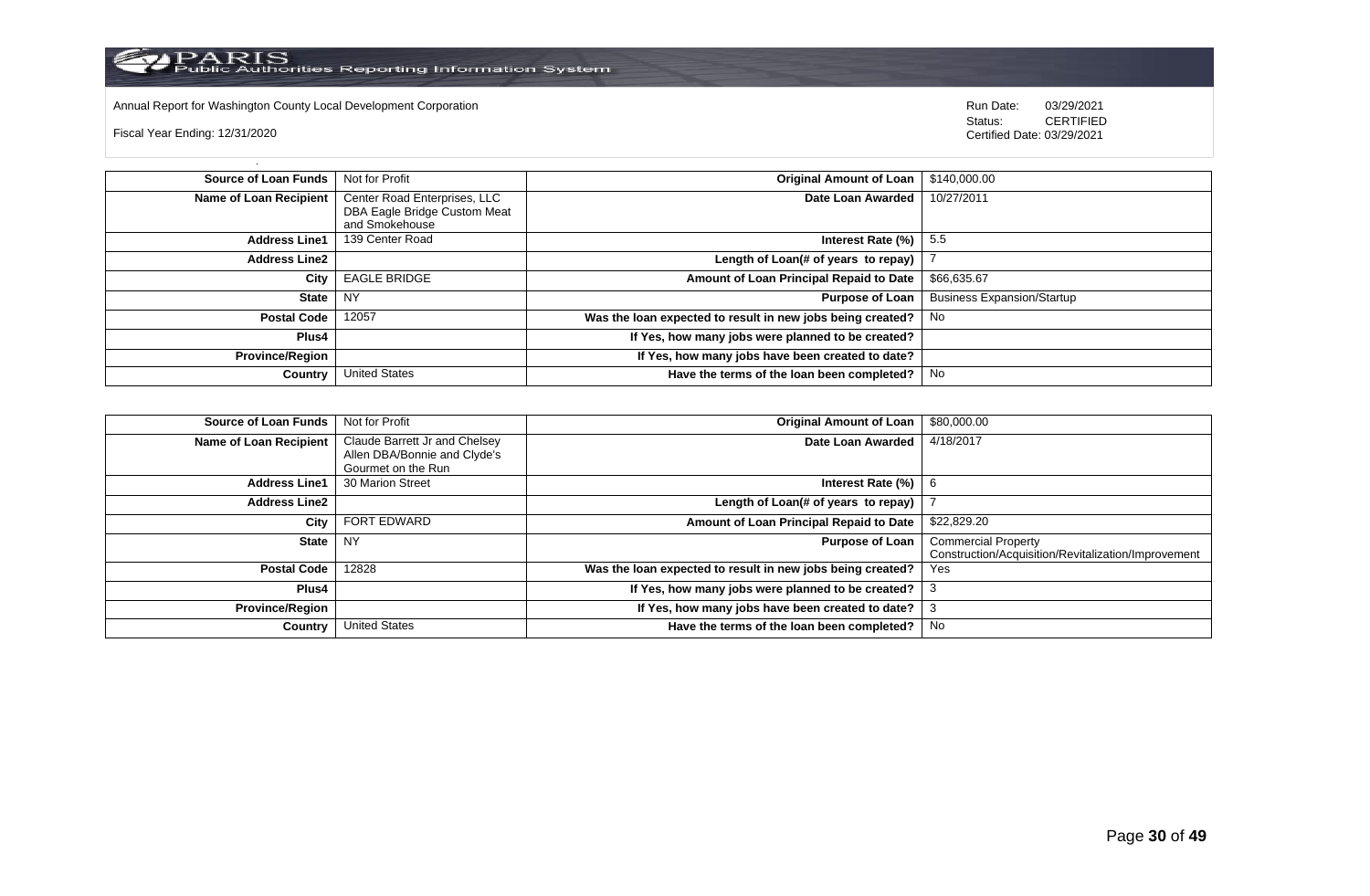

Annual Report for Washington County Local Development Corporation **Company County Connect Connect Connect Connect**<br>
Status: CERTIFIED

Fiscal Year Ending: 12/31/2020

| Source of Loan Funds   | Not for Profit                                 | Original Amount of Loan                                    | \$140,000.00                      |
|------------------------|------------------------------------------------|------------------------------------------------------------|-----------------------------------|
| Name of Loan Recipient | Center Road Enterprises, LLC                   | Date Loan Awarded                                          | 10/27/2011                        |
|                        | DBA Eagle Bridge Custom Meat<br>and Smokehouse |                                                            |                                   |
| <b>Address Line1</b>   | 139 Center Road                                | Interest Rate $(\%)$ 5.5                                   |                                   |
| <b>Address Line2</b>   |                                                | Length of Loan(# of years to repay)                        |                                   |
| City                   | <b>EAGLE BRIDGE</b>                            | Amount of Loan Principal Repaid to Date                    | \$66,635.67                       |
| State                  | NY                                             | <b>Purpose of Loan</b>                                     | <b>Business Expansion/Startup</b> |
| <b>Postal Code</b>     | 12057                                          | Was the loan expected to result in new jobs being created? | - No                              |
| <b>Plus4</b>           |                                                | If Yes, how many jobs were planned to be created?          |                                   |
| Province/Region        |                                                | If Yes, how many jobs have been created to date?           |                                   |
| Country                | <b>United States</b>                           | Have the terms of the loan been completed?                 | No                                |

| <b>Source of Loan Funds</b>   | Not for Profit                                                                      | <b>Original Amount of Loan</b>                             | \$80,000.00                                                                       |
|-------------------------------|-------------------------------------------------------------------------------------|------------------------------------------------------------|-----------------------------------------------------------------------------------|
| <b>Name of Loan Recipient</b> | Claude Barrett Jr and Chelsey<br>Allen DBA/Bonnie and Clyde's<br>Gourmet on the Run | Date Loan Awarded                                          | 4/18/2017                                                                         |
| <b>Address Line1</b>          | 30 Marion Street                                                                    | Interest Rate (%)                                          |                                                                                   |
| <b>Address Line2</b>          |                                                                                     | Length of Loan(# of years to repay)                        |                                                                                   |
| City                          | <b>FORT EDWARD</b>                                                                  | Amount of Loan Principal Repaid to Date                    | \$22,829.20                                                                       |
| <b>State</b>                  | <b>NY</b>                                                                           | <b>Purpose of Loan</b>                                     | <b>Commercial Property</b><br>Construction/Acquisition/Revitalization/Improvement |
| <b>Postal Code</b>            | 12828                                                                               | Was the loan expected to result in new jobs being created? | Yes                                                                               |
| Plus4                         |                                                                                     | If Yes, how many jobs were planned to be created?          |                                                                                   |
| <b>Province/Region</b>        |                                                                                     | If Yes, how many jobs have been created to date?           |                                                                                   |
| Country                       | <b>United States</b>                                                                | Have the terms of the loan been completed?                 | No                                                                                |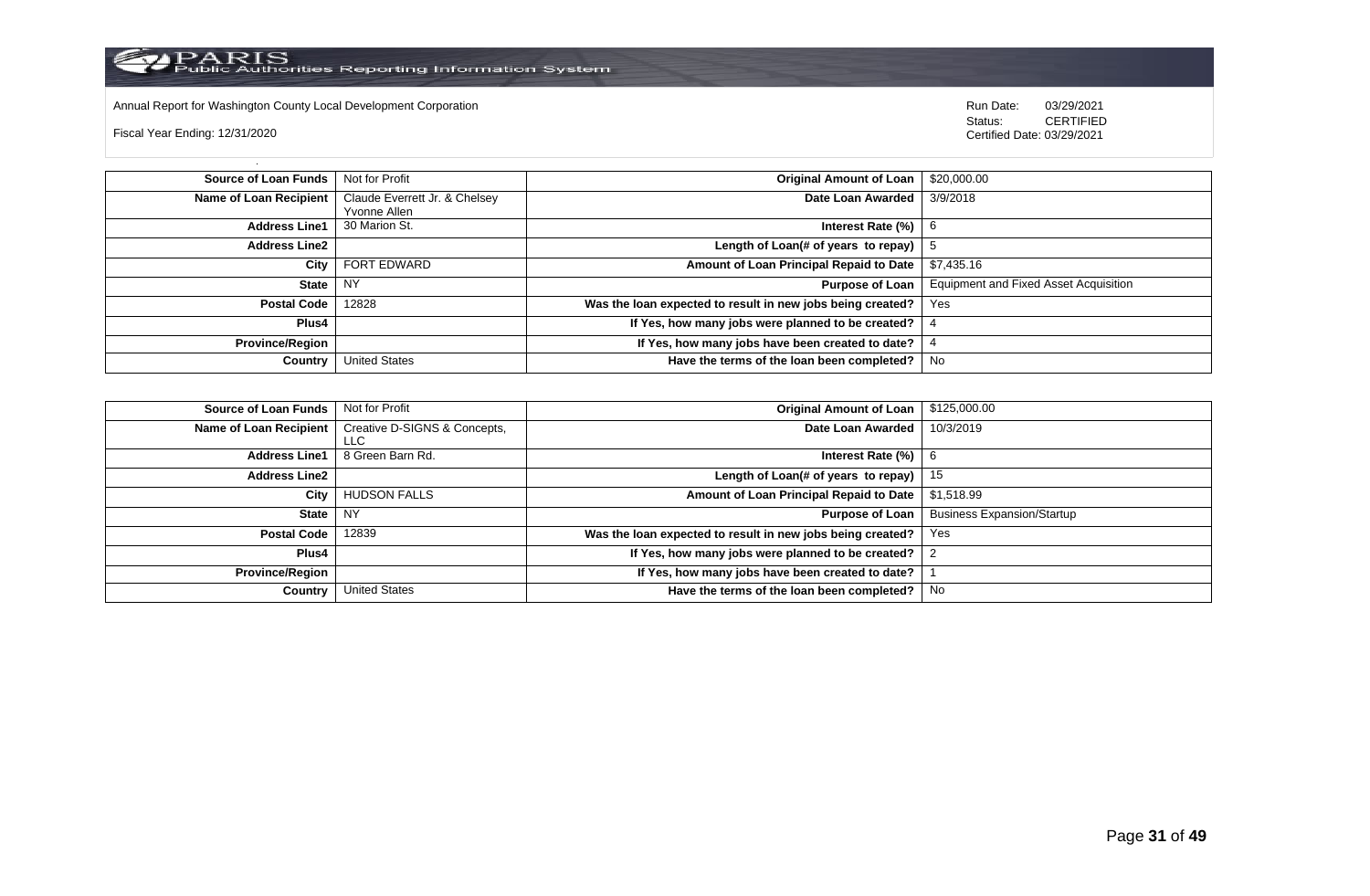

Annual Report for Washington County Local Development Corporation **Run Date:** 03/29/2021

Fiscal Year Ending: 12/31/2020

Status: **CERTIFIED** Certified Date: 03/29/2021

| <b>Source of Loan Funds</b>   | Not for Profit                | <b>Original Amount of Loan</b>                             | \$20,000.00                                  |
|-------------------------------|-------------------------------|------------------------------------------------------------|----------------------------------------------|
| <b>Name of Loan Recipient</b> | Claude Everrett Jr. & Chelsey | Date Loan Awarded                                          | 3/9/2018                                     |
|                               | Yvonne Allen                  |                                                            |                                              |
| <b>Address Line1</b>          | 30 Marion St.                 | Interest Rate (%)                                          |                                              |
| <b>Address Line2</b>          |                               | Length of Loan(# of years to repay)                        |                                              |
| City                          | <b>FORT EDWARD</b>            | Amount of Loan Principal Repaid to Date                    | \$7,435.16                                   |
| <b>State</b>                  | <b>NY</b>                     | <b>Purpose of Loan</b>                                     | <b>Equipment and Fixed Asset Acquisition</b> |
| <b>Postal Code</b>            | 12828                         | Was the loan expected to result in new jobs being created? | Yes                                          |
| Plus4                         |                               | If Yes, how many jobs were planned to be created?          |                                              |
| <b>Province/Region</b>        |                               | If Yes, how many jobs have been created to date?           |                                              |
| Country                       | <b>United States</b>          | Have the terms of the loan been completed?                 | No                                           |

| <b>Source of Loan Funds</b> | Not for Profit                       | <b>Original Amount of Loan</b>                             | \$125,000.00                      |
|-----------------------------|--------------------------------------|------------------------------------------------------------|-----------------------------------|
| Name of Loan Recipient      | Creative D-SIGNS & Concepts,<br>LLC. | Date Loan Awarded                                          | 10/3/2019                         |
| <b>Address Line1</b>        | 8 Green Barn Rd.                     | Interest Rate (%)                                          |                                   |
| <b>Address Line2</b>        |                                      | Length of Loan(# of years to repay)                        | 15                                |
| City                        | <b>HUDSON FALLS</b>                  | Amount of Loan Principal Repaid to Date                    | \$1,518.99                        |
| <b>State</b>                | <b>NY</b>                            | <b>Purpose of Loan</b>                                     | <b>Business Expansion/Startup</b> |
| <b>Postal Code</b>          | 12839                                | Was the loan expected to result in new jobs being created? | Yes                               |
| <b>Plus4</b>                |                                      | If Yes, how many jobs were planned to be created?          |                                   |
| <b>Province/Region</b>      |                                      | If Yes, how many jobs have been created to date?           |                                   |
| Country                     | <b>United States</b>                 | Have the terms of the loan been completed?                 | No                                |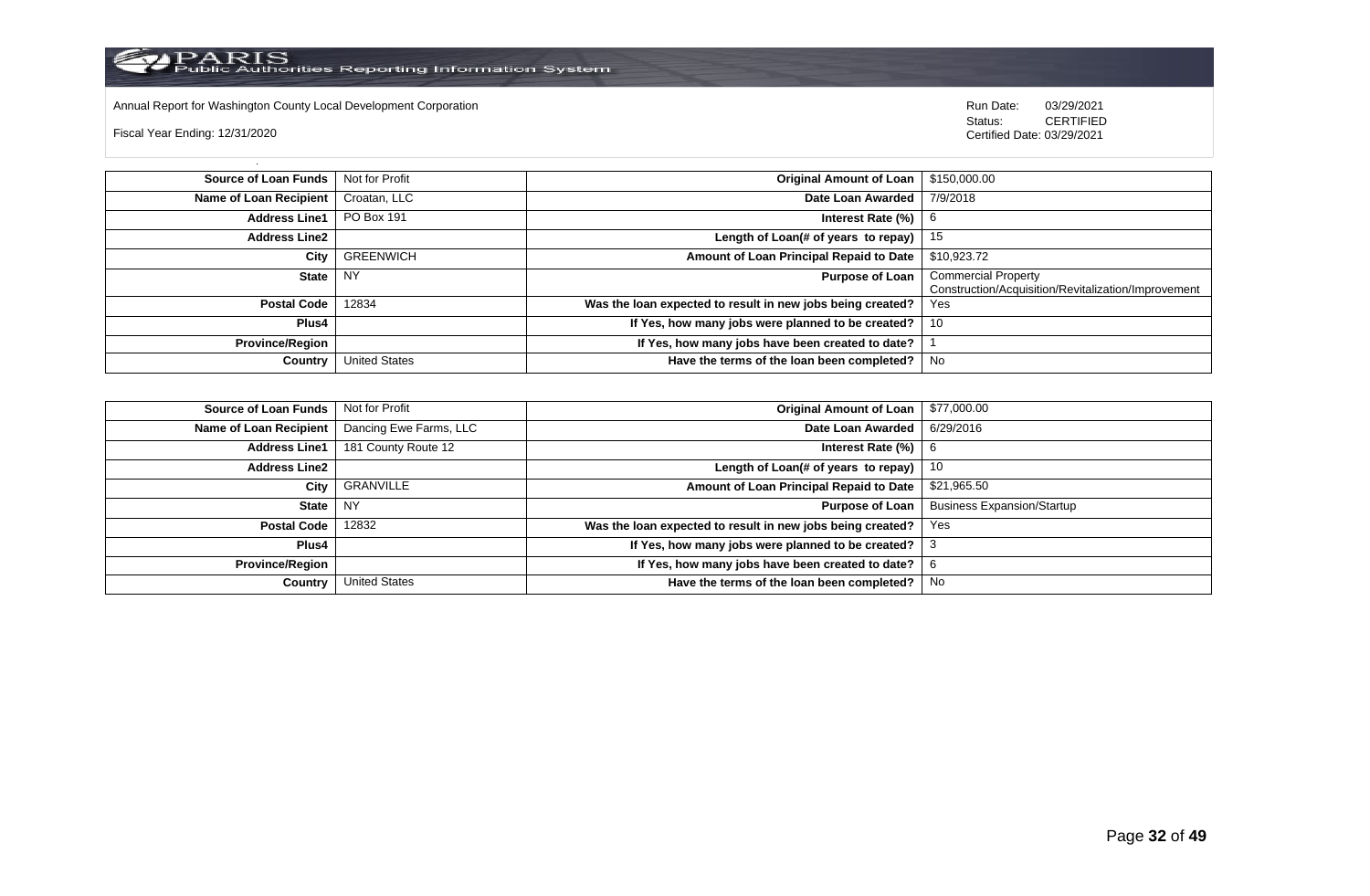Annual Report for Washington County Local Development Corporation **Computer Computer Computer Computer Computer**<br>
Status: CERTIFIED

Fiscal Year Ending: 12/31/2020

| Source of Loan Funds   | Not for Profit       | Original Amount of Loan                                    | \$150,000.00                                        |
|------------------------|----------------------|------------------------------------------------------------|-----------------------------------------------------|
| Name of Loan Recipient | Croatan, LLC         | Date Loan Awarded                                          | 7/9/2018                                            |
| <b>Address Line1</b>   | <b>PO Box 191</b>    | Interest Rate (%)                                          |                                                     |
| <b>Address Line2</b>   |                      | Length of Loan(# of years to repay) $ $                    | - 15                                                |
| City                   | <b>GREENWICH</b>     | Amount of Loan Principal Repaid to Date                    | \$10,923.72                                         |
| <b>State</b>           | NY                   | <b>Purpose of Loan</b>                                     | <b>Commercial Property</b>                          |
|                        |                      |                                                            | Construction/Acquisition/Revitalization/Improvement |
| <b>Postal Code</b>     | 12834                | Was the loan expected to result in new jobs being created? | <b>Yes</b>                                          |
| <b>Plus4</b>           |                      | If Yes, how many jobs were planned to be created?          | -10                                                 |
| <b>Province/Region</b> |                      | If Yes, how many jobs have been created to date?           |                                                     |
| Country                | <b>United States</b> | Have the terms of the loan been completed?                 | No                                                  |

| <b>Source of Loan Funds</b>   | Not for Profit         | <b>Original Amount of Loan</b>                             | \$77,000.00                       |
|-------------------------------|------------------------|------------------------------------------------------------|-----------------------------------|
| <b>Name of Loan Recipient</b> | Dancing Ewe Farms, LLC | Date Loan Awarded                                          | 6/29/2016                         |
| <b>Address Line1</b>          | 181 County Route 12    | Interest Rate $(\%)$   6                                   |                                   |
| <b>Address Line2</b>          |                        | Length of Loan(# of years to repay)                        | 10                                |
| City                          | GRANVILLE              | Amount of Loan Principal Repaid to Date                    | \$21,965.50                       |
| State                         | I NY                   | Purpose of Loan                                            | <b>Business Expansion/Startup</b> |
| <b>Postal Code</b>            | 12832                  | Was the loan expected to result in new jobs being created? | Yes                               |
| Plus4                         |                        | If Yes, how many jobs were planned to be created?          |                                   |
| <b>Province/Region</b>        |                        | If Yes, how many jobs have been created to date?           | - 6                               |
| Country                       | <b>United States</b>   | Have the terms of the loan been completed?                 | No                                |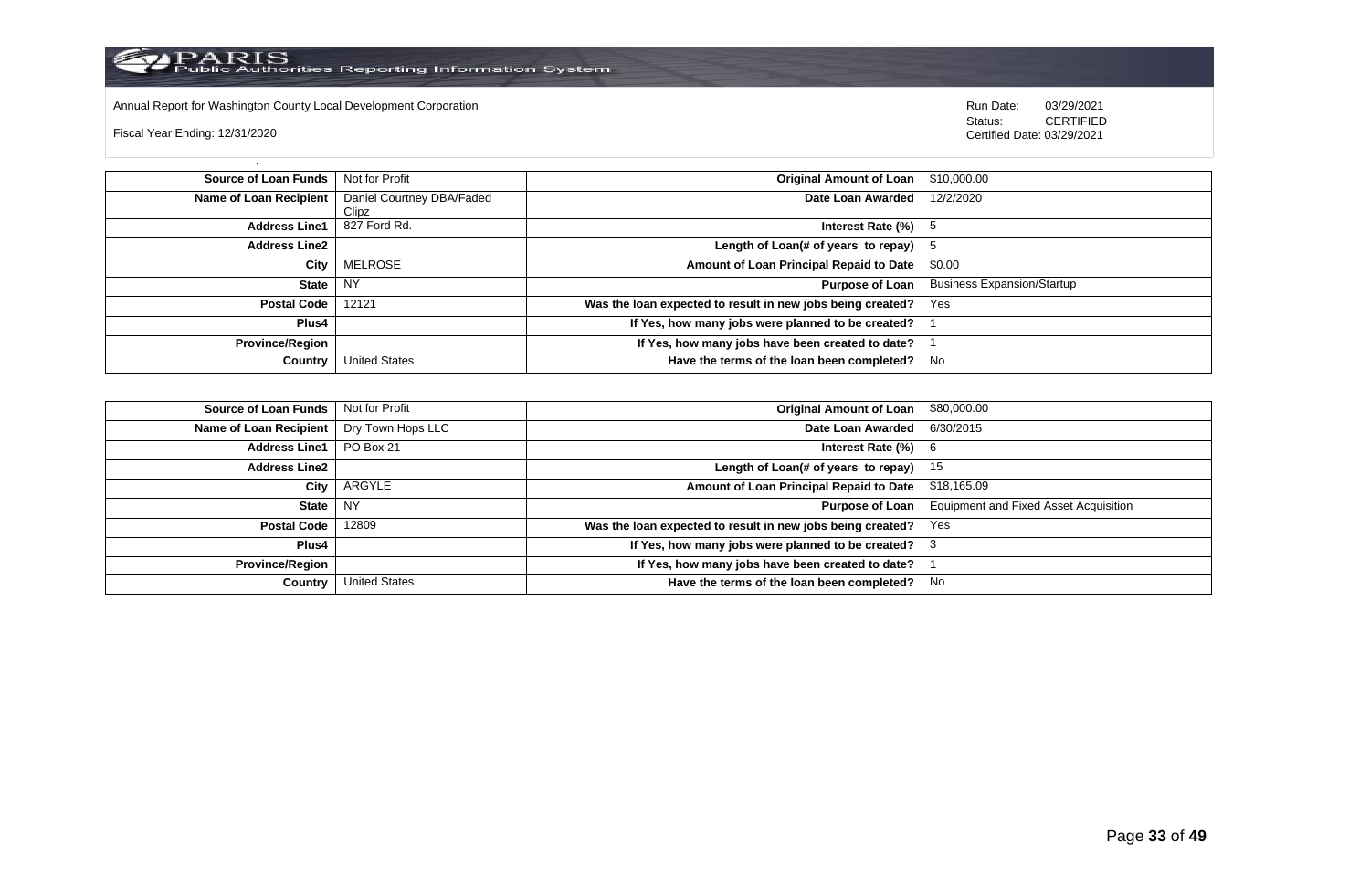

Annual Report for Washington County Local Development Corporation **Company County Connect Connect Connect Connect**<br>
Status: CERTIFIED

Fiscal Year Ending: 12/31/2020

| Source of Loan Funds   | Not for Profit            | <b>Original Amount of Loan</b>                             | \$10,000.00                       |
|------------------------|---------------------------|------------------------------------------------------------|-----------------------------------|
| Name of Loan Recipient | Daniel Courtney DBA/Faded | Date Loan Awarded                                          | 12/2/2020                         |
|                        | Clipz                     |                                                            |                                   |
| <b>Address Line1</b>   | 827 Ford Rd.              | Interest Rate (%)                                          |                                   |
| <b>Address Line2</b>   |                           | Length of Loan(# of years to repay)                        |                                   |
| City                   | MELROSE                   | Amount of Loan Principal Repaid to Date                    | \$0.00                            |
| <b>State</b>           | <b>NY</b>                 | <b>Purpose of Loan</b>                                     | <b>Business Expansion/Startup</b> |
| <b>Postal Code</b>     | 12121                     | Was the loan expected to result in new jobs being created? | Yes                               |
| <b>Plus4</b>           |                           | If Yes, how many jobs were planned to be created?          |                                   |
| <b>Province/Region</b> |                           | If Yes, how many jobs have been created to date?           |                                   |
| Country                | <b>United States</b>      | Have the terms of the loan been completed?                 | No                                |

| <b>Source of Loan Funds</b> | Not for Profit       | <b>Original Amount of Loan</b>                             | \$80,000.00                                  |
|-----------------------------|----------------------|------------------------------------------------------------|----------------------------------------------|
| Name of Loan Recipient      | Dry Town Hops LLC    | Date Loan Awarded                                          | 6/30/2015                                    |
| <b>Address Line1</b>        | PO Box 21            | Interest Rate $(\%)$   6                                   |                                              |
| <b>Address Line2</b>        |                      | Length of Loan(# of years to repay)                        | 15                                           |
| City                        | ARGYLE               | Amount of Loan Principal Repaid to Date                    | \$18,165.09                                  |
| <b>State</b>                | . NY                 | Purpose of Loan                                            | <b>Equipment and Fixed Asset Acquisition</b> |
| <b>Postal Code</b>          | 12809                | Was the loan expected to result in new jobs being created? | Yes                                          |
| Plus4                       |                      | If Yes, how many jobs were planned to be created?          |                                              |
| <b>Province/Region</b>      |                      | If Yes, how many jobs have been created to date?           |                                              |
| Country                     | <b>United States</b> | Have the terms of the loan been completed?                 | No                                           |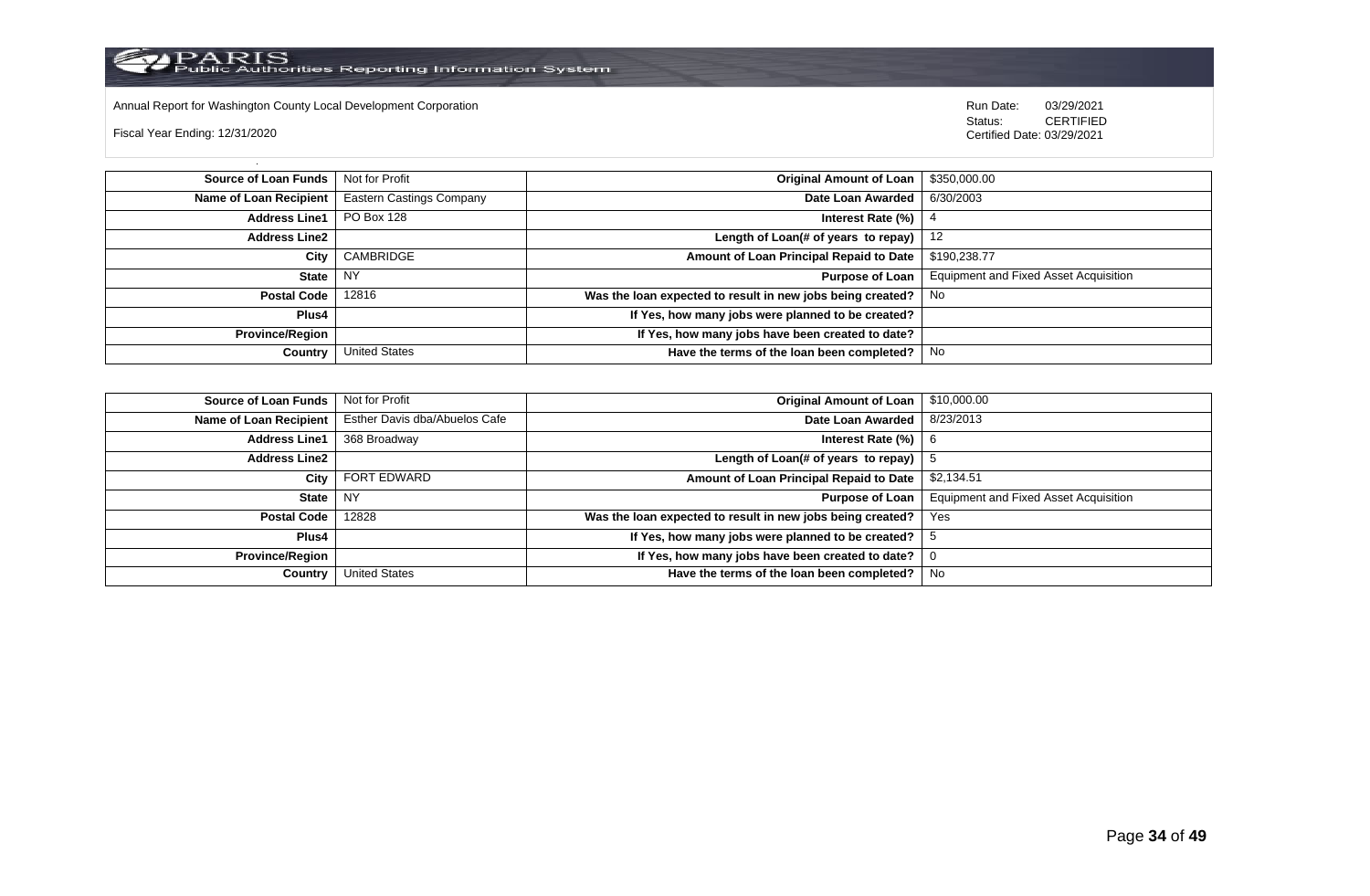

Annual Report for Washington County Local Development Corporation **Company County Connect Connect Connect Connect**<br>
Status: CERTIFIED

Fiscal Year Ending: 12/31/2020

| <b>Source of Loan Funds</b>   Not for Profit |                                 | Original Amount of Loan                                    | \$350,000.00                                 |
|----------------------------------------------|---------------------------------|------------------------------------------------------------|----------------------------------------------|
| Name of Loan Recipient                       | <b>Eastern Castings Company</b> | Date Loan Awarded                                          | 6/30/2003                                    |
| <b>Address Line1</b>                         | PO Box 128                      | Interest Rate (%)                                          |                                              |
| Address Line2                                |                                 | Length of Loan(# of years to repay) $ $                    | -12                                          |
| City                                         | CAMBRIDGE                       | Amount of Loan Principal Repaid to Date                    | \$190,238.77                                 |
| State                                        | NY                              | <b>Purpose of Loan</b>                                     | <b>Equipment and Fixed Asset Acquisition</b> |
| Postal Code                                  | 12816                           | Was the loan expected to result in new jobs being created? | No                                           |
| Plus4                                        |                                 | If Yes, how many jobs were planned to be created?          |                                              |
| Province/Region                              |                                 | If Yes, how many jobs have been created to date?           |                                              |
| Country                                      | <b>United States</b>            | Have the terms of the loan been completed?                 | No                                           |

| <b>Source of Loan Funds</b> | Not for Profit                | <b>Original Amount of Loan</b>                             | \$10,000.00                           |
|-----------------------------|-------------------------------|------------------------------------------------------------|---------------------------------------|
| Name of Loan Recipient      | Esther Davis dba/Abuelos Cafe | Date Loan Awarded                                          | 8/23/2013                             |
| <b>Address Line1</b>        | 368 Broadway                  | Interest Rate (%)                                          | -6                                    |
| <b>Address Line2</b>        |                               | Length of Loan(# of years to repay)                        |                                       |
| City                        | FORT EDWARD                   | Amount of Loan Principal Repaid to Date                    | \$2,134.51                            |
| <b>State</b>                | <b>NY</b>                     | <b>Purpose of Loan</b>                                     | Equipment and Fixed Asset Acquisition |
| <b>Postal Code</b>          | 12828                         | Was the loan expected to result in new jobs being created? | Yes                                   |
| Plus4                       |                               | If Yes, how many jobs were planned to be created?          |                                       |
| <b>Province/Region</b>      |                               | If Yes, how many jobs have been created to date?           |                                       |
| Country                     | <b>United States</b>          | Have the terms of the loan been completed?                 | No                                    |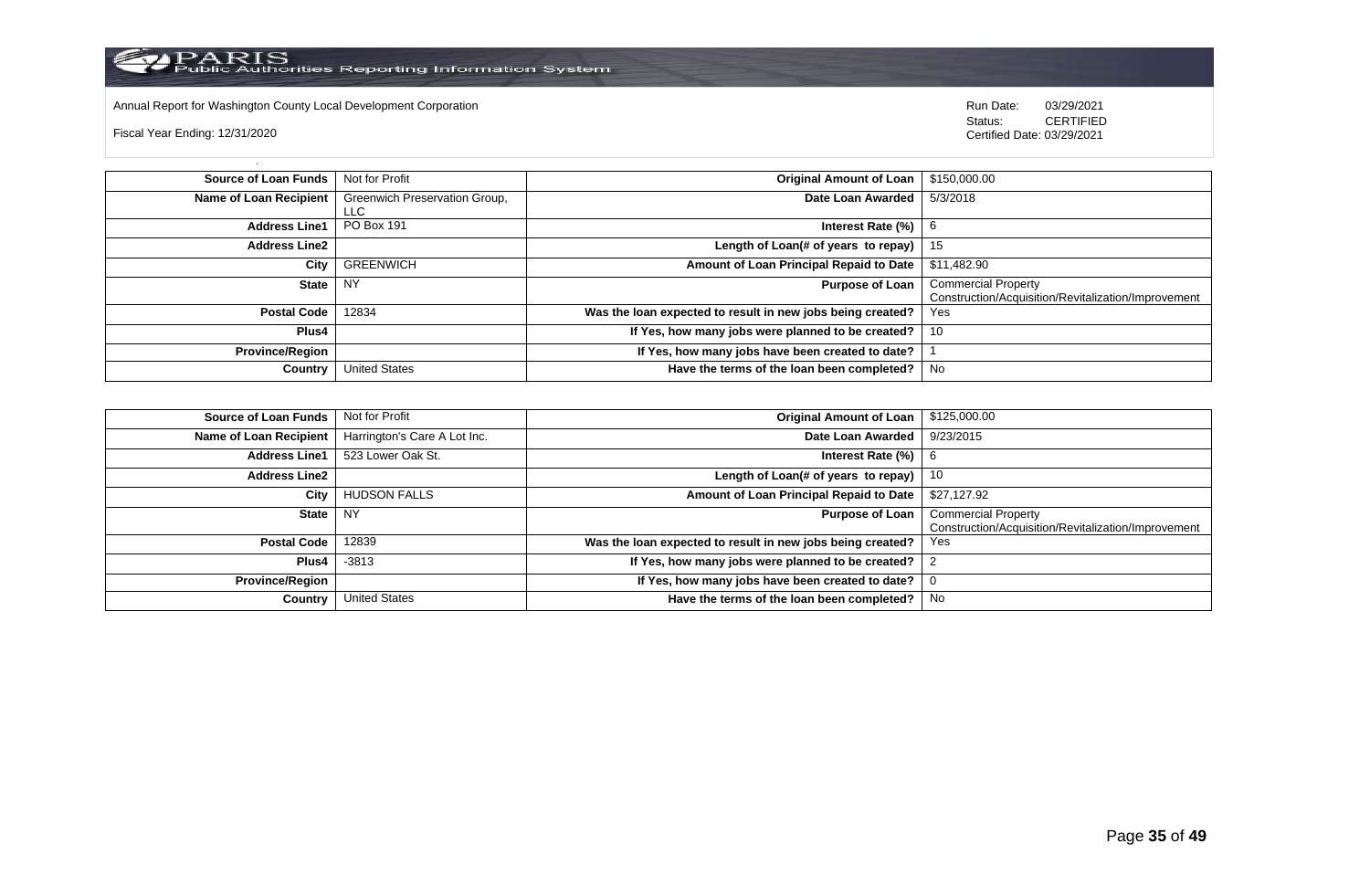

Annual Report for Washington County Local Development Corporation **Company County Connect Connect Connect Connect**<br>
Status: CERTIFIED

Fiscal Year Ending: 12/31/2020

| <b>Source of Loan Funds</b> | Not for Profit                        | <b>Original Amount of Loan</b>                             | \$150,000.00                                                                      |
|-----------------------------|---------------------------------------|------------------------------------------------------------|-----------------------------------------------------------------------------------|
| Name of Loan Recipient      | Greenwich Preservation Group,<br>LLC. | Date Loan Awarded                                          | 5/3/2018                                                                          |
| <b>Address Line1</b>        | PO Box 191                            | Interest Rate (%)                                          | b                                                                                 |
| <b>Address Line2</b>        |                                       | Length of Loan(# of years to repay) $ $                    | 15                                                                                |
| City                        | <b>GREENWICH</b>                      | Amount of Loan Principal Repaid to Date                    | \$11,482.90                                                                       |
| <b>State</b>                | <b>NY</b>                             | <b>Purpose of Loan</b>                                     | <b>Commercial Property</b><br>Construction/Acquisition/Revitalization/Improvement |
| <b>Postal Code</b>          | 12834                                 | Was the loan expected to result in new jobs being created? | Yes                                                                               |
| Plus4                       |                                       | If Yes, how many jobs were planned to be created?          | 10                                                                                |
| <b>Province/Region</b>      |                                       | If Yes, how many jobs have been created to date?           |                                                                                   |
| Country                     | <b>United States</b>                  | Have the terms of the loan been completed?                 | No                                                                                |

| <b>Source of Loan Funds</b> | Not for Profit               | <b>Original Amount of Loan</b>                             | \$125,000.00                                                                      |
|-----------------------------|------------------------------|------------------------------------------------------------|-----------------------------------------------------------------------------------|
| Name of Loan Recipient      | Harrington's Care A Lot Inc. | Date Loan Awarded                                          | 9/23/2015                                                                         |
| <b>Address Line1</b>        | 523 Lower Oak St.            | Interest Rate $(\%)$   6                                   |                                                                                   |
| <b>Address Line2</b>        |                              | Length of Loan(# of years to repay)                        | 10                                                                                |
| City                        | <b>HUDSON FALLS</b>          | Amount of Loan Principal Repaid to Date                    | \$27,127.92                                                                       |
| <b>State</b>                | <b>NY</b>                    | <b>Purpose of Loan</b>                                     | <b>Commercial Property</b><br>Construction/Acquisition/Revitalization/Improvement |
| <b>Postal Code</b>          | 12839                        | Was the loan expected to result in new jobs being created? | Yes                                                                               |
| Plus4                       | $-3813$                      | If Yes, how many jobs were planned to be created?          |                                                                                   |
| <b>Province/Region</b>      |                              | If Yes, how many jobs have been created to date?           | - 0                                                                               |
| Country                     | <b>United States</b>         | Have the terms of the loan been completed?                 | No                                                                                |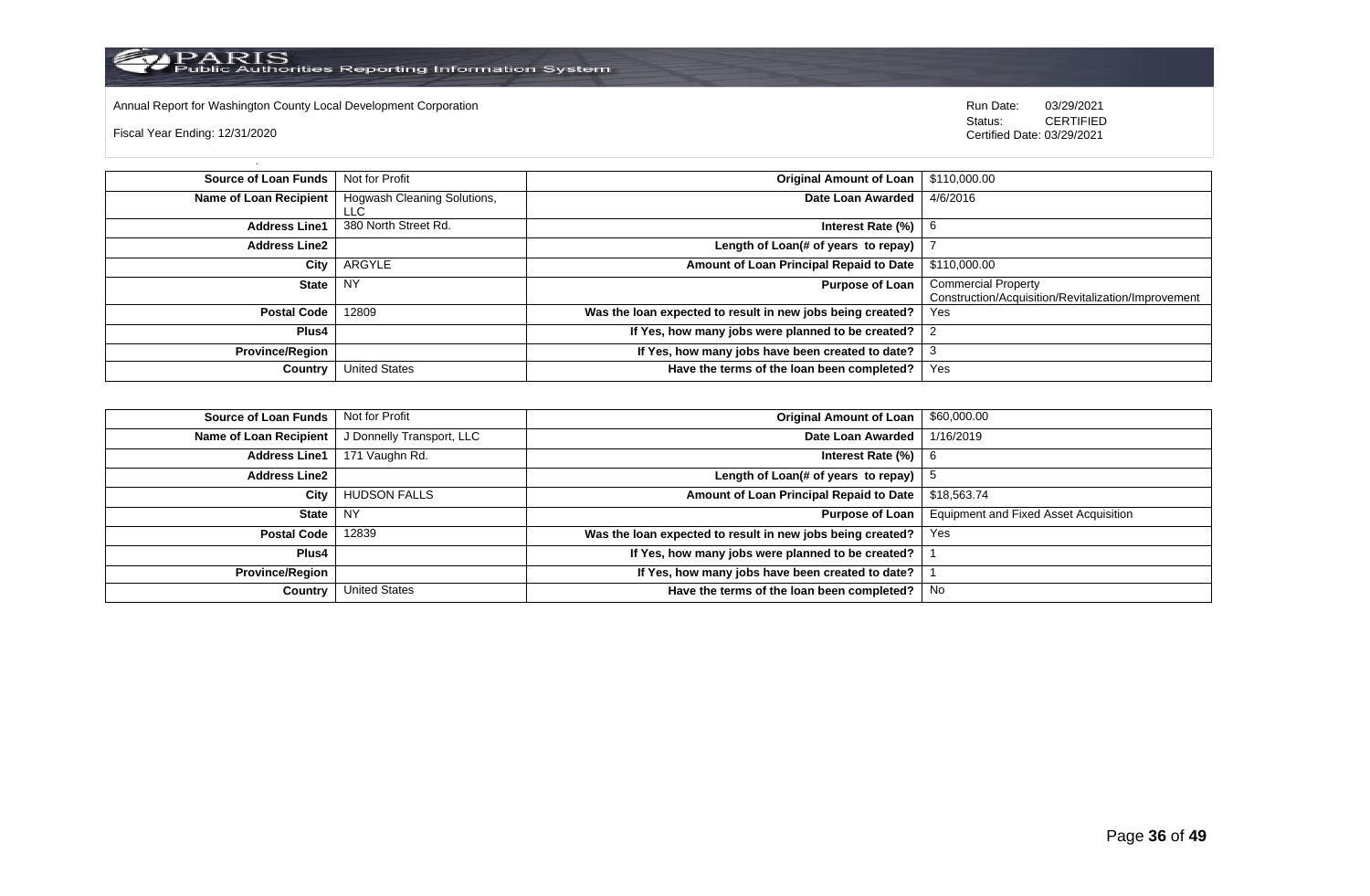

Annual Report for Washington County Local Development Corporation **Company County Connect Connect Connect Connect**<br>
Status: CERTIFIED

Fiscal Year Ending: 12/31/2020

| <b>Source of Loan Funds</b>   | Not for Profit                     | <b>Original Amount of Loan</b>                             | \$110,000.00                                                                      |
|-------------------------------|------------------------------------|------------------------------------------------------------|-----------------------------------------------------------------------------------|
| <b>Name of Loan Recipient</b> | Hogwash Cleaning Solutions,<br>LLC | Date Loan Awarded                                          | 4/6/2016                                                                          |
| <b>Address Line1</b>          | 380 North Street Rd.               | Interest Rate (%)                                          | 6                                                                                 |
| <b>Address Line2</b>          |                                    | Length of Loan(# of years to repay)                        |                                                                                   |
| City                          | ARGYLE                             | Amount of Loan Principal Repaid to Date                    | \$110,000.00                                                                      |
| State                         | NY                                 | <b>Purpose of Loan</b>                                     | <b>Commercial Property</b><br>Construction/Acquisition/Revitalization/Improvement |
| <b>Postal Code</b>            | 12809                              | Was the loan expected to result in new jobs being created? | Yes                                                                               |
| <b>Plus4</b>                  |                                    | If Yes, how many jobs were planned to be created?          |                                                                                   |
| <b>Province/Region</b>        |                                    | If Yes, how many jobs have been created to date?           |                                                                                   |
| Country                       | <b>United States</b>               | Have the terms of the loan been completed?                 | Yes                                                                               |

| <b>Source of Loan Funds</b> | Not for Profit            | <b>Original Amount of Loan</b>                             | \$60,000.00                                  |
|-----------------------------|---------------------------|------------------------------------------------------------|----------------------------------------------|
| Name of Loan Recipient      | J Donnelly Transport, LLC | Date Loan Awarded                                          | 1/16/2019                                    |
| <b>Address Line1</b>        | 171 Vaughn Rd.            | Interest Rate $(\%)$   6                                   |                                              |
| <b>Address Line2</b>        |                           | Length of Loan(# of years to repay) $\vert 5 \rangle$      |                                              |
| City                        | <b>HUDSON FALLS</b>       | Amount of Loan Principal Repaid to Date                    | \$18,563.74                                  |
| <b>State</b>                | NY.                       | Purpose of Loan                                            | <b>Equipment and Fixed Asset Acquisition</b> |
| <b>Postal Code</b>          | 12839                     | Was the loan expected to result in new jobs being created? | Yes                                          |
| Plus4                       |                           | If Yes, how many jobs were planned to be created?          |                                              |
| <b>Province/Region</b>      |                           | If Yes, how many jobs have been created to date?           |                                              |
| Country                     | <b>United States</b>      | Have the terms of the loan been completed?                 | No                                           |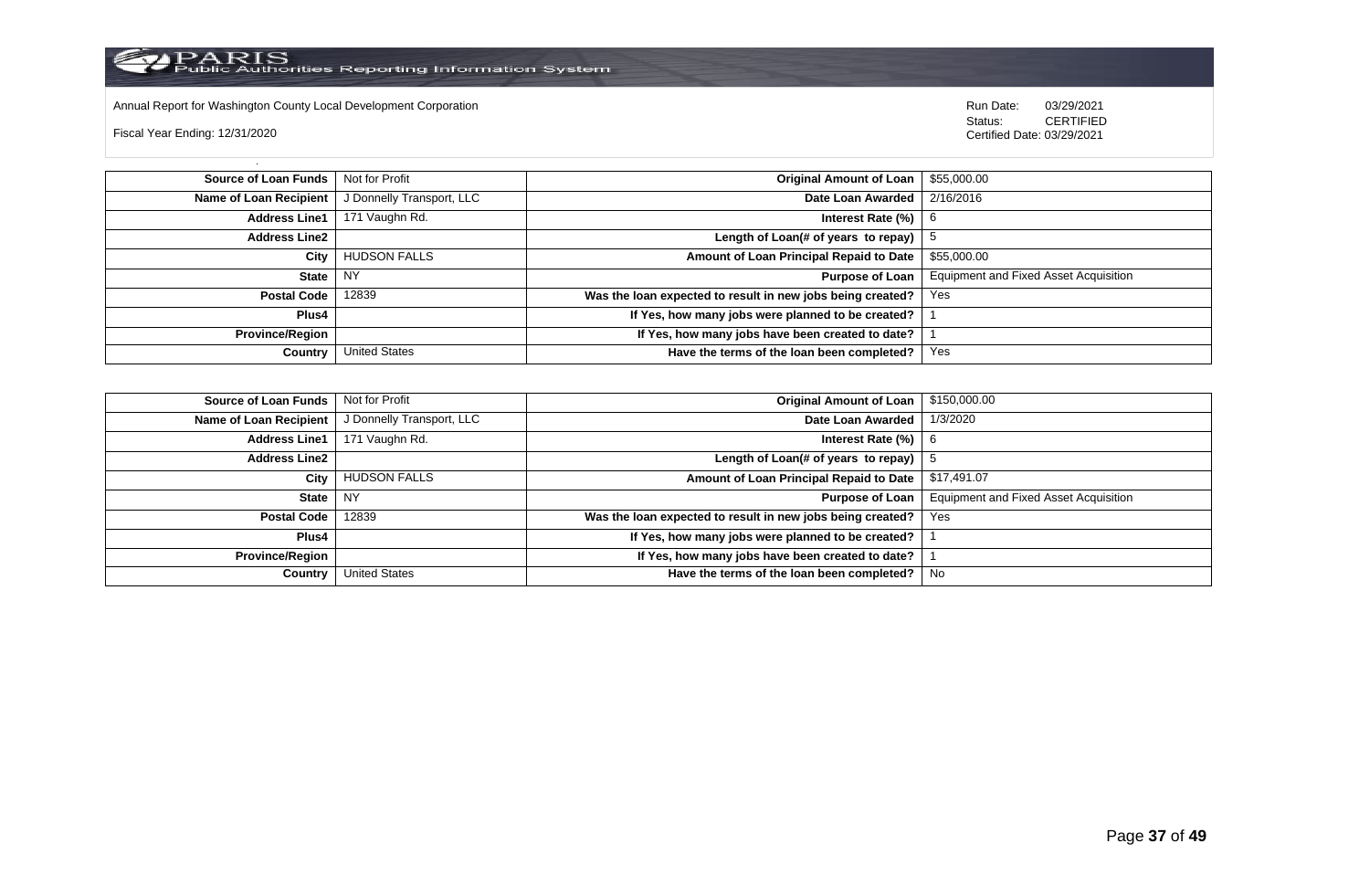

Annual Report for Washington County Local Development Corporation Run Date: 03/29/2021

Fiscal Year Ending: 12/31/2020

 Status: CERTIFIED Certified Date: 03/29/2021

**Source of Loan Funds** Not for Profit **Company of Loan 1 and 2012 Original Amount of Loan** 1 \$55,000.00 **Name of Loan Recipient** J Donnelly Transport, LLC **Date Loan Awarded** 2/16/2016 **Address Line1** 171 Vaughn Rd. **Interest Rate (%)** 6 **Address Line2 Length of Loan(# of years to repay)**  $\vert$  5 **City** HUDSON FALLS **Amount of Loan Principal Repaid to Date** \$55,000.00 **State** NY **Purpose of Loan** Equipment and Fixed Asset Acquisition **Postal Code** 12839 **Was the loan expected to result in new jobs being created?** Yes **Plus4 If Yes, how many jobs were planned to be created?** 1 **Province/Region If Yes, how many jobs have been created to date?** 1 **Country** United States **Have the terms of the loan been completed?** Yes

| Source of Loan Funds   | Not for Profit            | <b>Original Amount of Loan</b>                             | \$150,000.00                                 |
|------------------------|---------------------------|------------------------------------------------------------|----------------------------------------------|
| Name of Loan Recipient | J Donnelly Transport, LLC | Date Loan Awarded                                          | 1/3/2020                                     |
| <b>Address Line1</b>   | 171 Vaughn Rd.            | Interest Rate (%)                                          | -6                                           |
| <b>Address Line2</b>   |                           | Length of Loan(# of years to repay)                        |                                              |
| City                   | <b>HUDSON FALLS</b>       | Amount of Loan Principal Repaid to Date                    | \$17,491.07                                  |
| <b>State</b>           | <b>NY</b>                 | <b>Purpose of Loan</b>                                     | <b>Equipment and Fixed Asset Acquisition</b> |
| <b>Postal Code</b>     | 12839                     | Was the loan expected to result in new jobs being created? | Yes                                          |
| Plus4                  |                           | If Yes, how many jobs were planned to be created?          |                                              |
| Province/Region        |                           | If Yes, how many jobs have been created to date?           |                                              |
| Country                | <b>United States</b>      | Have the terms of the loan been completed?                 | No                                           |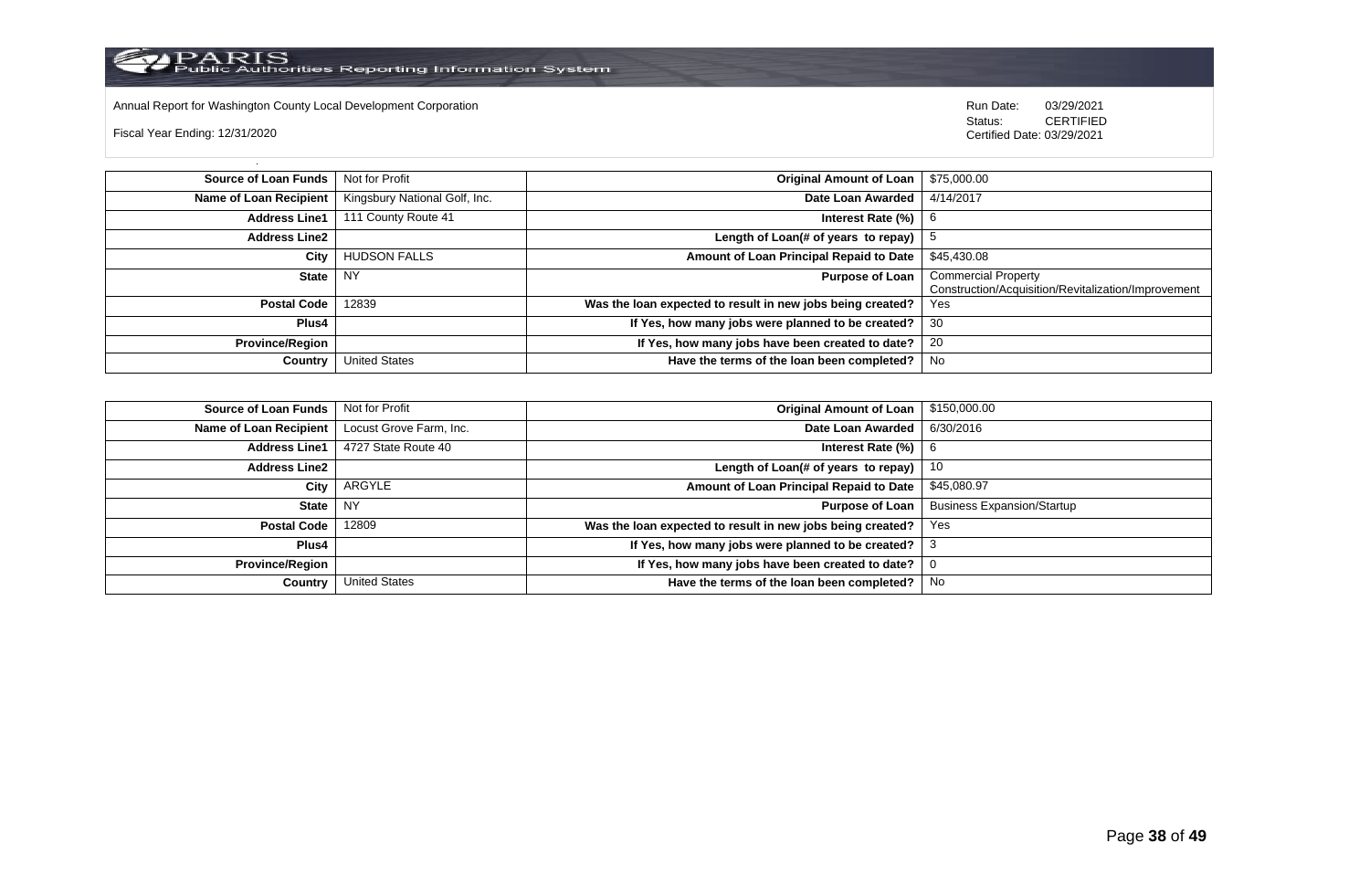

Annual Report for Washington County Local Development Corporation **Company County Connect Connect Connect Connect**<br>
Status: CERTIFIED

Fiscal Year Ending: 12/31/2020

| <b>Source of Loan Funds</b>   | Not for Profit                | <b>Original Amount of Loan</b>                             | \$75,000.00                                                                       |
|-------------------------------|-------------------------------|------------------------------------------------------------|-----------------------------------------------------------------------------------|
| <b>Name of Loan Recipient</b> | Kingsbury National Golf, Inc. | Date Loan Awarded                                          | 4/14/2017                                                                         |
| <b>Address Line1</b>          | 111 County Route 41           | Interest Rate $(\%)$                                       | -6                                                                                |
| <b>Address Line2</b>          |                               | Length of Loan(# of years to repay)                        |                                                                                   |
| City                          | <b>HUDSON FALLS</b>           | Amount of Loan Principal Repaid to Date                    | \$45,430.08                                                                       |
| State                         | NY                            | <b>Purpose of Loan</b>                                     | <b>Commercial Property</b><br>Construction/Acquisition/Revitalization/Improvement |
| <b>Postal Code</b>            | 12839                         | Was the loan expected to result in new jobs being created? | Yes                                                                               |
| Plus4                         |                               | If Yes, how many jobs were planned to be created?          | -30                                                                               |
| <b>Province/Region</b>        |                               | If Yes, how many jobs have been created to date?           | 20                                                                                |
| Country                       | <b>United States</b>          | Have the terms of the loan been completed?                 | No                                                                                |

| <b>Source of Loan Funds</b> | Not for Profit          | <b>Original Amount of Loan</b>                             | \$150,000.00                      |
|-----------------------------|-------------------------|------------------------------------------------------------|-----------------------------------|
| Name of Loan Recipient      | Locust Grove Farm, Inc. | Date Loan Awarded                                          | 6/30/2016                         |
| <b>Address Line1</b>        | 4727 State Route 40     | Interest Rate $(\%)$   6                                   |                                   |
| <b>Address Line2</b>        |                         | Length of Loan(# of years to repay)                        | -10                               |
| City                        | ARGYLE                  | Amount of Loan Principal Repaid to Date                    | \$45,080.97                       |
| <b>State</b>                | I NY                    | Purpose of Loan                                            | <b>Business Expansion/Startup</b> |
| <b>Postal Code</b>          | 12809                   | Was the loan expected to result in new jobs being created? | Yes                               |
| Plus4                       |                         | If Yes, how many jobs were planned to be created?          |                                   |
| <b>Province/Region</b>      |                         | If Yes, how many jobs have been created to date?           |                                   |
| Country                     | <b>United States</b>    | Have the terms of the loan been completed?                 | No                                |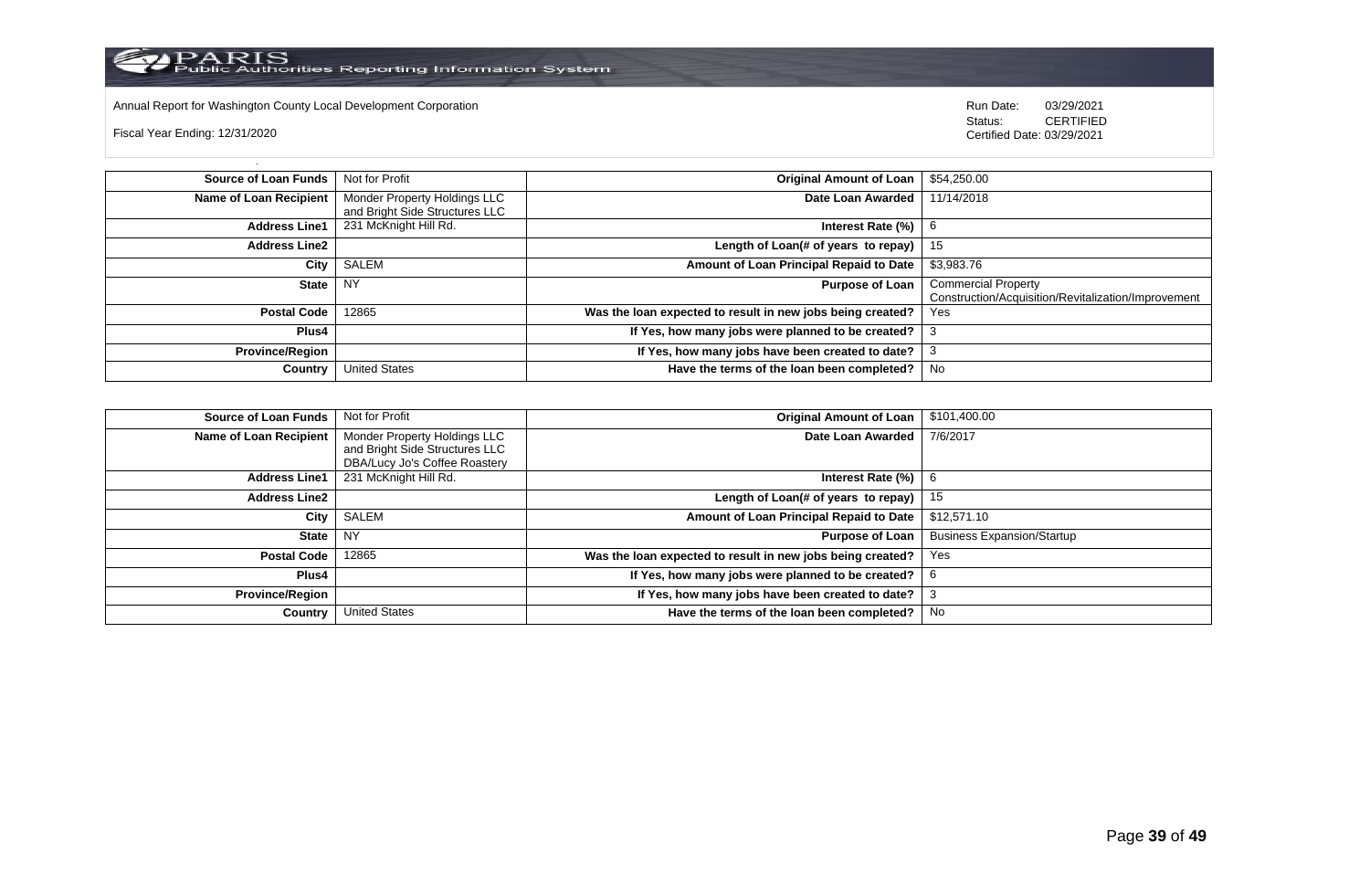

Annual Report for Washington County Local Development Corporation **Company County Connect Connect Connect Connect**<br>
Status: CERTIFIED

Fiscal Year Ending: 12/31/2020

| Source of Loan Funds   | Not for Profit                 | <b>Original Amount of Loan</b>                             | \$54,250.00                                         |
|------------------------|--------------------------------|------------------------------------------------------------|-----------------------------------------------------|
| Name of Loan Recipient | Monder Property Holdings LLC   | Date Loan Awarded                                          | 11/14/2018                                          |
|                        | and Bright Side Structures LLC |                                                            |                                                     |
| <b>Address Line1</b>   | 231 McKnight Hill Rd.          | Interest Rate (%)                                          | 6                                                   |
| <b>Address Line2</b>   |                                | Length of Loan(# of years to repay) $ $                    | -15                                                 |
| City                   | SALEM                          | Amount of Loan Principal Repaid to Date                    | \$3,983.76                                          |
| State I                | <b>NY</b>                      | <b>Purpose of Loan</b>                                     | <b>Commercial Property</b>                          |
|                        |                                |                                                            | Construction/Acquisition/Revitalization/Improvement |
| <b>Postal Code</b>     | 12865                          | Was the loan expected to result in new jobs being created? | <b>Yes</b>                                          |
| Plus4                  |                                | If Yes, how many jobs were planned to be created?          |                                                     |
| <b>Province/Region</b> |                                | If Yes, how many jobs have been created to date?           |                                                     |
| Country                | <b>United States</b>           | Have the terms of the loan been completed?                 | No                                                  |

| <b>Source of Loan Funds</b>   | Not for Profit                                                 | <b>Original Amount of Loan</b>                             | \$101,400.00                      |
|-------------------------------|----------------------------------------------------------------|------------------------------------------------------------|-----------------------------------|
| <b>Name of Loan Recipient</b> | Monder Property Holdings LLC<br>and Bright Side Structures LLC | Date Loan Awarded                                          | 7/6/2017                          |
|                               | DBA/Lucy Jo's Coffee Roastery                                  |                                                            |                                   |
| <b>Address Line1</b>          | 231 McKnight Hill Rd.                                          | Interest Rate (%)                                          | 6                                 |
| <b>Address Line2</b>          |                                                                | Length of Loan(# of years to repay)                        | 15                                |
| City                          | SALEM                                                          | Amount of Loan Principal Repaid to Date                    | \$12,571.10                       |
| <b>State</b>                  | <b>NY</b>                                                      | <b>Purpose of Loan</b>                                     | <b>Business Expansion/Startup</b> |
| <b>Postal Code</b>            | 12865                                                          | Was the loan expected to result in new jobs being created? | Yes                               |
| Plus4                         |                                                                | If Yes, how many jobs were planned to be created?          | 6                                 |
| <b>Province/Region</b>        |                                                                | If Yes, how many jobs have been created to date?           |                                   |
| Country                       | <b>United States</b>                                           | Have the terms of the loan been completed?                 | No                                |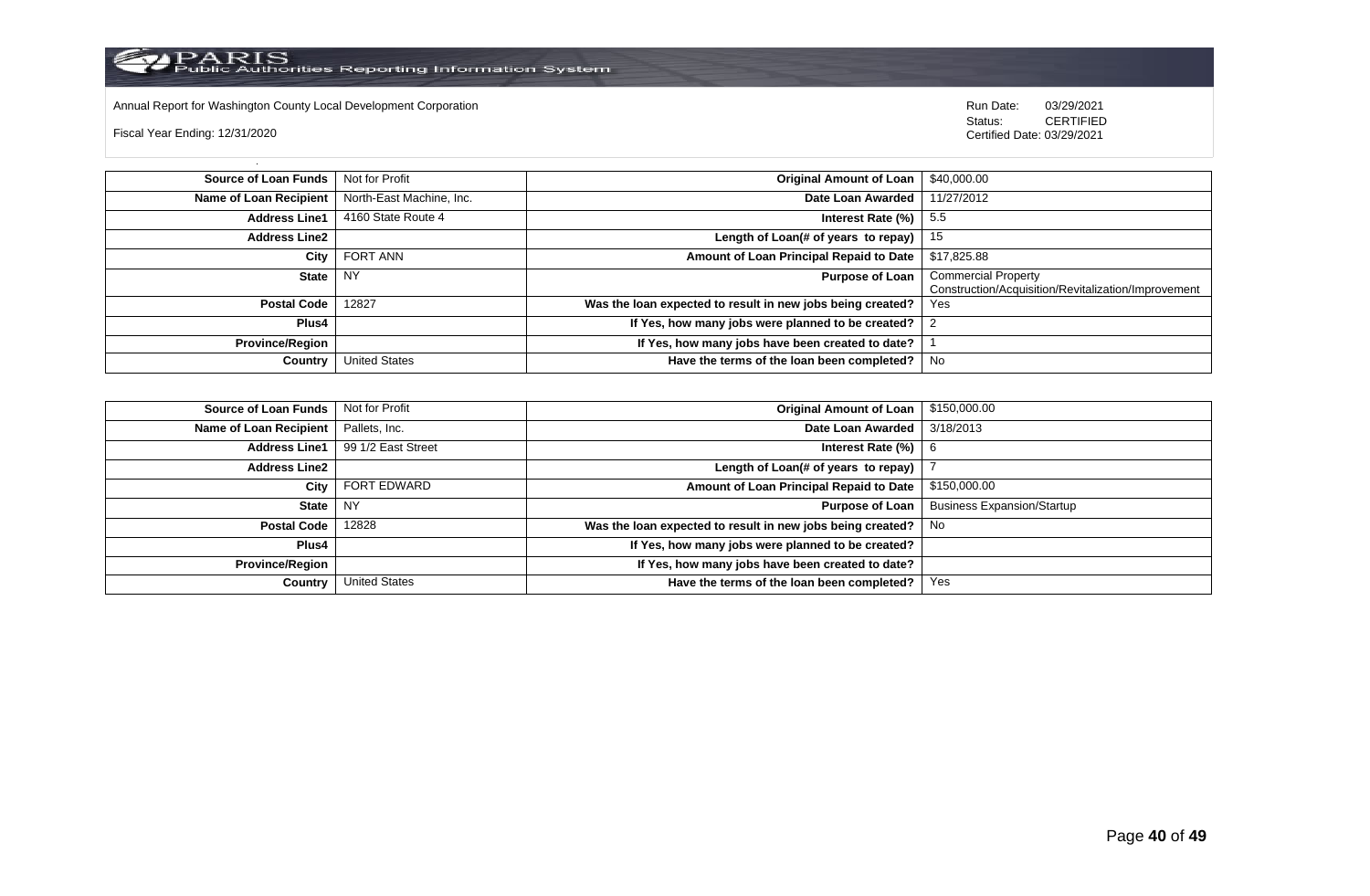Annual Report for Washington County Local Development Corporation **Company County Connect Connect Connect Connect**<br>
Status: CERTIFIED

Fiscal Year Ending: 12/31/2020

| <b>Source of Loan Funds</b>   | Not for Profit           | Original Amount of Loan                                    | \$40,000.00                                                                       |
|-------------------------------|--------------------------|------------------------------------------------------------|-----------------------------------------------------------------------------------|
| <b>Name of Loan Recipient</b> | North-East Machine, Inc. | Date Loan Awarded                                          | 11/27/2012                                                                        |
| <b>Address Line1</b>          | 4160 State Route 4       | Interest Rate $(\%)$   5.5                                 |                                                                                   |
| <b>Address Line2</b>          |                          | Length of Loan(# of years to repay) $\vert$ 15             |                                                                                   |
| City                          | <b>FORT ANN</b>          | Amount of Loan Principal Repaid to Date                    | \$17,825.88                                                                       |
| <b>State</b>                  | <b>NY</b>                | Purpose of Loan                                            | <b>Commercial Property</b><br>Construction/Acquisition/Revitalization/Improvement |
| <b>Postal Code</b>            | 12827                    | Was the loan expected to result in new jobs being created? | Yes                                                                               |
| Plus4                         |                          | If Yes, how many jobs were planned to be created?          |                                                                                   |
| <b>Province/Region</b>        |                          | If Yes, how many jobs have been created to date?           |                                                                                   |
| Country                       | <b>United States</b>     | Have the terms of the loan been completed?                 | No                                                                                |

| <b>Source of Loan Funds</b>   | Not for Profit       | <b>Original Amount of Loan</b>                             | \$150,000.00                      |
|-------------------------------|----------------------|------------------------------------------------------------|-----------------------------------|
| <b>Name of Loan Recipient</b> | Pallets, Inc.        | Date Loan Awarded                                          | 3/18/2013                         |
| <b>Address Line1</b>          | 99 1/2 East Street   | Interest Rate $(\%)$   6                                   |                                   |
| <b>Address Line2</b>          |                      | Length of Loan(# of years to repay)                        |                                   |
| City                          | <b>FORT EDWARD</b>   | Amount of Loan Principal Repaid to Date                    | \$150,000.00                      |
| State                         | I NY                 | Purpose of Loan                                            | <b>Business Expansion/Startup</b> |
| <b>Postal Code</b>            | 12828                | Was the loan expected to result in new jobs being created? | No.                               |
| Plus4                         |                      | If Yes, how many jobs were planned to be created?          |                                   |
| <b>Province/Region</b>        |                      | If Yes, how many jobs have been created to date?           |                                   |
| Country                       | <b>United States</b> | Have the terms of the loan been completed?                 | Yes                               |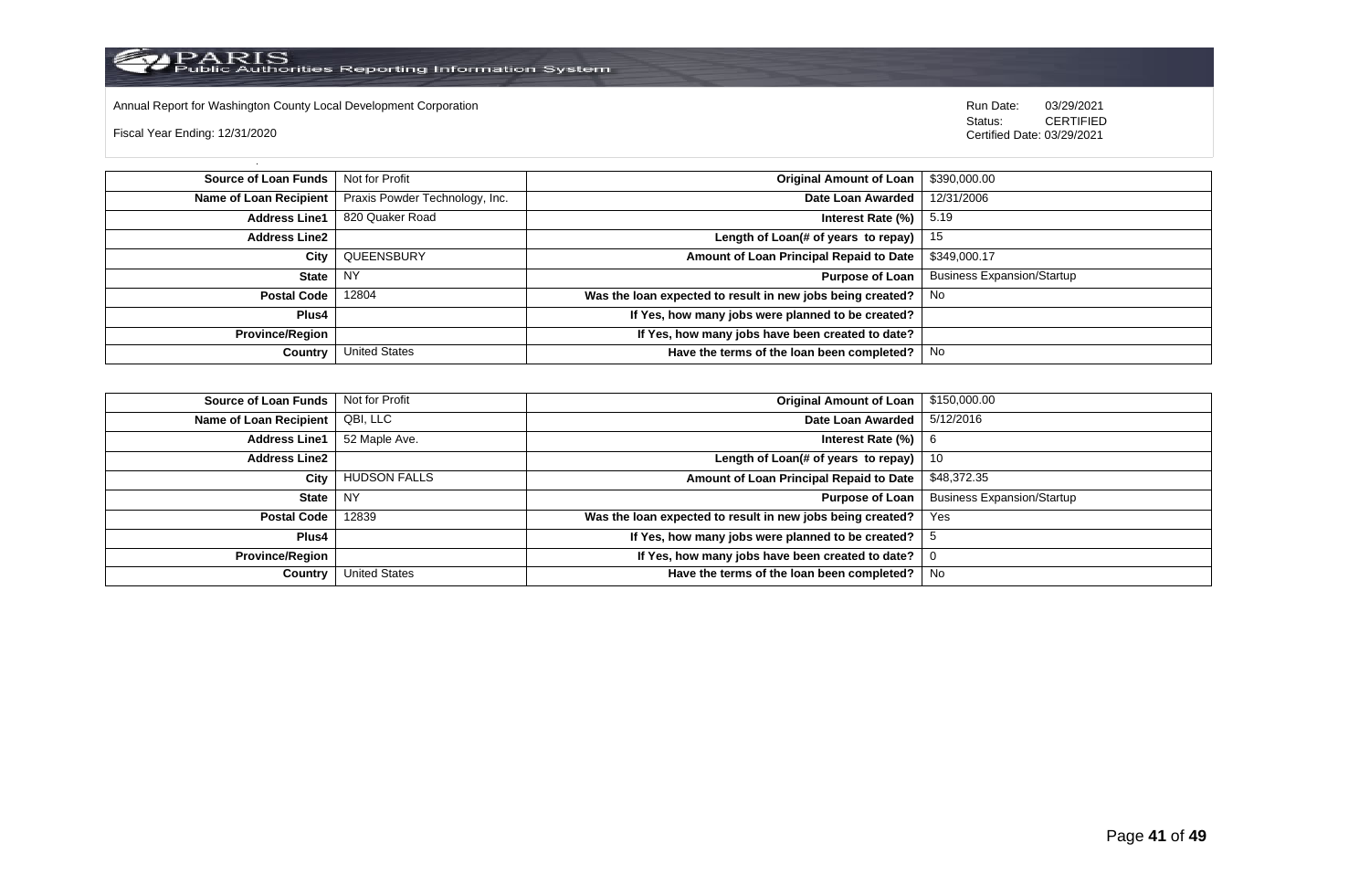

Annual Report for Washington County Local Development Corporation **Company County Connect Connect Connect Connect**<br>
Status: CERTIFIED

Fiscal Year Ending: 12/31/2020

| Source of Loan Funds   | Not for Profit                 | <b>Original Amount of Loan</b>                             | \$390,000.00                      |
|------------------------|--------------------------------|------------------------------------------------------------|-----------------------------------|
| Name of Loan Recipient | Praxis Powder Technology, Inc. | Date Loan Awarded                                          | 12/31/2006                        |
| <b>Address Line1</b>   | 820 Quaker Road                | Interest Rate $(\%)$   5.19                                |                                   |
| <b>Address Line2</b>   |                                | Length of Loan(# of years to repay)   $15$                 |                                   |
| City                   | QUEENSBURY                     | Amount of Loan Principal Repaid to Date                    | \$349,000.17                      |
| <b>State</b>           | <b>NY</b>                      | <b>Purpose of Loan</b>                                     | <b>Business Expansion/Startup</b> |
| <b>Postal Code</b>     | 12804                          | Was the loan expected to result in new jobs being created? | l No                              |
| Plus4                  |                                | If Yes, how many jobs were planned to be created?          |                                   |
| <b>Province/Region</b> |                                | If Yes, how many jobs have been created to date?           |                                   |
| Country                | <b>United States</b>           | Have the terms of the loan been completed?                 | No                                |

| <b>Source of Loan Funds</b> | Not for Profit       | <b>Original Amount of Loan</b>                             | \$150,000.00                      |
|-----------------------------|----------------------|------------------------------------------------------------|-----------------------------------|
| Name of Loan Recipient      | QBI, LLC             | Date Loan Awarded                                          | 5/12/2016                         |
| <b>Address Line1</b>        | 52 Maple Ave.        | Interest Rate (%)                                          | 6                                 |
| <b>Address Line2</b>        |                      | Length of Loan(# of years to repay)                        | 10                                |
| City                        | <b>HUDSON FALLS</b>  | Amount of Loan Principal Repaid to Date                    | \$48,372.35                       |
| <b>State</b>                | <b>NY</b>            | <b>Purpose of Loan</b>                                     | <b>Business Expansion/Startup</b> |
| <b>Postal Code</b>          | 12839                | Was the loan expected to result in new jobs being created? | Yes                               |
| Plus4                       |                      | If Yes, how many jobs were planned to be created?          |                                   |
| <b>Province/Region</b>      |                      | If Yes, how many jobs have been created to date?           |                                   |
| Country                     | <b>United States</b> | Have the terms of the loan been completed?                 | No                                |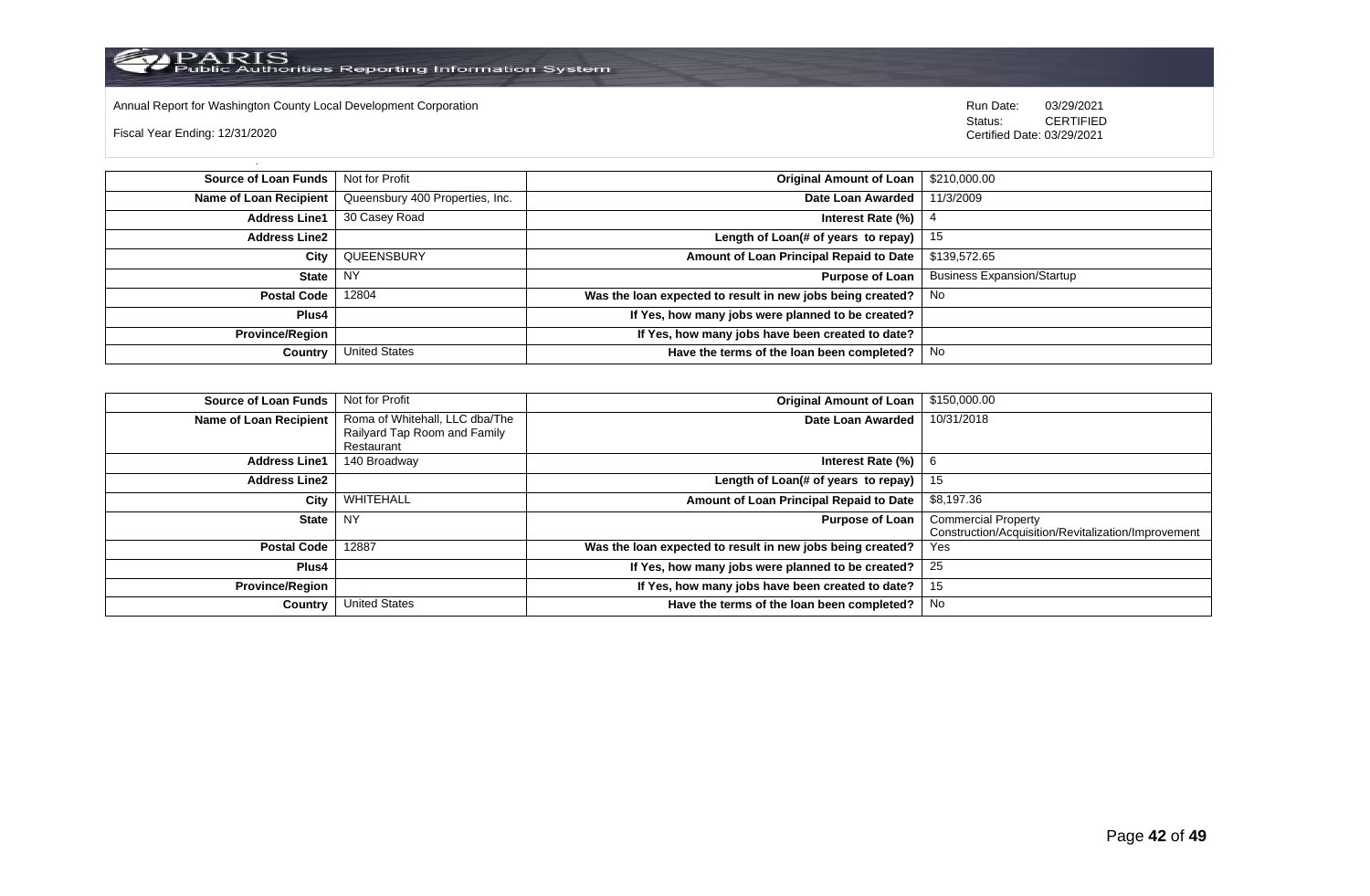

Annual Report for Washington County Local Development Corporation **Company County Connect Connect Connect Connect**<br>
Status: CERTIFIED

Fiscal Year Ending: 12/31/2020

| <b>Source of Loan Funds</b>   Not for Profit |                                 | Original Amount of Loan                                    | \$210,000.00                      |
|----------------------------------------------|---------------------------------|------------------------------------------------------------|-----------------------------------|
| Name of Loan Recipient                       | Queensbury 400 Properties, Inc. | Date Loan Awarded                                          | 11/3/2009                         |
| <b>Address Line1</b>                         | 30 Casey Road                   | Interest Rate (%)                                          |                                   |
| Address Line2                                |                                 | Length of Loan(# of years to repay) $\vert$                | -15                               |
| City                                         | QUEENSBURY                      | Amount of Loan Principal Repaid to Date                    | \$139,572.65                      |
| State                                        | NY                              | Purpose of Loan                                            | <b>Business Expansion/Startup</b> |
| Postal Code                                  | 12804                           | Was the loan expected to result in new jobs being created? | No                                |
| Plus4                                        |                                 | If Yes, how many jobs were planned to be created?          |                                   |
| Province/Region                              |                                 | If Yes, how many jobs have been created to date?           |                                   |
| Country                                      | <b>United States</b>            | Have the terms of the loan been completed?                 | No                                |

| <b>Source of Loan Funds</b> | Not for Profit                 | <b>Original Amount of Loan</b>                             | \$150,000.00                                        |
|-----------------------------|--------------------------------|------------------------------------------------------------|-----------------------------------------------------|
| Name of Loan Recipient      | Roma of Whitehall, LLC dba/The | Date Loan Awarded                                          | 10/31/2018                                          |
|                             | Railyard Tap Room and Family   |                                                            |                                                     |
|                             | Restaurant                     |                                                            |                                                     |
| <b>Address Line1</b>        | 140 Broadway                   | Interest Rate (%)                                          | -6                                                  |
| <b>Address Line2</b>        |                                | Length of Loan(# of years to repay)                        | 15                                                  |
| City                        | WHITEHALL                      | Amount of Loan Principal Repaid to Date                    | \$8,197.36                                          |
| <b>State</b>                | <b>NY</b>                      | <b>Purpose of Loan</b>                                     | <b>Commercial Property</b>                          |
|                             |                                |                                                            | Construction/Acquisition/Revitalization/Improvement |
| <b>Postal Code</b>          | 12887                          | Was the loan expected to result in new jobs being created? | Yes                                                 |
| Plus4                       |                                | If Yes, how many jobs were planned to be created?          | 25                                                  |
| <b>Province/Region</b>      |                                | If Yes, how many jobs have been created to date?           | 15                                                  |
| Country                     | <b>United States</b>           | Have the terms of the loan been completed?                 | No                                                  |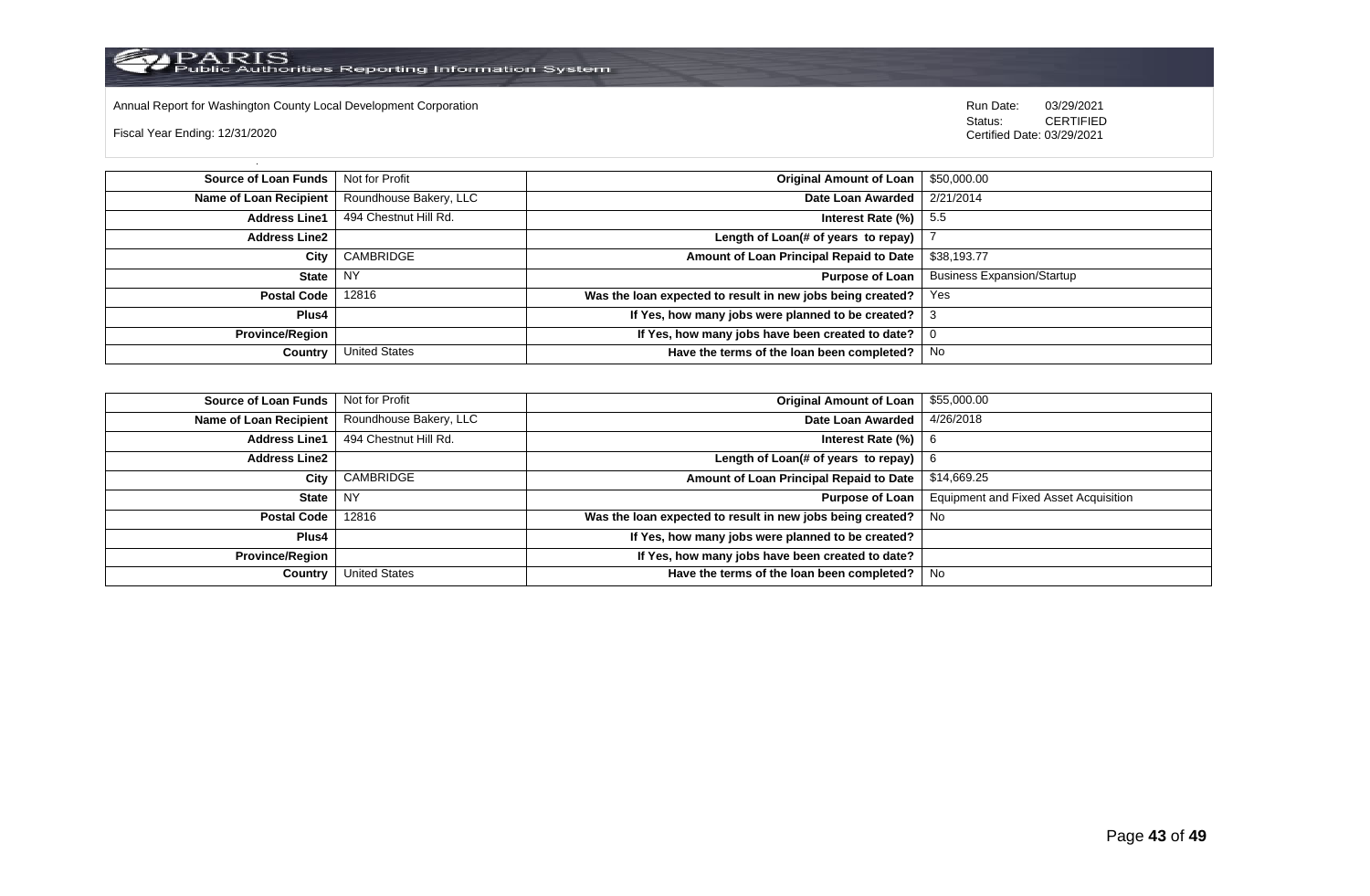

Annual Report for Washington County Local Development Corporation **Company County Connect Connect Connect Connect**<br>
Status: CERTIFIED

Fiscal Year Ending: 12/31/2020

| Source of Loan Funds   | Not for Profit         | <b>Original Amount of Loan</b>                             | \$50,000.00                       |
|------------------------|------------------------|------------------------------------------------------------|-----------------------------------|
| Name of Loan Recipient | Roundhouse Bakery, LLC | Date Loan Awarded                                          | 2/21/2014                         |
| <b>Address Line1</b>   | 494 Chestnut Hill Rd.  | Interest Rate $(\%)$   5.5                                 |                                   |
| <b>Address Line2</b>   |                        | Length of Loan(# of years to repay)                        |                                   |
| City                   | CAMBRIDGE              | Amount of Loan Principal Repaid to Date                    | \$38,193.77                       |
| State                  | <b>NY</b>              | <b>Purpose of Loan</b>                                     | <b>Business Expansion/Startup</b> |
| <b>Postal Code</b>     | 12816                  | Was the loan expected to result in new jobs being created? | Yes                               |
| Plus4                  |                        | If Yes, how many jobs were planned to be created?          |                                   |
| <b>Province/Region</b> |                        | If Yes, how many jobs have been created to date?           |                                   |
| Country                | <b>United States</b>   | Have the terms of the loan been completed?                 | No.                               |

| <b>Source of Loan Funds</b> | Not for Profit         | <b>Original Amount of Loan</b>                             | \$55,000.00                                  |
|-----------------------------|------------------------|------------------------------------------------------------|----------------------------------------------|
| Name of Loan Recipient      | Roundhouse Bakery, LLC | Date Loan Awarded                                          | 4/26/2018                                    |
| <b>Address Line1</b>        | 494 Chestnut Hill Rd.  | Interest Rate (%)                                          | 6                                            |
| <b>Address Line2</b>        |                        | Length of Loan(# of years to repay)                        |                                              |
| City                        | CAMBRIDGE              | Amount of Loan Principal Repaid to Date                    | \$14,669.25                                  |
| <b>State</b>                | <b>NY</b>              | <b>Purpose of Loan</b>                                     | <b>Equipment and Fixed Asset Acquisition</b> |
| <b>Postal Code</b>          | 12816                  | Was the loan expected to result in new jobs being created? | No.                                          |
| Plus4                       |                        | If Yes, how many jobs were planned to be created?          |                                              |
| <b>Province/Region</b>      |                        | If Yes, how many jobs have been created to date?           |                                              |
| Country                     | <b>United States</b>   | Have the terms of the loan been completed?                 | No                                           |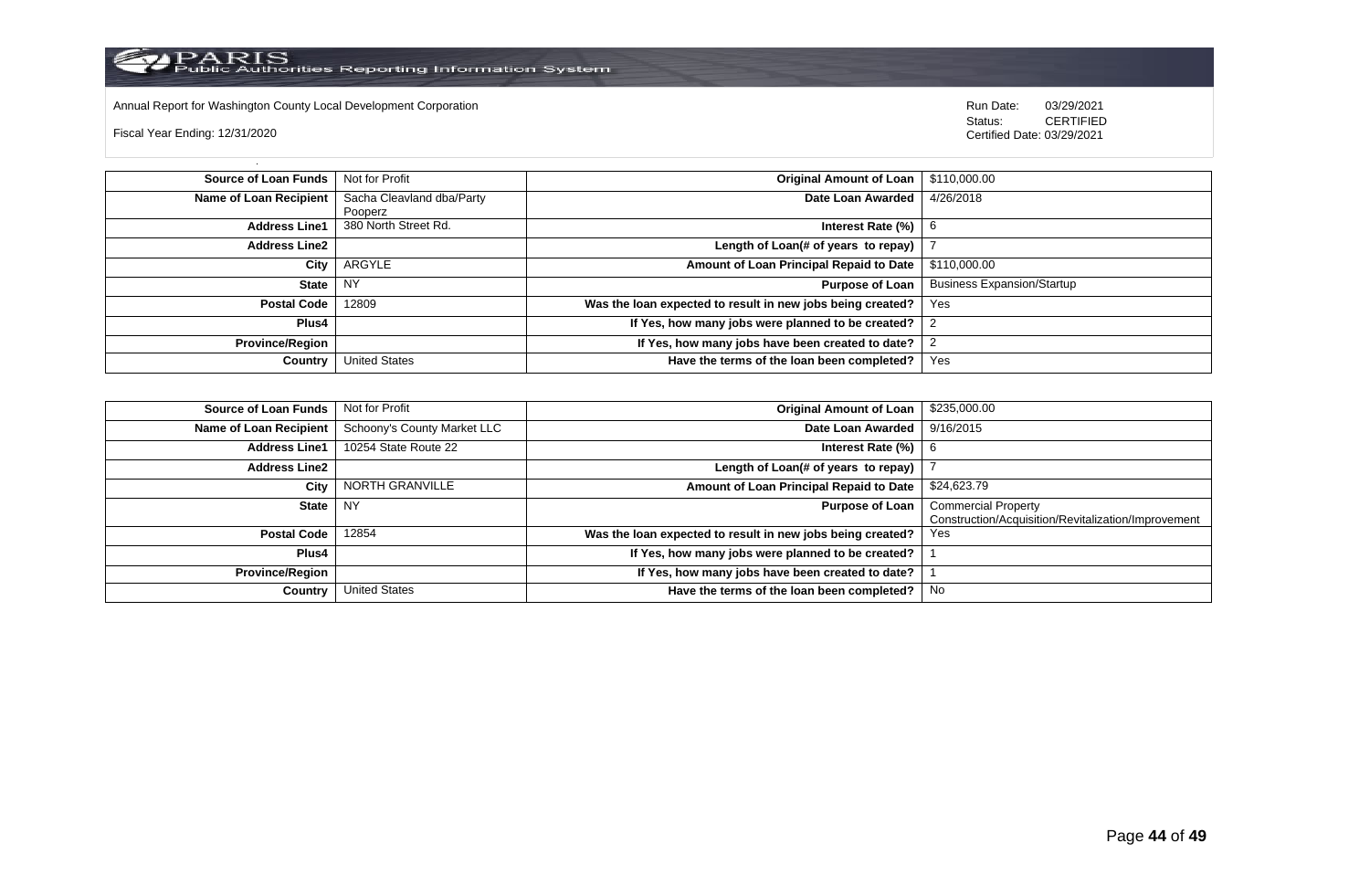

Annual Report for Washington County Local Development Corporation **Company County Connect Connect Connect Connect**<br>
Status: CERTIFIED

Fiscal Year Ending: 12/31/2020

| <b>Source of Loan Funds</b>   | Not for Profit            | <b>Original Amount of Loan</b>                             | \$110,000.00                      |
|-------------------------------|---------------------------|------------------------------------------------------------|-----------------------------------|
| <b>Name of Loan Recipient</b> | Sacha Cleavland dba/Party | Date Loan Awarded                                          | 4/26/2018                         |
|                               | Pooperz                   |                                                            |                                   |
| <b>Address Line1</b>          | 380 North Street Rd.      | Interest Rate (%)                                          | 6                                 |
| <b>Address Line2</b>          |                           | Length of Loan(# of years to repay)                        |                                   |
| City                          | ARGYLE                    | Amount of Loan Principal Repaid to Date                    | \$110,000.00                      |
| <b>State</b>                  | <b>NY</b>                 | <b>Purpose of Loan</b>                                     | <b>Business Expansion/Startup</b> |
| <b>Postal Code</b>            | 12809                     | Was the loan expected to result in new jobs being created? | Yes                               |
| Plus4                         |                           | If Yes, how many jobs were planned to be created?          |                                   |
| <b>Province/Region</b>        |                           | If Yes, how many jobs have been created to date?           |                                   |
| Country                       | <b>United States</b>      | Have the terms of the loan been completed?                 | Yes                               |

| <b>Source of Loan Funds</b>   | Not for Profit              | <b>Original Amount of Loan</b>                             | \$235,000.00                                                                      |
|-------------------------------|-----------------------------|------------------------------------------------------------|-----------------------------------------------------------------------------------|
| <b>Name of Loan Recipient</b> | Schoony's County Market LLC | Date Loan Awarded                                          | 9/16/2015                                                                         |
| <b>Address Line1</b>          | 10254 State Route 22        | Interest Rate (%)                                          | 6                                                                                 |
| <b>Address Line2</b>          |                             | Length of Loan(# of years to repay)                        |                                                                                   |
| City                          | NORTH GRANVILLE             | Amount of Loan Principal Repaid to Date                    | \$24,623.79                                                                       |
| State   NY                    |                             | <b>Purpose of Loan</b>                                     | <b>Commercial Property</b><br>Construction/Acquisition/Revitalization/Improvement |
| <b>Postal Code</b>            | 12854                       | Was the loan expected to result in new jobs being created? | Yes                                                                               |
| Plus4                         |                             | If Yes, how many jobs were planned to be created?          |                                                                                   |
| <b>Province/Region</b>        |                             | If Yes, how many jobs have been created to date?           |                                                                                   |
| Country                       | <b>United States</b>        | Have the terms of the loan been completed?                 | No                                                                                |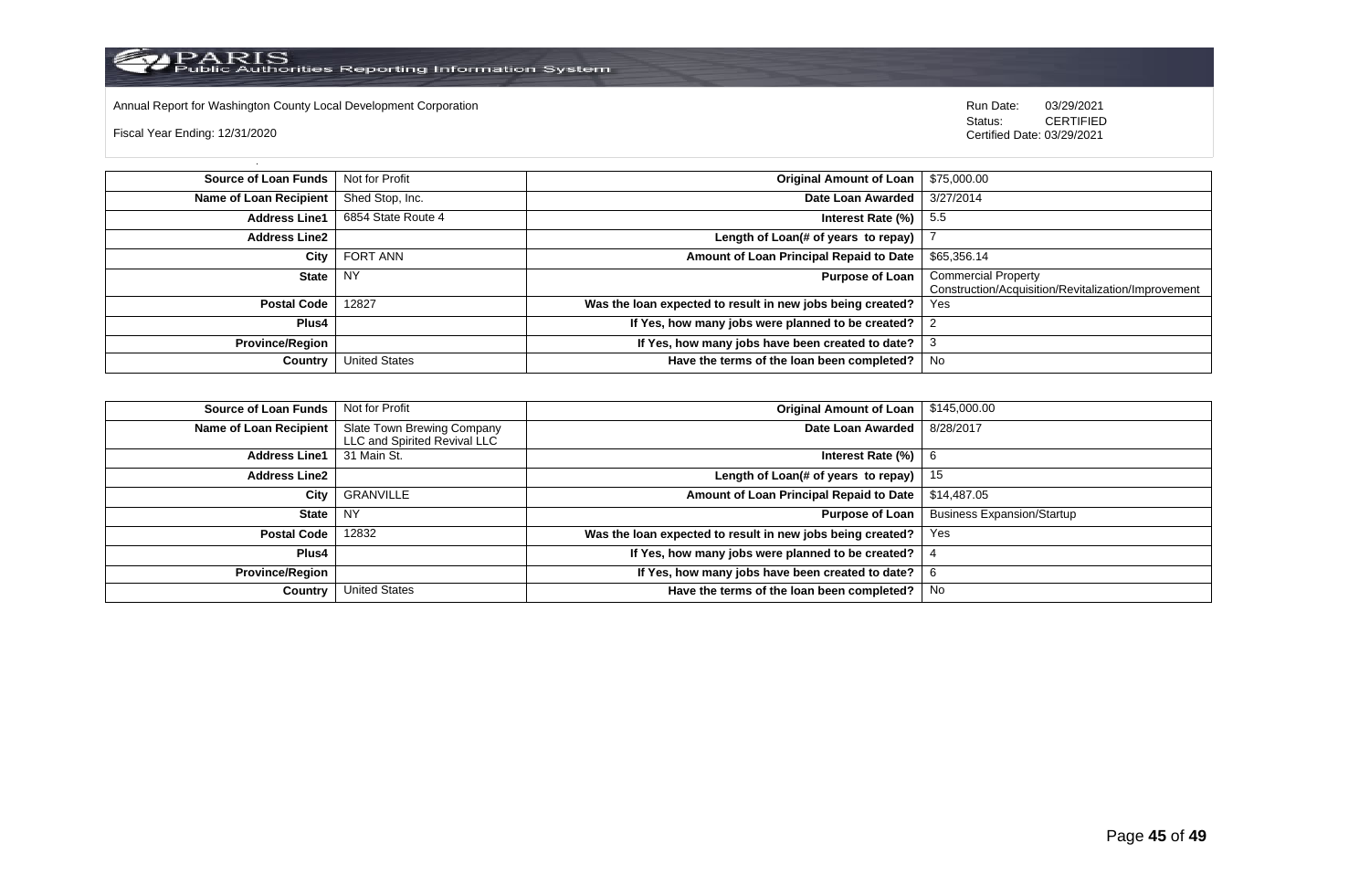Annual Report for Washington County Local Development Corporation **Run Date:** 03/29/2021

Fiscal Year Ending: 12/31/2020

Status: **CERTIFIED** Certified Date: 03/29/2021

| <b>Source of Loan Funds</b>   | Not for Profit       | <b>Original Amount of Loan</b>                             | \$75,000.00                                                                       |
|-------------------------------|----------------------|------------------------------------------------------------|-----------------------------------------------------------------------------------|
| <b>Name of Loan Recipient</b> | Shed Stop, Inc.      | Date Loan Awarded                                          | 3/27/2014                                                                         |
| <b>Address Line1</b>          | 6854 State Route 4   | Interest Rate $(\%)$                                       | -5.5                                                                              |
| <b>Address Line2</b>          |                      | Length of Loan(# of years to repay)                        |                                                                                   |
| City                          | <b>FORT ANN</b>      | Amount of Loan Principal Repaid to Date                    | \$65,356.14                                                                       |
| <b>State</b>                  | <b>NY</b>            | <b>Purpose of Loan</b>                                     | <b>Commercial Property</b><br>Construction/Acquisition/Revitalization/Improvement |
| <b>Postal Code</b>            | 12827                | Was the loan expected to result in new jobs being created? | Yes                                                                               |
| Plus4                         |                      | If Yes, how many jobs were planned to be created?          |                                                                                   |
| <b>Province/Region</b>        |                      | If Yes, how many jobs have been created to date?           |                                                                                   |
| Country                       | <b>United States</b> | Have the terms of the loan been completed?                 | No                                                                                |

| <b>Source of Loan Funds</b> | Not for Profit                                             | <b>Original Amount of Loan</b>                             | \$145,000.00                      |
|-----------------------------|------------------------------------------------------------|------------------------------------------------------------|-----------------------------------|
| Name of Loan Recipient      | Slate Town Brewing Company<br>LLC and Spirited Revival LLC | Date Loan Awarded                                          | 8/28/2017                         |
| <b>Address Line1</b>        | 31 Main St.                                                | Interest Rate (%)                                          |                                   |
| <b>Address Line2</b>        |                                                            | Length of Loan(# of years to repay)                        | 15                                |
| City                        | GRANVILLE                                                  | Amount of Loan Principal Repaid to Date                    | \$14,487.05                       |
| <b>State</b>                | <b>NY</b>                                                  | <b>Purpose of Loan</b>                                     | <b>Business Expansion/Startup</b> |
| <b>Postal Code</b>          | 12832                                                      | Was the loan expected to result in new jobs being created? | Yes                               |
| Plus4                       |                                                            | If Yes, how many jobs were planned to be created?          |                                   |
| <b>Province/Region</b>      |                                                            | If Yes, how many jobs have been created to date?           |                                   |
| Country                     | <b>United States</b>                                       | Have the terms of the loan been completed?                 | No                                |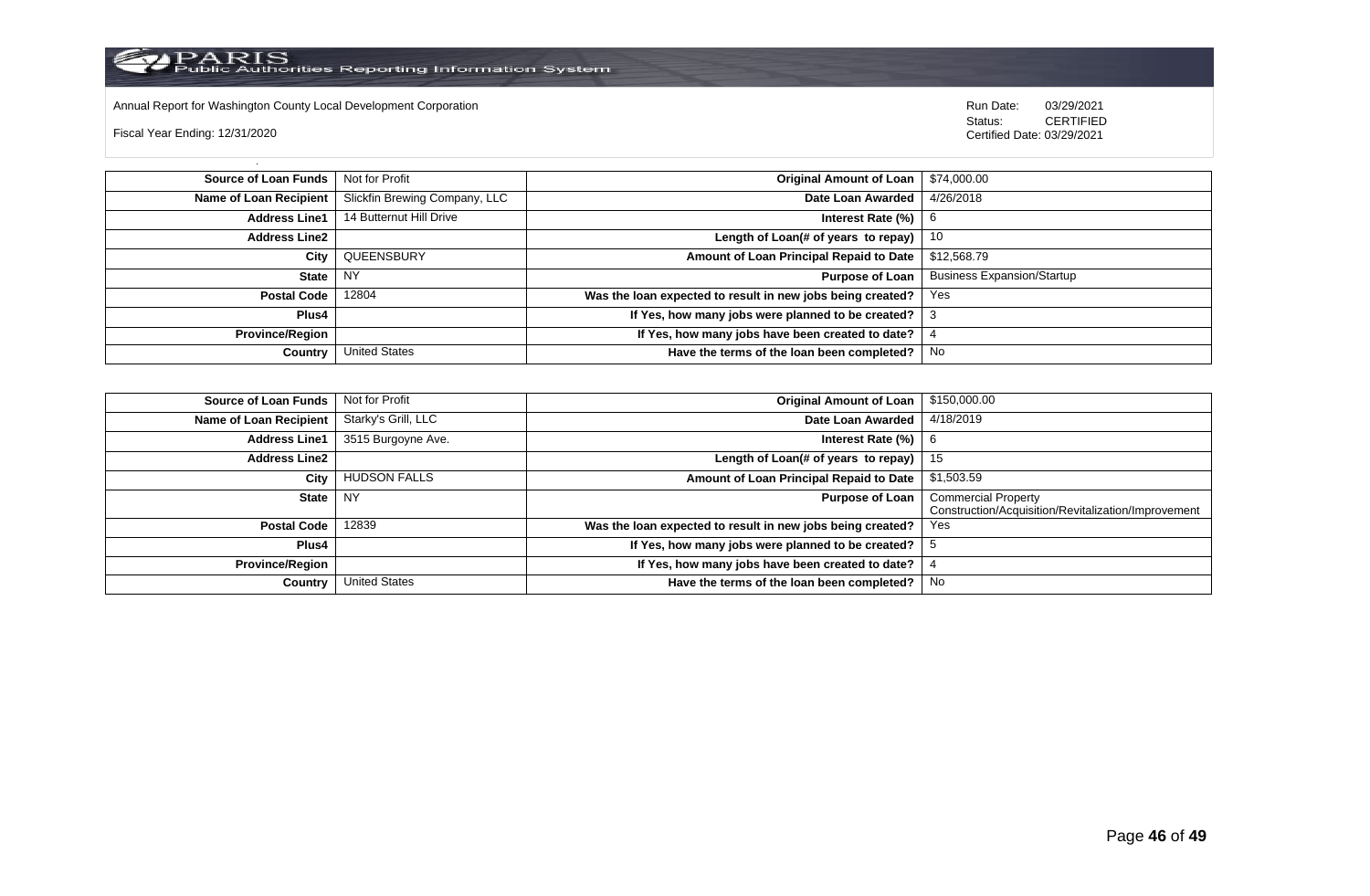

Annual Report for Washington County Local Development Corporation Run Date: 03/29/2021

Fiscal Year Ending: 12/31/2020

 Status: CERTIFIED Certified Date: 03/29/2021

**Source of Loan Funds** Not for Profit **Community 1 and 2012 Original Amount of Loan** \$74,000.00 **Name of Loan Recipient** Slickfin Brewing Company, LLC **Date Loan Awarded** 4/26/2018 **Address Line1** 14 Butternut Hill Drive **Intervention Control of Contract Rate (%)** 6 **Address Line2 Length of Loan(# of years to repay)** 10 **City** QUEENSBURY **Amount of Loan Principal Repaid to Date** \$12,568.79 **State** NY **Purpose of Loan** Business Expansion/Startup **Postal Code** 12804 **Was the loan expected to result in new jobs being created?** Yes **Plus4 If Yes, how many jobs were planned to be created?** 3 **Province/Region If Yes, how many jobs have been created to date?** 4 **Country** United States **Have the terms of the loan been completed?** No

| Source of Loan Funds   | Not for Profit       | <b>Original Amount of Loan</b>                             | \$150,000.00                                                                      |
|------------------------|----------------------|------------------------------------------------------------|-----------------------------------------------------------------------------------|
| Name of Loan Recipient | Starky's Grill, LLC  | Date Loan Awarded                                          | 4/18/2019                                                                         |
| <b>Address Line1</b>   | 3515 Burgoyne Ave.   | Interest Rate (%)                                          | -6                                                                                |
| <b>Address Line2</b>   |                      | Length of Loan(# of years to repay)                        | 15                                                                                |
| City                   | <b>HUDSON FALLS</b>  | Amount of Loan Principal Repaid to Date                    | \$1,503.59                                                                        |
| State   NY             |                      | <b>Purpose of Loan</b>                                     | <b>Commercial Property</b><br>Construction/Acquisition/Revitalization/Improvement |
| <b>Postal Code</b>     | 12839                | Was the loan expected to result in new jobs being created? | Yes                                                                               |
| Plus4                  |                      | If Yes, how many jobs were planned to be created?          |                                                                                   |
| <b>Province/Region</b> |                      | If Yes, how many jobs have been created to date?           |                                                                                   |
| Country                | <b>United States</b> | Have the terms of the loan been completed?                 | No                                                                                |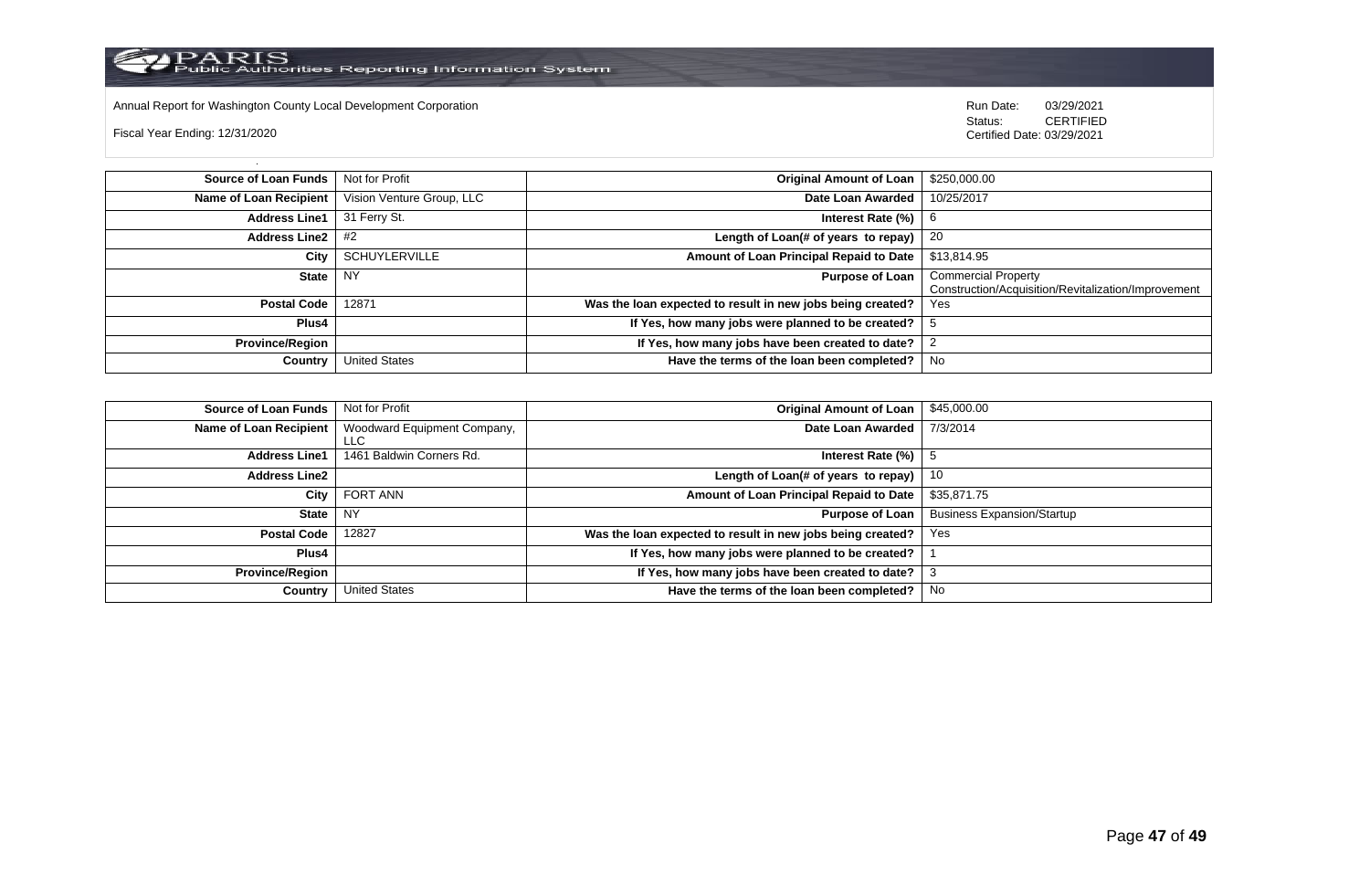

Annual Report for Washington County Local Development Corporation **Run Date:** 03/29/2021

Fiscal Year Ending: 12/31/2020

Status: **CERTIFIED** Certified Date: 03/29/2021

| <b>Source of Loan Funds</b> | Not for Profit            | <b>Original Amount of Loan</b>                             | \$250,000.00                                        |
|-----------------------------|---------------------------|------------------------------------------------------------|-----------------------------------------------------|
| Name of Loan Recipient      | Vision Venture Group, LLC | Date Loan Awarded                                          | 10/25/2017                                          |
| <b>Address Line1</b>        | 31 Ferry St.              | Interest Rate (%)                                          | 6                                                   |
| Address Line $2 \mid #2$    |                           | Length of Loan(# of years to repay)                        | -20                                                 |
| City                        | <b>SCHUYLERVILLE</b>      | Amount of Loan Principal Repaid to Date                    | \$13,814.95                                         |
| State                       | <b>NY</b>                 | <b>Purpose of Loan</b>                                     | <b>Commercial Property</b>                          |
|                             |                           |                                                            | Construction/Acquisition/Revitalization/Improvement |
| <b>Postal Code</b>          | 12871                     | Was the loan expected to result in new jobs being created? | Yes                                                 |
| Plus4                       |                           | If Yes, how many jobs were planned to be created?          | ა                                                   |
| <b>Province/Region</b>      |                           | If Yes, how many jobs have been created to date?           |                                                     |
| Country                     | <b>United States</b>      | Have the terms of the loan been completed?                 | No                                                  |

| <b>Source of Loan Funds</b> | Not for Profit                            | <b>Original Amount of Loan</b>                             | \$45,000.00                       |
|-----------------------------|-------------------------------------------|------------------------------------------------------------|-----------------------------------|
| Name of Loan Recipient      | Woodward Equipment Company,<br><b>LLC</b> | Date Loan Awarded                                          | 7/3/2014                          |
| <b>Address Line1</b>        | 1461 Baldwin Corners Rd.                  | Interest Rate (%)                                          |                                   |
| <b>Address Line2</b>        |                                           | Length of Loan(# of years to repay)                        | 10                                |
| City                        | FORT ANN                                  | Amount of Loan Principal Repaid to Date                    | \$35,871.75                       |
| <b>State</b>                | <b>NY</b>                                 | <b>Purpose of Loan</b>                                     | <b>Business Expansion/Startup</b> |
| <b>Postal Code</b>          | 12827                                     | Was the loan expected to result in new jobs being created? | Yes                               |
| <b>Plus4</b>                |                                           | If Yes, how many jobs were planned to be created?          |                                   |
| <b>Province/Region</b>      |                                           | If Yes, how many jobs have been created to date?           |                                   |
| Country                     | <b>United States</b>                      | Have the terms of the loan been completed?                 | No                                |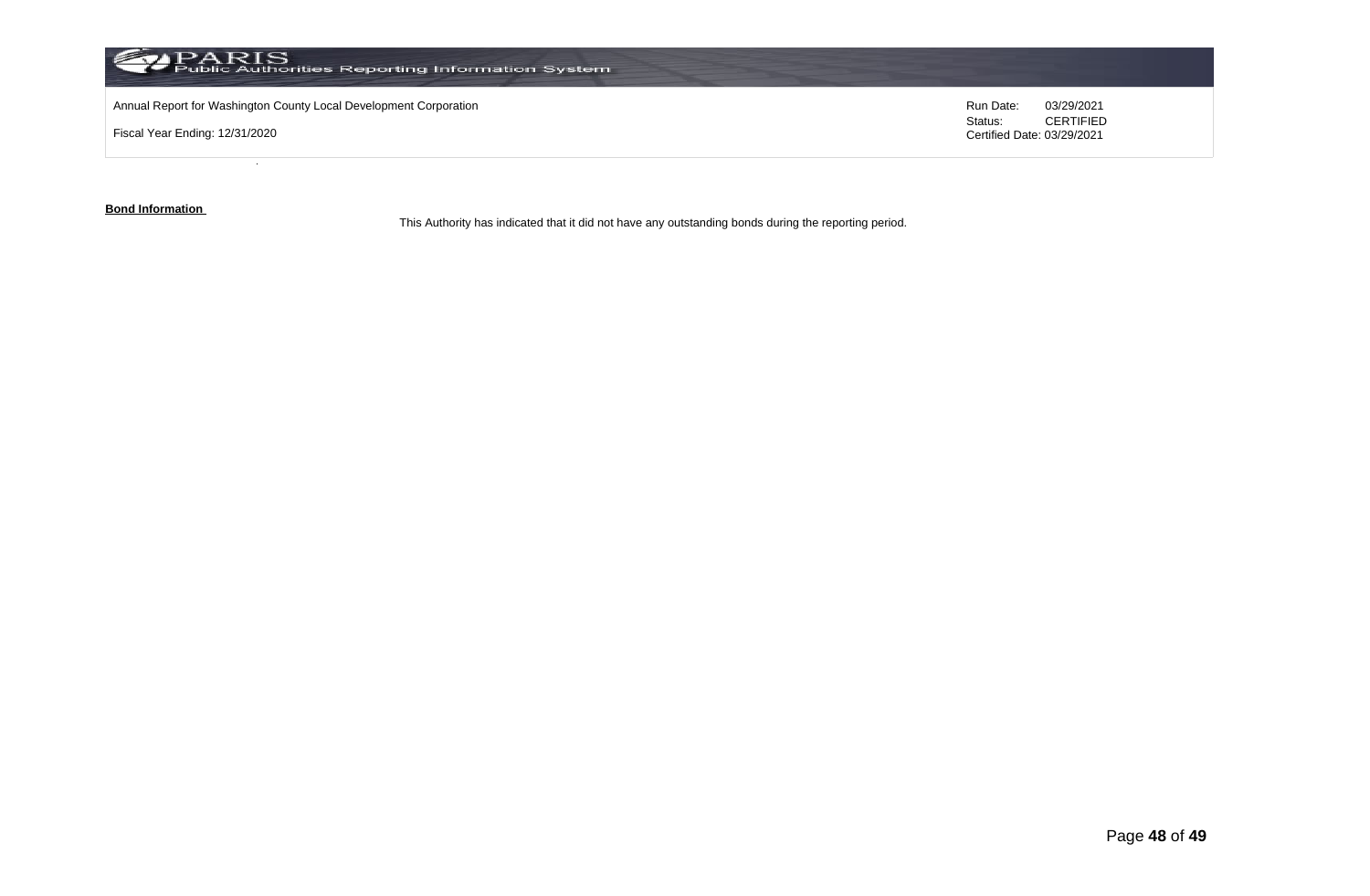

**Bond Information** 

This Authority has indicated that it did not have any outstanding bonds during the reporting period.